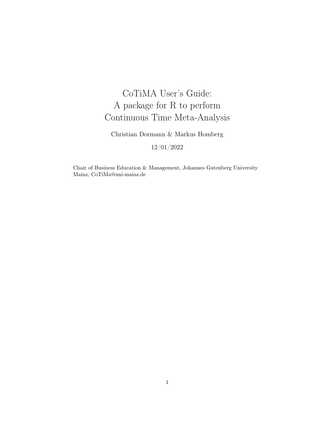# CoTiMA User's Guide: A package for R to perform Continuous Time Meta-Analysis

Christian Dormann & Markus Homberg

12/01/2022

Chair of Business Education & Management, Johannes Gutenberg University Mainz, CoTiMa@uni-mainz.de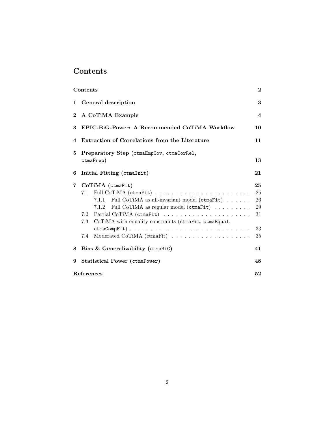# <span id="page-1-0"></span>Contents

|             | Contents                                                     | $\bf{2}$                |  |  |  |  |  |  |  |
|-------------|--------------------------------------------------------------|-------------------------|--|--|--|--|--|--|--|
|             | 1 General description                                        | 3                       |  |  |  |  |  |  |  |
| $2^{\circ}$ | A CoTiMA Example                                             | $\overline{\mathbf{4}}$ |  |  |  |  |  |  |  |
| 3           | EPIC-BiG-Power: A Recommended CoTiMA Workflow                |                         |  |  |  |  |  |  |  |
| 4           | Extraction of Correlations from the Literature               | 11                      |  |  |  |  |  |  |  |
| 5.          | Preparatory Step (ctmaEmpCov, ctmaCorRel,                    |                         |  |  |  |  |  |  |  |
|             | ctmaPrep)                                                    | 13                      |  |  |  |  |  |  |  |
| 6           | Initial Fitting (ctmaInit)                                   | 21                      |  |  |  |  |  |  |  |
| $7\degree$  | CoTiMA (ctmaFit)                                             | 25                      |  |  |  |  |  |  |  |
|             |                                                              | 25                      |  |  |  |  |  |  |  |
|             | 7.1.1 Full CoTiMA as all-invariant model (ctmaFit)           | $26\,$                  |  |  |  |  |  |  |  |
|             | 7.1.2 Full CoTiMA as regular model (ctmaFit)                 | 29                      |  |  |  |  |  |  |  |
|             | 7.2                                                          | 31                      |  |  |  |  |  |  |  |
|             | CoTiMA with equality constraints (ctmaFit, ctmaEqual,<br>7.3 |                         |  |  |  |  |  |  |  |
|             | ctmaCompFit)                                                 | 33                      |  |  |  |  |  |  |  |
|             | 7.4                                                          | 35                      |  |  |  |  |  |  |  |
|             | 8 Bias & Generalizability (ctmaBiG)                          | 41                      |  |  |  |  |  |  |  |
| 9           | Statistical Power (ctmaPower)                                | 48                      |  |  |  |  |  |  |  |
|             | References                                                   | 52                      |  |  |  |  |  |  |  |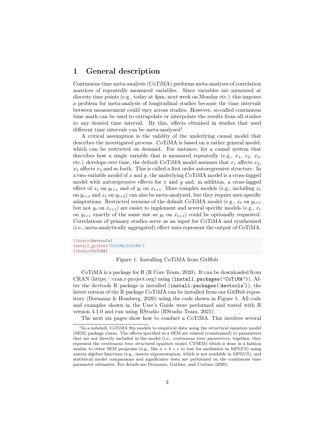# <span id="page-2-0"></span>1 General description

Continuous time meta-analysis (CoTiMA) performs meta-analyses of correlation matrices of repeatedly measured variables. Since variables are measured at discrete time points (e.g., today at 4pm, next week on Monday etc.) this imposes a problem for meta-analysis of longitudinal studies because the time intervals between measurement could vary across studies. However, so-called continuous time math can be used to extrapolate or interpolate the results from all studies to any desired time interval. By this, effects obtained in studies that used different time intervals can be meta-analyzed<sup>[1](#page-2-1)</sup>.

A critical assumption is the validity of the underlying causal model that describes the investigated process. CoTiMA is based on a rather general model, which can be restricted on demand. For instance, for a causal system that describes how a single variable that is measured repeatedly (e.g.,  $x_1, x_2, x_3$ , etc.) develops over time, the default CoTiMA model assumes that  $x_1$  affects  $x_2$ ,  $x_2$  affects  $x_3$  and so forth. This is called a first order autoregressive structure. In a two-variable model of  $x$  and  $y$ , the underlying CoTiMA model is a cross-lagged model with autoregressive effects for  $x$  and  $y$  and, in addition, a cross-lagged effect of  $x_t$  on  $y_{t+1}$  and of  $y_t$  on  $x_{t+1}$ . More complex models (e.g., including  $x_t$ on  $y_{t+1}$  and  $x_t$  on  $y_{t+2}$ ) can also be meta-analyzed, but they require user-specific adaptations. Restricted versions of the default CoTiMA model (e.g.,  $x_t$  on  $y_{t+1}$ ) but not  $y_t$  on  $x_{t+1}$ ) are easier to implement and several specific models (e.g.,  $x_t$ ) on  $y_{t+1}$  exactly of the same size as  $y_t$  on  $x_{t+1}$  could be optionally requested. Correlations of primary studies serve as an input for CoTiMA and synthesized (i.e., meta-analytically aggregated) effect sizes represent the output of CoTiMA.

library(devtools) install\_github('CoTiMA/CoTiMA') library(CoTiMA)

#### <span id="page-2-2"></span>Figure 1: Installing CoTiMA from GitHub

CoTiMA is a package for R (R Core Team, 2020). It can be downloaded from CRAN (https://cran.r-project.org) using (install.packages('CoTiMA')). After the devtools R package is installed (install.packages('devtools')), the latest version of the R package CoTiMA can be installed from our GitHub repository (Dormann & Homberg, 2020) using the code shown in Figure [1.](#page-2-2) All code and examples shown in the User's Guide were performed and tested with R version 4.1.0 and run using RStudio (RStudio Team, 2021).

The next six pages show how to conduct a CoTiMA. This involves several

<span id="page-2-1"></span><sup>&</sup>lt;sup>1</sup>In a nutshell, CoTiMA fits models to empirical data using the structural equation model (SEM) package ctsem. The effects specified in a SEM are related (constrained) to parameters that are not directly included in the model (i.e., continuous time parameters; together, they represent the continuous time structural equation model, CTSEM) which is done in a fashion similar to other SEM programs (e.g., like  $a = b \times c$  to test for mediation in MPLUS) using matrix algebra functions (e.g., matrix exponentiation, which is not available in MPLUS), and statistical model comparisons and significance tests are performed on the continuous time parameter estimates. For details see Dormann, Guthier, and Cortina (2020).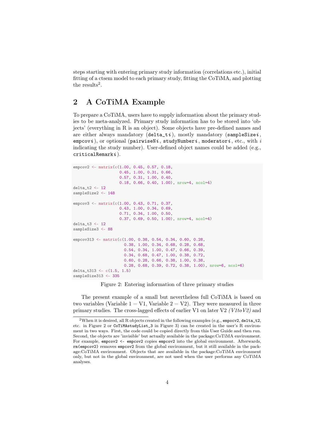steps starting with entering primary study information (correlations etc.), initial fitting of a ctsem model to each primary study, fitting the CoTiMA, and plotting the results<sup>[2](#page-3-1)</sup>.

# <span id="page-3-0"></span>2 A CoTiMA Example

To prepare a CoTiMA, users have to supply information about the primary studies to be meta-analyzed. Primary study information has to be stored into 'objects' (everything in R is an object). Some objects have pre-defined names and are either always mandatory (delta\_ti), mostly mandatory (sampleSizei, empcovi), or optional (pairwiseNi, studyNumberi, moderatori, etc., with  $i$ indicating the study number). User-defined object names could be added (e.g.,  $criticalRemark i$ ).

```
empcov2 <- matrix(c(1.00, 0.45, 0.57, 0.18,
                    0.45, 1.00, 0.31, 0.66,
                    0.57, 0.31, 1.00, 0.40,
                    0.18, 0.66, 0.40, 1.00), nrow=4, ncol=4)
delta_t2 <- 12
sampleSize2 <- 148
empcov3 <- matrix(c(1.00, 0.43, 0.71, 0.37,
                    0.43, 1.00, 0.34, 0.69,
                    0.71, 0.34, 1.00, 0.50,
                    0.37, 0.69, 0.50, 1.00), nrow=4, ncol=4)
delta_t3 <- 12
sampleSize3 <- 88
empcov313 <- matrix(c(1.00, 0.38, 0.54, 0.34, 0.60, 0.28,
                      0.38, 1.00, 0.34, 0.68, 0.28, 0.68,
                      0.54, 0.34, 1.00, 0.47, 0.66, 0.39,
                      0.34, 0.68, 0.47, 1.00, 0.38, 0.72,
                      0.60, 0.28, 0.66, 0.38, 1.00, 0.38,
                      0.28, 0.68, 0.39, 0.72, 0.38, 1.00), nrow=6, ncol=6)
delta_t313 <- c(1.5, 1.5)
sampleSize313 <- 335
```
<span id="page-3-2"></span>Figure 2: Entering information of three primary studies

The present example of a small but nevertheless full CoTiMA is based on two variables (Variable  $1 = \mathrm{V1}$ , Variable  $2 = \mathrm{V2}$ ). They were measured in three primary studies. The cross-lagged effects of earlier V1 on later V2 ( $V1toV2$ ) and

<span id="page-3-1"></span><sup>&</sup>lt;sup>2</sup>When it is desired, all R objects created in the following examples (e.g., empocy2, delta\_t2, etc. in Figure [2](#page-3-2) or CoTiMAstudyList\_3 in Figure [3\)](#page-4-0) can be created in the user's R environment in two ways. First, the code could be copied directly from this User Guide and then run. Second, the objects are 'invisible' but actually available in the package:CoTiMA environment. For example, empcov2 <- empcov2 copies empcov2 into the global environment. Afterwards, rm(empcov2) removes empcov2 from the global environment, but it still available in the package:CoTiMA environment. Objects that are available in the package:CoTiMA environment only, but not in the global environment, are not used when the user performs any CoTiMA analyses.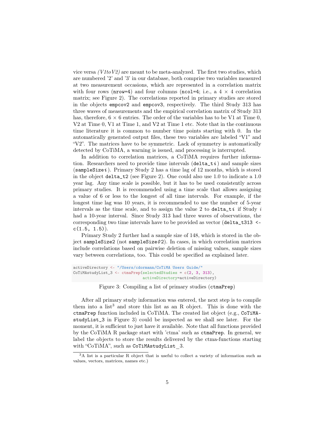vice versa  $(V1toV2)$  are meant to be meta-analyzed. The first two studies, which are numbered '2' and '3' in our database, both comprise two variables measured at two measurement occasions, which are represented in a correlation matrix with four rows (nrow=4) and four columns (ncol=4; i.e., a  $4 \times 4$  correlation matrix; see Figure [2\)](#page-3-2). The correlations reported in primary studies are stored in the objects empcov2 and empcov3, respectively. The third Study 313 has three waves of measurements and the empirical correlation matrix of Study 313 has, therefore,  $6 \times 6$  entries. The order of the variables has to be V1 at Time 0, V2 at Time 0, V1 at Time 1, and V2 at Time 1 etc. Note that in the continuous time literature it is common to number time points starting with 0. In the automatically generated output files, these two variables are labeled "V1" and "V2". The matrices have to be symmetric. Lack of symmetry is automatically detected by CoTiMA, a warning is issued, and processing is interrupted.

In addition to correlation matrices, a CoTiMA requires further information. Researchers need to provide time intervals  $(\text{delta\_t}_i)$  and sample sizes  $(sampleSize i)$ . Primary Study 2 has a time lag of 12 months, which is stored in the object delta\_t2 (see Figure [2\)](#page-3-2). One could also use 1.0 to indicate a 1.0 year lag. Any time scale is possible, but it has to be used consistently across primary studies. It is recommended using a time scale that allows assigning a value of 6 or less to the longest of all time intervals. For example, if the longest time lag was 10 years, it is recommended to use the number of 5-year intervals as the time scale, and to assign the value 2 to delta<sub>ti</sub> if Study i had a 10-year interval. Since Study 313 had three waves of observations, the corresponding two time intervals have to be provided as vector (delta\_t313 <  $c(1.5, 1.5)$ .

Primary Study 2 further had a sample size of 148, which is stored in the object sampleSize2 (not sampleSize $02$ ). In cases, in which correlation matrices include correlations based on pairwise deletion of missing values, sample sizes vary between correlations, too. This could be specified as explained later.

```
activeDirectory <- "/Users/cdormann/CoTiMA Users Guide/"
CoTiMAstudyList_3 <- ctmaPrep(selectedStudies = c(2, 3, 313),
                              activeDirectory=activeDirectory)
```
<span id="page-4-0"></span>Figure 3: Compiling a list of primary studies (ctmaPrep)

After all primary study information was entered, the next step is to compile them into a list<sup>[3](#page-4-1)</sup> and store this list as an R object. This is done with the ctmaPrep function included in CoTiMA. The created list object (e.g., CoTiMAstudyList\_3 in Figure [3\)](#page-4-0) could be inspected as we shall see later. For the moment, it is sufficient to just have it available. Note that all functions provided by the CoTiMA R package start with 'ctma' such as ctmaPrep. In general, we label the objects to store the results delivered by the ctma-functions starting with "CoTiMA", such as CoTiMAstudyList 3.

<span id="page-4-1"></span><sup>3</sup>A list is a particular R object that is useful to collect a variety of information such as values, vectors, matrices, names etc.)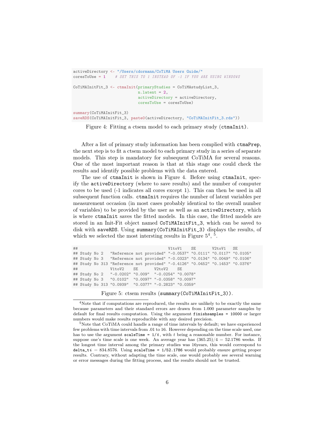```
activeDirectory <- "/Users/cdormann/CoTiMA Users Guide/"
coresToUse = 1 # SET THIS TO 1 INSTEAD OF -1 IF YOU ARE USING WINDOWS
CoTiMAInitFit_3 <- ctmaInit(primaryStudies = CoTiMAstudyList_3,
                            n.latent = 2,
                            activeDirectory = activeDirectory,
                            coresToUse = coresToUse)
summary(CoTiMAInitFit_3)
saveRDS(CoTiMAInitFit_3, paste0(activeDirectory, "CoTiMAInitFit_3.rds"))
```
<span id="page-5-0"></span>Figure 4: Fitting a ctsem model to each primary study (ctmaInit).

After a list of primary study information has been complied with ctmaPrep, the next step is to fit a ctsem model to each primary study in a series of separate models. This step is mandatory for subsequent CoTiMA for several reasons. One of the most important reason is that at this stage one could check the results and identify possible problems with the data entered.

The use of ctmaInit is shown in Figure [4.](#page-5-0) Before using ctmaInit, specify the activeDirectory (where to save results) and the number of computer cores to be used (-1 indicates all cores except 1). This can then be used in all subsequent function calls. ctmaInit requires the number of latent variables per measurement occasion (in most cases probably identical to the overall number of variables) to be provided by the user as well as an activeDirectory, which is where ctmaInit saves the fitted models. In this case, the fitted models are stored in an Init-Fit object named CoTiMAInitFit\_3, which can be saved to disk with saveRDS. Using summary(CoTiMAInitFit\_3) displays the results, of which we selected the most intersting results in Figure  $5^4$  $5^4$ ,  $5$ .

```
## V1toV1 SE V2toV1 SE
## Study No 2 "Reference not provided" "-0.0537" "0.0111" "0.0117" "0.0105"
            "Reference not provided" "-0.0323" "0.0134" "0.0049" "0.0106"
## Study No 313 "Reference not provided" "-0.4126" "0.0452" "0.1453" "0.0376"
## V1toV2 SE V2toV2 SE
## Study No 2 "-0.0202" "0.009" "-0.0254" "0.0078"
## Study No 3 "0.0102" "0.0097" "-0.0358" "0.0097"
## Study No 313 "0.0939" "0.0377" "-0.2823" "0.0359"
```
<span id="page-5-1"></span>Figure 5: ctsem results (summary(CoTiMAInitFit\_3)).

<span id="page-5-2"></span><sup>4</sup>Note that if computations are reproduced, the results are unlikely to be exactly the same because parameters and their standard errors are drawn from 1.000 parameter samples by default for final results computation. Using the argument finishsamples = 10000 or larger numbers would make results reproducible with any desired precision.

<span id="page-5-3"></span> $5N$ ote that CoTiMA could handle a range of time intervals by default; we have experienced few problems with time intervals from .01 to 16. However depending on the time scale used, one has to use the argument scaleTime =  $1/t$ , with t being a reasonable number. For instance, suppose one's time scale is one week. An average year has  $(365.25)/4 = 52.1786$  weeks. If the longest time interval among the primary studies was 16years, this would correspond to delta\_ti = 834.8576. Using scaleTime =  $1/52.1786$  would probably ensure getting proper results. Contrary, without adapting the time scale, one would probably see several warning or error messages during the fitting process, and the results should not be trusted.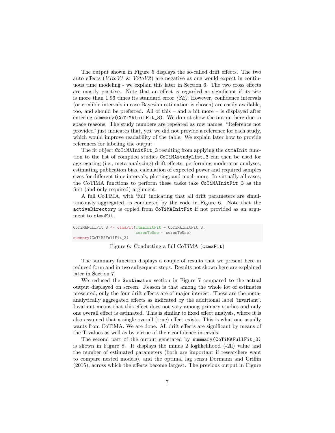The output shown in Figure [5](#page-5-1) displays the so-called drift effects. The two auto effects ( $V1toV1 \& V2toV2$ ) are negative as one would expect in continuous time modeling - we explain this later in Section [6.](#page-20-0) The two cross effects are mostly positive. Note that an effect is regarded as significant if its size is more than 1.96 times its standard error  $(SE)$ . However, confidence intervals (or credible intervals in case Bayesian estimation is chosen) are easily available, too, and should be preferred. All of this – and a bit more – is displayed after entering summary(CoTiMAInitFit\_3). We do not show the output here due to space reasons. The study numbers are repeated as row names. "Reference not provided" just indicates that, yes, we did not provide a reference for each study, which would improve readability of the table. We explain later how to provide references for labeling the output.

The fit object CoTiMAInitFit\_3 resulting from applying the ctmaInit function to the list of compiled studies CoTiMAstudyList\_3 can then be used for aggregating (i.e., meta-analyzing) drift effects, performing moderator analyses, estimating publication bias, calculation of expected power and required samples sizes for different time intervals, plotting, and much more. In virtually all cases, the CoTiMA functions to perform these tasks take CoTiMAInitFit\_3 as the first (and only required) argument.

A full CoTiMA, with 'full' indicating that all drift parameters are simultaneously aggregated, is conducted by the code in Figure [6.](#page-6-0) Note that the activeDirectory is copied from CoTiMAInitFit if not provided as an argument to ctmaFit.

```
CoTiMAFullFit_3 <- ctmaFit(ctmaInitFit = CoTiMAInitFit_3,
                           coresToUse = coresToUse)
summary(CoTiMAFullFit_3)
```
#### <span id="page-6-0"></span>Figure 6: Conducting a full CoTiMA (ctmaFit)

The summary function displays a couple of results that we present here in reduced form and in two subsequent steps. Results not shown here are explained later in Section [7.](#page-24-0)

We reduced the \$estimates section in Figure [7](#page-7-0) compared to the actual output displayed on screen. Reason is that among the whole lot of estimates presented, only the four drift effects are of major interest. These are the metaanalytically aggregated effects as indicated by the additional label 'invariant'. Invariant means that this effect does not vary among primary studies and only one overall effect is estimated. This is similar to fixed effect analysis, where it is also assumed that a single overall (true) effect exists. This is what one usually wants from CoTiMA. We are done. All drift effects are significant by means of the T-values as well as by virtue of their confidence intervals.

The second part of the output generated by summary(CoTiMAFullFit\_3) is shown in Figure [8.](#page-7-1) It displays the minus 2 loglikelihood (-2ll) value and the number of estimated parameters (both are important if researchers want to compare nested models), and the optimal lag sensu Dormann and Griffin (2015), across which the effects become largest. The previous output in Figure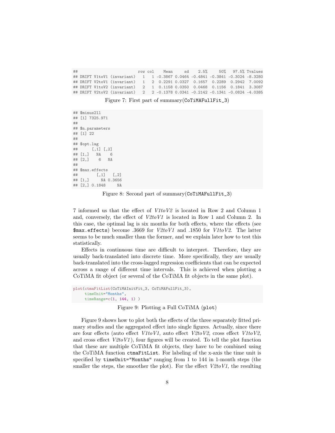## row col Mean sd 2.5% 50% 97.5% Tvalues 1 1 -0.3867 0.0464 -0.4841 -0.3841 -0.3024 -8.3280 ## DRIFT V2toV1 (invariant) 1 2 0.2291 0.0327 0.1657 0.2289 0.2942 7.0092 ## DRIFT V1toV2 (invariant) 2 1 0.1158 0.0350 0.0468 0.1156 0.1841 3.3087 ## DRIFT V2toV2 (invariant) 2 2 -0.1378 0.0341 -0.2142 -0.1341 -0.0824 -4.0385

<span id="page-7-0"></span>Figure 7: First part of summary(CoTiMAFullFit\_3)

```
## $minus2ll
## [1] 7325.971
##
## $n.parameters
## [1] 22
##
## $opt.lag
## [,1] [,2]
## [1,] NA 6
## [2,] 6
##
## $max.effects
## [,1] [,2]
## [1,] NA 0.3656
## [2,] 0.1848 NA
```
<span id="page-7-1"></span>Figure 8: Second part of summary(CoTiMAFullFit\_3)

[7](#page-7-0) informed us that the effect of V1toV2 is located in Row 2 and Column 1 and, conversely, the effect of  $V2toV1$  is located in Row 1 and Column 2. In this case, the optimal lag is six months for both effects, where the effects (see  $\frac{1}{2}$   $\frac{1}{2}$   $\frac{1}{2}$  become .3669 for  $V2toV1$  and .1850 for  $V1toV2$ . The latter seems to be much smaller than the former, and we explain later how to test this statistically.

Effects in continuous time are difficult to interpret. Therefore, they are usually back-translated into discrete time. More specifically, they are usually back-translated into the cross-lagged regression coefficients that can be expected across a range of different time intervals. This is achieved when plotting a CoTiMA fit object (or several of the CoTiMA fit objects in the same plot).

```
plot(ctmaFitList(CoTiMAInitFit_3, CoTiMAFullFit_3),
     timeUnit="Months",
     timeRange=c(1, 144, 1) )
```
<span id="page-7-2"></span>Figure 9: Plotting a Full CoTiMA (plot)

Figure [9](#page-7-2) shows how to plot both the effects of the three separately fitted primary studies and the aggregated effect into single figures. Actually, since there are four effects (auto effect  $V1toV1$ , auto effect  $V2toV2$ , cross effect  $V1toV2$ , and cross effect  $V2toV1$ , four figures will be created. To tell the plot function that these are multiple CoTiMA fit objects, they have to be combined using the CoTiMA function ctmaFitList. For labeling of the x-axis the time unit is specified by timeUnit="Months" ranging from 1 to 144 in 1-month steps (the smaller the steps, the smoother the plot). For the effect  $V2toVI$ , the resulting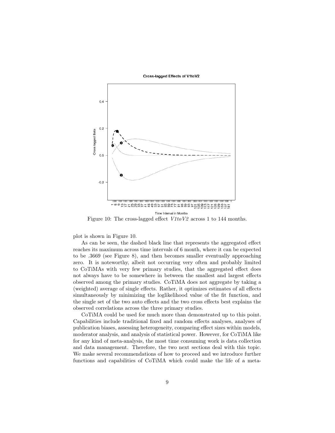#### Cross-lagged Effects of V1toV2



<span id="page-8-0"></span>Figure 10: The cross-lagged effect  $V1toV2$  across 1 to 144 months.

plot is shown in Figure [10.](#page-8-0)

As can be seen, the dashed black line that represents the aggregated effect reaches its maximum across time intervals of 6 month, where it can be expected to be .3669 (see Figure [8\)](#page-7-1), and then becomes smaller eventually approaching zero. It is noteworthy, albeit not occurring very often and probably limited to CoTiMAs with very few primary studies, that the aggregated effect does not always have to be somewhere in between the smallest and largest effects observed among the primary studies. CoTiMA does not aggregate by taking a (weighted) average of single effects. Rather, it optimizes estimates of all effects simultaneously by minimizing the loglikelihood value of the fit function, and the single set of the two auto effects and the two cross effects best explains the observed correlations across the three primary studies.

CoTiMA could be used for much more than demonstrated up to this point. Capabilities include traditional fixed and random effects analyses, analyses of publication biases, assessing heterogeneity, comparing effect sizes within models, moderator analysis, and analysis of statistical power. However, for CoTiMA like for any kind of meta-analysis, the most time consuming work is data collection and data management. Therefore, the two next sections deal with this topic. We make several recommendations of how to proceed and we introduce further functions and capabilities of CoTiMA which could make the life of a meta-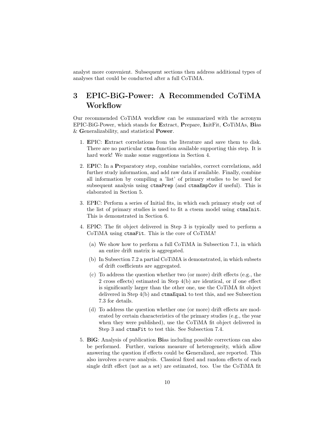analyst more convenient. Subsequent sections then address additional types of analyses that could be conducted after a full CoTiMA.

# <span id="page-9-0"></span>3 EPIC-BiG-Power: A Recommended CoTiMA **Workflow**

Our recommended CoTiMA workflow can be summarized with the acronym EPIC-BiG-Power, which stands for Extract, Prepare, InitFit, CoTiMAs, Bias & Generalizability, and statistical Power.

- 1. EPIC: Extract correlations from the literature and save them to disk. There are no particular ctma-function available supporting this step. It is hard work! We make some suggestions in Section [4.](#page-10-0)
- 2. EPIC: In a Preparatory step, combine variables, correct correlations, add further study information, and add raw data if available. Finally, combine all information by compiling a 'list' of primary studies to be used for subsequent analysis using ctmaPrep (and ctmaEmpCov if useful). This is elaborated in Section [5.](#page-12-0)
- 3. EPIC: Perform a series of Initial fits, in which each primary study out of the list of primary studies is used to fit a ctsem model using ctmaInit. This is demonstrated in Section [6.](#page-20-0)
- 4. EPIC: The fit object delivered in Step 3 is typically used to perform a CoTiMA using ctmaFit. This is the core of CoTiMA!
	- (a) We show how to perform a full CoTiMA in Subsection [7.1,](#page-24-1) in which an entire drift matrix is aggregated.
	- (b) In Subsection [7.2](#page-30-0) a partial CoTiMA is demonstrated, in which subsets of drift coefficients are aggregated.
	- (c) To address the question whether two (or more) drift effects (e.g., the 2 cross effects) estimated in Step 4(b) are identical, or if one effect is significantly larger than the other one, use the CoTiMA fit object delivered in Step 4(b) and ctmaEqual to test this, and see Subsection [7.3](#page-32-0) for details.
	- (d) To address the question whether one (or more) drift effects are moderated by certain characteristics of the primary studies (e.g., the year when they were published), use the CoTiMA fit object delivered in Step 3 and ctmaFit to test this. See Subsection [7.4.](#page-34-0)
- 5. BiG: Analysis of publication Bias including possible corrections can also be performed. Further, various measure of heterogeneity, which allow answering the question if effects could be Generalized, are reported. This also involves z-curve analysis. Classical fixed and random effects of each single drift effect (not as a set) are estimated, too. Use the CoTiMA fit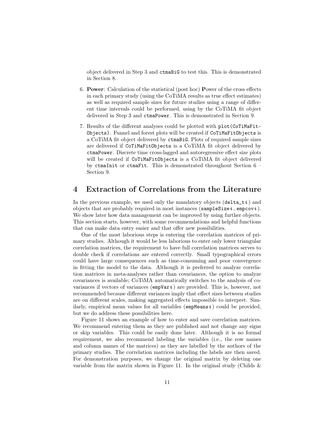object delivered in Step 3 and ctmaBiG to test this. This is demonstrated in Section [8.](#page-40-0)

- 6. Power: Calculation of the statistical (post hoc) Power of the cross effects in each primary study (using the CoTiMA results as true effect estimates) as well as required sample sizes for future studies using a range of different time intervals could be performed, using by the CoTiMA fit object delivered in Step 3 and ctmaPower. This is demonstrated in Section [9.](#page-47-0)
- 7. Results of the different analyses could be plotted with plot(CoTiMaFit-Objects). Funnel and forest plots will be created if CoTiMaFitObjects is a CoTiMA fit object delivered by ctmaBiG. Plots of required sample sizes are delivered if CoTiMaFitObjects is a CoTiMA fit object delivered by ctmaPower. Discrete time cross-lagged and autoregressive effect size plots will be created if CoTiMaFitObjects is a CoTiMA fit object delivered by ctmaInit or ctmaFit. This is demonstrated throughout Section [6](#page-20-0) – Section [9.](#page-47-0)

# <span id="page-10-0"></span>4 Extraction of Correlations from the Literature

In the previous example, we used only the mandatory objects  $(\text{delta } t, t)$  and objects that are probably required in most instances (sample Size  $i$ , empcov $i$ ). We show later how data management can be improved by using further objects. This section starts, however, with some recommendations and helpful functions that can make data entry easier and that offer new possibilities.

One of the most laborious steps is entering the correlation matrices of primary studies. Although it would be less laborious to enter only lower triangular correlation matrices, the requirement to have full correlation matrices serves to double check if correlations are entered correctly. Small typographical errors could have large consequences such as time-consuming and poor convergence in fitting the model to the data. Although it is preferred to analyze correlation matrices in meta-analyses rather than covariances, the option to analyze covariances is available; CoTiMA automatically switches to the analysis of covariances if vectors of variances ( $\epsilon$ mpVari) are provided. This is, however, not recommended because different variances imply that effect sizes between studies are on different scales, making aggregated effects impossible to interpret. Similarly, empirical mean values for all variables ( $empMeans i$ ) could be provided, but we do address these possibilities here.

Figure [11](#page-11-0) shows an example of how to enter and save correlation matrices. We recommend entering them as they are published and not change any signs or skip variables. This could be easily done later. Although it is no formal requirement, we also recommend labeling the variables (i.e., the row names and column names of the matrices) as they are labelled by the authors of the primary studies. The correlation matrices including the labels are then saved. For demonstration purposes, we change the original matrix by deleting one variable from the matrix shown in Figure [11.](#page-11-0) In the original study (Childs  $\&$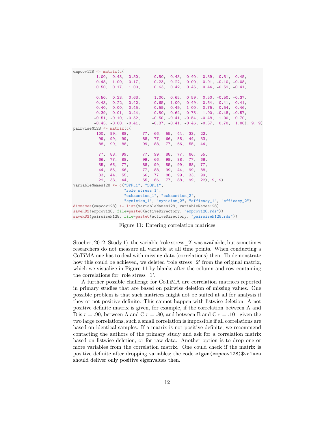| $empcov128 \leq -\text{matrix}(c)$                                      |                                                                |  |  |  |                                                                      |  |
|-------------------------------------------------------------------------|----------------------------------------------------------------|--|--|--|----------------------------------------------------------------------|--|
|                                                                         | 1.00, 0.48, 0.50, 0.50, 0.43, 0.40, 0.39, -0.51, -0.45,        |  |  |  |                                                                      |  |
|                                                                         | $0.48, 1.00, 0.17, 0.23, 0.22, 0.00, 0.01, -0.10, -0.08,$      |  |  |  |                                                                      |  |
|                                                                         | 0.50, 0.17, 1.00,                                              |  |  |  | $0.63, 0.42, 0.45, 0.44, -0.52, -0.41,$                              |  |
|                                                                         |                                                                |  |  |  |                                                                      |  |
|                                                                         | $0.50, 0.23, 0.63, 1.00, 0.65, 0.59, 0.50, -0.50, -0.37,$      |  |  |  |                                                                      |  |
|                                                                         | $0.43, 0.22, 0.42, 0.65, 1.00, 0.49, 0.64, -0.41, -0.41,$      |  |  |  |                                                                      |  |
|                                                                         | $0.40, 0.00, 0.45, 0.59, 0.49, 1.00, 0.75, -0.54, -0.46,$      |  |  |  |                                                                      |  |
|                                                                         | $0.39, 0.01, 0.44, 0.50, 0.64, 0.75, 1.00, -0.48, -0.57,$      |  |  |  |                                                                      |  |
|                                                                         | $-0.51, -0.10, -0.52, -0.50, -0.41, -0.54, -0.48, 1.00, 0.70,$ |  |  |  |                                                                      |  |
|                                                                         |                                                                |  |  |  | $-0.45, -0.08, -0.41, -0.37, -0.41, -0.46, -0.57, 0.70, 1.00), 9, 9$ |  |
| $pairwiseN128 \leftarrow matrix(c()$                                    |                                                                |  |  |  |                                                                      |  |
|                                                                         | 100, 99, 88, 77, 66, 55, 44, 33, 22,                           |  |  |  |                                                                      |  |
|                                                                         | 99, 99, 99, 88, 77, 66, 55, 44, 33,                            |  |  |  |                                                                      |  |
|                                                                         | 88, 99, 88, 99, 88, 77, 66, 55, 44,                            |  |  |  |                                                                      |  |
|                                                                         | 77, 88, 99, 77, 99, 88, 77, 66, 55,                            |  |  |  |                                                                      |  |
|                                                                         | 66, 77, 88, 99, 66, 99, 88, 77, 66,                            |  |  |  |                                                                      |  |
|                                                                         |                                                                |  |  |  |                                                                      |  |
|                                                                         | 55, 66, 77, 88, 99, 55, 99, 88, 77,                            |  |  |  |                                                                      |  |
|                                                                         | 44, 55, 66, 77, 88, 99, 44, 99, 88,                            |  |  |  |                                                                      |  |
|                                                                         | 33, 44, 55, 66, 77, 88, 99, 33, 99,                            |  |  |  |                                                                      |  |
|                                                                         | $22, 33, 44, 55, 66, 77, 88, 99, 22, 9, 9$                     |  |  |  |                                                                      |  |
| variableNames128 <- c("SPP_1", "SOP_1",                                 |                                                                |  |  |  |                                                                      |  |
|                                                                         | "role stress_1",                                               |  |  |  |                                                                      |  |
|                                                                         | "exhaustion_1", "exhaustion_2",                                |  |  |  |                                                                      |  |
|                                                                         |                                                                |  |  |  | "cynicism_1", "cynicism_2", "efficacy_1", "efficacy_2")              |  |
| dimnames(empcov128) <- list(variableNames128, variableNames128)         |                                                                |  |  |  |                                                                      |  |
| saveRDS(empcov128, file=paste0(activeDirectory, "empcov128.rds"))       |                                                                |  |  |  |                                                                      |  |
| saveRDS(pairwiseN128, file=paste0(activeDirectory, "pairwiseN128.rds")) |                                                                |  |  |  |                                                                      |  |

<span id="page-11-0"></span>Figure 11: Entering correlation matrices

Stoeber, 2012, Study 1), the variable 'role stress\_2' was available, but sometimes researchers do not measure all variable at all time points. When conducting a CoTiMA one has to deal with missing data (correlations) then. To demonstrate how this could be achieved, we deleted 'role stress  $2'$  from the original matrix, which we visualize in Figure [11](#page-11-0) by blanks after the column and row containing the correlations for 'role stress\_1'.

A further possible challenge for CoTiMA are correlation matrices reported in primary studies that are based on pairwise deletion of missing values. One possible problem is that such matrices might not be suited at all for analysis if they or not positive definite. This cannot happen with listwise deletion. A not positive definite matrix is given, for example, if the correlation between A and B is  $r = .90$ , between A and C  $r = .80$ , and between B and C  $r = .10$  - given the two large correlations, such a small correlation is impossible if all correlations are based on identical samples. If a matrix is not positive definite, we recommend contacting the authors of the primary study and ask for a correlation matrix based on listwise deletion, or for raw data. Another option is to drop one or more variables from the correlation matrix. One could check if the matrix is positive definite after dropping variables; the code eigen(empcov128)\$values should deliver only positive eigenvalues then.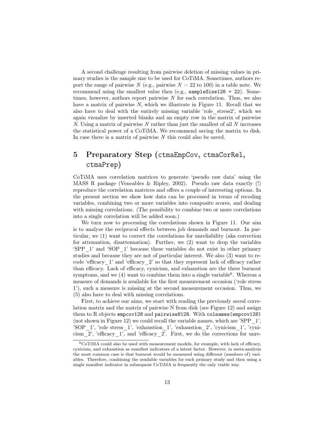A second challenge resulting from pairwise deletion of missing values in primary studies is the sample size to be used for CoTiMA. Sometimes, authors report the range of pairwise N (e.g., pairwise  $N = 22$  to 100) in a table note. We recommend using the smallest value then (e.g., sampleSize128 = 22). Sometimes, however, authors report pairwise N for each correlation. Thus, we also have a matrix of pairwise N, which we illustrate in Figure [11.](#page-11-0) Recall that we also have to deal with the entirely missing variable 'role\_stress2', which we again visualize by inserted blanks and an empty row in the matrix of pairwise N. Using a matrix of pairwise N rather than just the smallest of all  $N$  increases the statistical power of a CoTiMA. We recommend saving the matrix to disk. In case there is a matrix of pairwise N this could also be saved.

# <span id="page-12-0"></span>5 Preparatory Step (ctmaEmpCov, ctmaCorRel, ctmaPrep)

CoTiMA uses correlation matrices to generate 'pseudo raw data' using the MASS R package (Veneables & Ripley, 2002). Pseudo raw data exactly (!) reproduce the correlation matrices and offers a couple of interesting options. In the present section we show how data can be processed in terms of recoding variables, combining two or more variables into composite scores, and dealing with missing correlations. (The possibility to combine two or more correlations into a single correlation will be added soon.)

We turn now to processing the correlations shown in Figure [11.](#page-11-0) Our aim is to analyze the reciprocal effects between job demands and burnout. In particular, we (1) want to correct the correlations for unreliability (aka correction for attenuation, disattenuation). Further, we (2) want to drop the variables 'SPP\_1' and 'SOP\_1' because these variables do not exist in other primary studies and because they are not of particular interest. We also (3) want to recode 'efficacy\_1' and 'efficacy\_2' so that they represent lack of efficacy rather than efficacy. Lack of efficacy, cynicism, and exhaustion are the three burnout symptoms, and we  $(4)$  want to combine them into a single variable<sup>[6](#page-12-1)</sup>. Whereas a measure of demands is available for the first measurement occasion ('role stress 1'), such a measure is missing at the second measurement occasion. Thus, we (5) also have to deal with missing correlations.

First, to achieve our aims, we start with reading the previously saved correlation matrix and the matrix of pairwise N from disk (see Figure [12\)](#page-13-0) and assign them to R objects empcov128 and pairwiseN128. With colnames(empcov128) (not shown in Figure [12\)](#page-13-0) we could recall the variable names, which are 'SPP\_1', 'SOP\_1', 'role stress\_1', 'exhaustion\_1', 'exhaustion\_2', 'cynicism\_1', 'cynicism  $2'$ , 'efficacy  $1'$ , and 'efficacy $2'$ . First, we do the corrections for unre-

<span id="page-12-1"></span> $6C<sub>0</sub>$  CoTiMA could also be used with measurement models, for example, with lack of efficacy, cynicism, and exhaustion as manifest indicators of a latent factor. However, in meta-analysis the most common case is that burnout would be measured using different (numbers of) variables. Therefore, combining the available variables for each primary study and then using a single manifest indicator in subsequent CoTiMA is frequently the only viable way.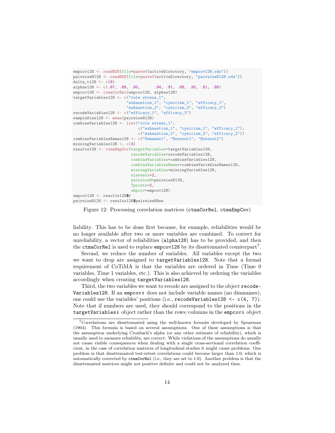```
empcov128 <- readRDS(file=paste0(activeDirectory, "empcov128.rds"))
pairwiseN128 <- readRDS(file=paste0(activeDirectory, "pairwiseN128.rds"))
delta_t128 <- c(6)
alphas128 <- c(.87, .88, .80, .94, .91, .88, .95, .81, .88)
empcov128 <- ctmaCorRel(empcov128, alphas128)
targetVariables128 <- c("role stress_1",
                       "exhaustion_1", "cynicism_1", "efficacy_1",
                       "exhaustion_2", "cynicism_2", "efficacy_2")
recodeVariables128 <- c("efficacy_1", "efficacy_2")
sampleSize128 <- mean(pairwiseN128)
combineVariables128 <- list("role stress_1",
                            c("exhaustion_1", "cynicism_1", "efficacy_1"),
                            c("exhaustion_2", "cynicism_2", "efficacy_2"))
combineVariablesNames128 <- c("Demands1", "Burnout1", "Burnout2")
missingVariables128 <- c(3)
results128 <- ctmaEmpCov(targetVariables=targetVariables128,
                        recodeVariables=recodeVariables128,
                         combineVariables=combineVariables128,
                         combineVariablesNames=combineVariablesNames128,
                         missingVariables=missingVariables128,
                         nlatents=2,
                         pairwiseN=pairwiseN128,
                         Tpoints=2
                         empcov=empcov128)
empcov128 <- results128$r
pairwiseN128 <- results128$pairwiseNNew
```
<span id="page-13-0"></span>Figure 12: Processing correlation matrices (ctmaCorRel, ctmaEmpCov)

liability. This has to be done first because, for example, reliabilities would be no longer available after two or more variables are combined. To correct for unreliability, a vector of reliabilities (alpha128) has to be provided, and then the ctmaCorRe1 is used to replace empcov128 by its disattenuated counterpart<sup>[7](#page-13-1)</sup>.

Second, we reduce the number of variables. All variables except the two we want to drop are assigned to targetVariables128. Note that a formal requirement of CoTiMA is that the variables are ordered in Time (Time 0 variables, Time 1 variables, etc.). This is also achieved by ordering the variables accordingly when creating targetVariables128.

Third, the two variables we want to recode are assigned to the object recode-Variables 128. If an empcovi does not include variable names (no dimnames), one could use the variables' positions (i.e., recodeVariables128 <- c(4, 7)). Note that if numbers are used, they should correspond to the positions in the targetVariablesi object rather than the rows/columns in the empcovi object

<span id="page-13-1"></span><sup>7</sup>Correlations are disattenuated using the well-known formula developed by Spearman (1904). This formula is based on several assumptions. One of these assumptions is that the assumption underlying Cronbach's alpha (or any other estimate of reliability), which is usually used to measure reliability, are correct. While violations of the assumptions do usually not cause visible consequences when dealing with a single cross-sectional correlation coefficient, in the case of correlation matrices of longitudinal studies it might cause problems. One problem is that disattenuated test-retest correlations could become larger than 1.0, which is automatically corrected by ctmaCorRel (i.e., they are set to 1.0). Another problem is that the disattenuated matrices might not positive definite and could not be analyzed then.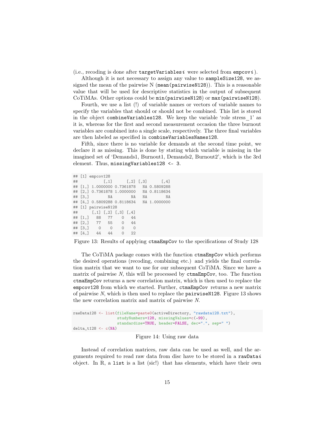(i.e., recoding is done after targetVariablesi were selected from empcovi).

Although it is not necessary to assign any value to sampleSize128, we assigned the mean of the pairwise N (mean (pairwise N128)). This is a reasonable value that will be used for descriptive statistics in the output of subsequent CoTiMAs. Other options could be min(pairwiseN128) or max(pairwiseN128).

Fourth, we use a list (!) of variable names or vectors of variable names to specify the variables that should or should not be combined. This list is stored in the object combineVariables128. We keep the variable 'role stress\_1' as it is, whereas for the first and second measurement occasion the three burnout variables are combined into a single scale, respectively. The three final variables are then labeled as specified in combineVariablesNames128.

Fifth, since there is no variable for demands at the second time point, we declare it as missing. This is done by stating which variable is missing in the imagined set of 'Demands1, Burnout1, Demands2, Burnout2', which is the 3rd element. Thus, missingVariables128 <- 3.

```
## [1] empcov128
## [,1] [,2] [,3] [,4]
## [1,] 1.0000000 0.7361878 NA 0.5809288
## [2,] 0.7361878 1.0000000 NA 0.8118634
## [3,] NA NA NA NA
## [4,] 0.5809288 0.8118634 NA 1.0000000
## [1] pairwiseN128
## [,1] [,2] [,3] [,4]
## [1,] 88 77 0 44
## [2,] 77 55 0 44
## [3,] 0 0 0 0
## [4,] 44 44 0 22
```
<span id="page-14-0"></span>Figure 13: Results of applying ctmaEmpCov to the specifications of Study 128

The CoTiMA package comes with the function ctmaEmpCov which performs the desired operations (recoding, combining etc.) and yields the final correlation matrix that we want to use for our subsequent CoTiMA. Since we have a matrix of pairwise  $N$ , this will be processed by  $ctmaEmpCov$ , too. The function ctmaEmpCov returns a new correlation matrix, which is then used to replace the empcov128 from which we started. Further, ctmaEmpCov returns a new matrix of pairwise N, which is then used to replace the pairwiseN128. Figure [13](#page-14-0) shows the new correlation matrix and matrix of pairwise N.

```
rawData128 <- list(fileName=paste0(activeDirectory, "rawdata128.txt"),
                   studyNumbers=128, missingValues=c(-99),
                   standardize=TRUE, header=FALSE, dec=".", sep=" ")
delta_t128 <- c(NA)
```
Figure 14: Using raw data

Instead of correlation matrices, raw data can be used as well, and the arguments required to read raw data from disc have to be stored in a rawDatai object. In  $R$ , a list is a list (sic!) that has elements, which have their own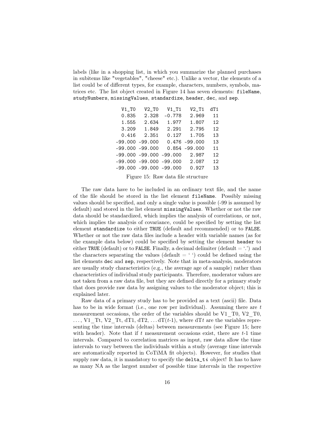labels (like in a shopping list, in which you summarize the planned purchases in subitems like "vegetables", "cheese" etc.). Unlike a vector, the elements of a list could be of different types, for example, characters, numbers, symbols, matrices etc. The list object created in Figure 14 has seven elements: fileName, studyNumbers, missingValues, standardize, header, dec, and sep.

| $V1_T0$            | $V2_T0$                     | $V1_T1$   | $V2_T1$          | dT1 |
|--------------------|-----------------------------|-----------|------------------|-----|
| 0.835              | 2.328                       | $-0.778$  | 2.969            | 11  |
| 1.555              | 2.634                       | 1.977     | 1.807            | 12  |
| 3.209              | 1.849                       | 2.291     | 2.795            | 12  |
| 0.416              | 2.351                       | 0.127     | 1.705            | 13  |
| $-99.000 - 99.000$ |                             |           | $0.476 - 99.000$ | 13  |
| $-99.000 - 99.000$ |                             | 0.854     | $-99.000$        | 11  |
|                    | $-99.000 - 99.000$          | $-99.000$ | 2.987            | 12  |
|                    | $-99.000 - 99.000 - 99.000$ |           | 2.087            | 12  |
|                    | $-99.000 - 99.000 - 99.000$ |           | 0.927            | 13  |

<span id="page-15-0"></span>Figure 15: Raw data file structure

The raw data have to be included in an ordinary text file, and the name of the file should be stored in the list element fileName. Possibly missing values should be specified, and only a single value is possible (-99 is assumed by default) and stored in the list element missingValues. Whether or not the raw data should be standardized, which implies the analysis of correlations, or not, which implies the analysis of covariance, could be specified by setting the list element standardize to either TRUE (default and recommended) or to FALSE. Whether or not the raw data files include a header with variable names (as for the example data below) could be specified by setting the element header to either TRUE (default) or to FALSE. Finally, a decimal delimiter (default  $=$  '.') and the characters separating the values (default  $=$  ') could be defined using the list elements dec and sep, respectively. Note that in meta-analysis, moderators are usually study characteristics (e.g., the average age of a sample) rather than characteristics of individual study participants. Therefore, moderator values are not taken from a raw data file, but they are defined directly for a primary study that does provide raw data by assigning values to the moderator object; this is explained later.

Raw data of a primary study has to be provided as a text (ascii) file. Data has to be in wide format (i.e., one row per individual). Assuming there are  $t$ measurement occasions, the order of the variables should be V1\_T0, V2\_T0,  $\ldots$ , V1\_Tt, V2\_Tt, dT1, dT2,  $\ldots$  dT(t-1), where dTt are the variables representing the time intervals (deltas) between measurements (see Figure [15;](#page-15-0) here with header). Note that if t measurement occasions exist, there are  $t-1$  time intervals. Compared to correlation matrices as input, raw data allow the time intervals to vary between the individuals within a study (average time intervals are automatically reported in CoTiMA fit objects). However, for studies that supply raw data, it is mandatory to specify the  $\texttt{delta\_t}i$  object! It has to have as many NA as the largest number of possible time intervals in the respective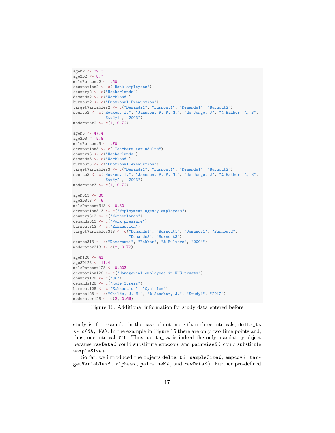```
ageM2 <- 39.3
ageSD2 <- 8.7
malePercent2 <- .60
occupation2 <- c("Bank employees")
country2 <- c("Netherlands")
demands2 <- c("Workload")
burnout2 <- c("Emotional Exhaustion")
targetVariables2 <- c("Demands1", "Burnout1", "Demands1", "Burnout2")
source2 <- c("Houkes, I,", "Janssen, P, P, M,", "de Jonge, J", "& Bakker, A, B",
             "Study1", "2003")
moderator2 \leq c(1, 0.72)ageM3 <- 47.4
ageSD3 <- 5.8
malePercent3 <- .70
occupation3 <- c("Teachers for adults")
country3 <- c("Netherlands")
demands3 <- c("Workload")
burnout3 <- c("Emotional exhaustion")
targetVariables3 <- c("Demands1", "Burnout1", "Demands1", "Burnout2")
source3 <- c("Houkes, I,", "Janssen, P, P, M,", "de Jonge, J", "& Bakker, A, B",
             "Study2", "2003")
moderator3 \leftarrow c(1, 0.72)ageM313 <- 30
ageSD313 <- 6
malePercent313 <- 0.30
occupation313 <- c("Wmployment agency employees")
country313 <- c("Netherlands")
demands313 <- c("Work pressure")
burnout313 <- c("Exhaustion")
targetVariables313 <- c("Demands1", "Burnout1", "Demands1", "Burnout2",
                         "Demands3", "Burnout3")
source313 <- c("Demerouti", "Bakker", "& Bulters", "2004")
moderator313 <- c(2, 0.72)ageM128 <- 41
ageSD128 <- 11.4
malePercent128 <- 0.203
occupation128 <- c("Managerial employees in NHS trusts")
country128 <- c("UK")
demands128 <- c("Role Stress")
burnout128 <- c("Exhaustion", "Cynicism")
source128 <- c("Childs, J. H.", "& Stoeber, J.", "Study1", "2012")
moderator128 <- c(2, 0.66)
```
<span id="page-16-0"></span>Figure 16: Additional information for study data entered before

study is, for example, in the case of not more than three intervals,  $delta$ telta\_ti <- c(NA, NA). In the example in Figure [15](#page-15-0) there are only two time points and, thus, one interval  $dT1$ . Thus,  $det\ i$  is indeed the only mandatory object because rawDatai could substitute empcovi and pairwiseNi could substitute sampleSizei .

So far, we introduced the objects delta\_ti, sampleSizei, empcovi, targetVariablesi, alphasi, pairwiseNi, and rawDatai). Further pre-defined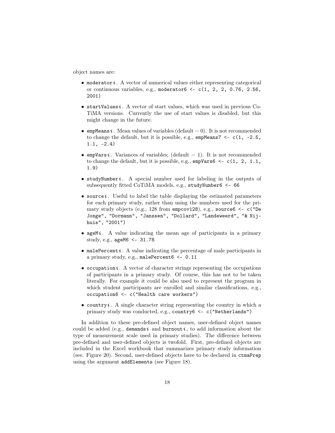object names are:

- moderator  $i$ . A vector of numerical values either representing categorical or continuous variables, e.g., moderator $6 \leq c(1, 2, 2, 0.76, 2.56,$ 2001)
- $\bullet$  startValuesi. A vector of start values, which was used in previous Co-TiMA versions. Currently the use of start values is disabled, but this might change in the future.
- empMeans i. Mean values of variables (default  $= 0$ ). It is not recommended to change the default, but it is possible, e.g.,  $\epsilon$ mpMeans7 <-  $c(1, -2.5,$  $1.1, -2.4)$
- empVarsi. Variances of variables; (default = 1). It is not recommended to change the default, but it is possible, e.g.,  $\epsilon$ mpVars6 <- c(1, 2, 1.1, 1.9)
- studyNumberi. A special number used for labeling in the outputs of subsequently fitted CoTiMA models, e.g., studyNumber6 <- 66
- $\bullet$  source *i*. Useful to label the table displaying the estimated parameters for each primary study, rather than using the numbers used for the primary study objects (e.g., 128 from  $\epsilon$  empcov128), e.g., source  $\epsilon$  < - c("De Jonge", "Dormann", "Janssen", "Dollard", "Landeweerd", "& Nijhuis", "2001")
- ageMi. A value indicating the mean age of participants in a primary study, e.g., ageM6 <- 31.78
- malePercent  $i$ . A value indicating the percentage of male participants in a primary study, e.g., malePercent6 <- 0.11
- occupation  $i$ . A vector of character strings representing the occupations of participants in a primary study. Of course, this has not to be taken literally. For example it could be also used to represent the program in which student participants are enrolled and similar classifications, e.g., occupation6 <- c("Health care workers")
- country  $i$ . A single character string representing the country in which a primary study was conducted, e.g., country6 <- c("Netherlands")

In addition to these pre-defined object names, user-defined object names could be added (e.g., demands i and burnout i, to add information about the type of measurement scale used in primary studies). The difference between pre-defined and user-defined objects is twofold. First, pre-defined objects are included in the Excel workbook that summarizes primary study information (see. Figure [20\)](#page-19-0). Second, user-defined objects have to be declared in ctmaPrep using the argument addElements (see Figure [18\)](#page-19-1).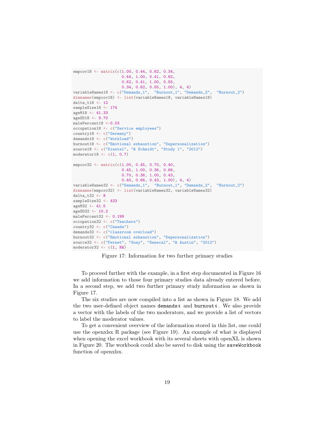```
empcov18 <- matrix(c(1.00, 0.44, 0.62, 0.34,
                     0.44, 1.00, 0.41, 0.62,
                     0.62, 0.41, 1.00, 0.55,
                     0.34, 0.62, 0.55, 1.00), 4, 4)
variableNames18 <- c("Demands_1", "Burnout_1", "Demands_2", "Burnout_2")
dimnames(empcov18) <- list(variableNames18, variableNames18)
delta_t18 <- 12
sampleSize18 <- 174
ageM18 <- 41.33
ageSD18 <- 9.70
malePercent18 <-0.03
occupation18 <- c("Service employees")
country18 <- c("Germany")
demands18 <- c("Workload")
burnout18 <- c("Emotional exhaustion", "Depersonalization")
source18 <- c("Diestel", "& Schmidt", "Study 1", "2012")
moderator18 \leftarrow c(1, 0.7)empcov32 <- matrix(c(1.00, 0.45, 0.70, 0.40,
                     0.45, 1.00, 0.36, 0.66,
                     0.70, 0.36, 1.00, 0.43,
                     0.40, 0.66, 0.43, 1.00), 4, 4)
variableNames32 <- c("Demands_1", "Burnout_1", "Demands_2", "Burnout_2")
dimnames(empcov32) <- list(variableNames32, variableNames32)
delta_t32 <- 8
sampleSize32 <- 433
ageM32 <- 41.5
ageSD32 <- 10.2
malePercent32 <- 0.199
occupation32 <- c("Teachers")
country32 <- c("Canada")
demands32 <- c("classroom overload")
burnout32 <- c("Emotional exhaustion", "Depersonalization")
source32 <- c("Fernet", "Guay", "Senecal", "& Austin", "2012")
moderator32 \leftarrow c(1, NA)
```
<span id="page-18-0"></span>Figure 17: Information for two further primary studies

To proceed further with the example, in a first step documented in Figure [16](#page-16-0) we add information to those four primary studies data already entered before. In a second step, we add two further primary study information as shown in Figure [17.](#page-18-0)

The six studies are now compiled into a list as shown in Figure [18.](#page-19-1) We add the two user-defined object names demands i and burnout i. We also provide a vector with the labels of the two moderators, and we provide a list of vectors to label the moderator values.

To get a convenient overview of the information stored in this list, one could use the openxlsx R package (see Figure 19). An example of what is displayed when opening the excel workbook with its several sheets with openXL is shown in Figure 20. The workbook could also be saved to disk using the saveWorkbook function of openxlsx.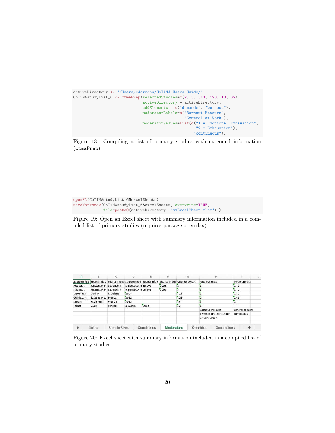```
activeDirectory <- "/Users/cdormann/CoTiMA Users Guide/"
CoTiMAstudyList_6 <- ctmaPrep(selectedStudies=c(2, 3, 313, 128, 18, 32),
                              activeDirectory = activeDirectory,
                              addElements = c("demands", "burnout"),
                              moderatorLabels=c("Burnout Measure",
                                                "Control at Work"),
                              moderatorValues=list(c("1 = Emotional Exhaustion",
                                                     "2 = Exhaustion"),
                                                    "continuous"))
```
<span id="page-19-1"></span>Figure 18: Compiling a list of primary studies with extended information (ctmaPrep)

```
openXL(CoTiMAstudyList_6$excelSheets)
saveWorkbook(CoTiMAstudyList_6$excelSheets, overwrite=TRUE,
             file=paste0(activeDirectory, "myExcelSheet.xlsx") )
```
Figure 19: Open an Excel sheet with summary information included in a compiled list of primary studies (requires package openxlsx)

| Α             | B                                                       | C            | D                     |              |                   | G                             |                        | н                          |                 |   |  |
|---------------|---------------------------------------------------------|--------------|-----------------------|--------------|-------------------|-------------------------------|------------------------|----------------------------|-----------------|---|--|
| Source Info 1 | Source Info 2 Source Info 3 Source Info 4 Source Info 5 |              |                       |              |                   | Source Info 6 Orig. Study No. | Moderator #1           |                            | Moderator #2    |   |  |
| Houkes, I,    | Janssen, P, P, de Jonge, J                              |              | & Bakker, A, B Study1 |              | 2003              |                               |                        |                            | 0.72            |   |  |
| Houkes, I,    | Janssen, P, P, de Jonge, J                              |              | & Bakker, A, B Study2 |              | 2003              |                               |                        |                            | 0.72            |   |  |
| Demerouti     | Bakker                                                  | & Bulters    | 2004                  |              |                   | 313                           |                        |                            | 0.72            |   |  |
| Childs, J. H. | & Stoeber, J.                                           | Study1       | 2012                  |              |                   | 128                           |                        |                            | 0.66            |   |  |
| Diestel       | & Schmidt                                               | Study 1      | 2012                  |              |                   | 18                            |                        |                            | 0.7             |   |  |
| Fernet        | Guay                                                    | Senécal      | & Austin              | 2012         |                   | 52                            |                        |                            |                 |   |  |
|               |                                                         |              |                       |              |                   |                               | <b>Burnout Measure</b> |                            | Control at Work |   |  |
|               |                                                         |              |                       |              |                   |                               |                        | $1 =$ Emotional Exhaustion | continuous      |   |  |
|               |                                                         |              |                       |              |                   |                               | $2 =$ Exhaustion       |                            |                 |   |  |
|               |                                                         |              |                       |              |                   |                               |                        |                            |                 |   |  |
| ь             | Deltas                                                  | Sample Sizes |                       | Correlations | <b>Moderators</b> |                               | Countries              | Occupations                |                 | ÷ |  |

<span id="page-19-0"></span>Figure 20: Excel sheet with summary information included in a compiled list of primary studies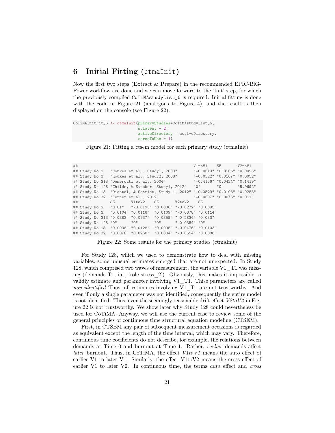# <span id="page-20-0"></span>6 Initial Fitting (ctmaInit)

Now the first two steps (Extract & Prepare) in the recommended EPIC-BiG-Power workflow are done and we can move forward to the 'Init' step, for which the previously compiled CoTiMAstudyList\_6 is required. Initial fitting is done with the code in Figure [21](#page-20-1) (analogous to Figure [4\)](#page-5-0), and the result is then displayed on the console (see Figure [22\)](#page-20-2).

```
CoTiMAInitFit_6 <- ctmaInit(primaryStudies=CoTiMAstudyList_6,
                            n.latent = 2,
                            activeDirectory = activeDirectory,
                            coresToUse = 1)
```
<span id="page-20-1"></span>Figure 21: Fitting a ctsem model for each primary study (ctmaInit)

```
## V1toV1 SE V2toV1
## Study No 2 "Houkes et al., Study1, 2003" "-0.0519" "0.0106" "0.0096"
## Study No 3 "Houkes et al., Study2, 2003" "-0.0322" "0.0107" "0.0052"
## Study No 313 "Demerouti et al., 2004" "-0.4156" "0.0424" "0.1419"
## Study No 128 "Childs, & Stoeber, Study1, 2012"
## Study No 18 "Diestel, & Schmidt, Study 1, 2012" "-0.0529" "0.0103" "0.0253"
## Study No 32 "Fernet et al., 2012" "-0.0507" "0.0075" "0.011"
## SE V1toV2 SE V2toV2 SE
## Study No 2 "0.01" "-0.0195" "0.0086" "-0.0272" "0.0095"
## Study No 3 "0.0104" "0.0116" "0.0109" "-0.0378" "0.0114"
## Study No 313 "0.0383" "0.0937" "0.0359" "-0.2834" "0.033"
## Study No 128 "0" "0" "0" "-0.0384" "0"
## Study No 18 "0.0098" "0.0128" "0.0095" "-0.0476" "0.0103"
## Study No 32 "0.0076" "0.0258"
```
<span id="page-20-2"></span>Figure 22: Some results for the primary studies (ctmaInit)

For Study 128, which we used to demonstrate how to deal with missing variables, some unusual estimates emerged that are not unexpected. In Study 128, which comprised two waves of measurement, the variable V1\_T1 was missing (demands T1, i.e., 'role stress\_2'). Obviously, this makes it impossible to validly estimate and parameter involving V1\_T1. Thise parameters are called non-identified Thus, all estimates involving V1 T1 are not trustworthy. And even if only a single parameter was not identified, consequently the entire model is not identified. Thus, even the seemingly reasonable drift effect  $V2toV2$  in Figure [22](#page-20-2) is not trustworthy. We show later why Study 128 could nevertheless be used for CoTiMA. Anyway, we will use the current case to review some of the general principles of continuous time structural equation modeling (CTSEM).

First, in CTSEM any pair of subsequent measurement occasions is regarded as equivalent except the length of the time interval, which may vary. Therefore, continuous time coefficients do not describe, for example, the relations between demands at Time 0 and burnout at Time 1. Rather, earlier demands affect *later* burnout. Thus, in CoTiMA, the effect  $V1toV1$  means the auto effect of earlier V1 to later V1. Similarly, the effect V1toV2 means the cross effect of earlier V1 to later V2. In continuous time, the terms auto effect and cross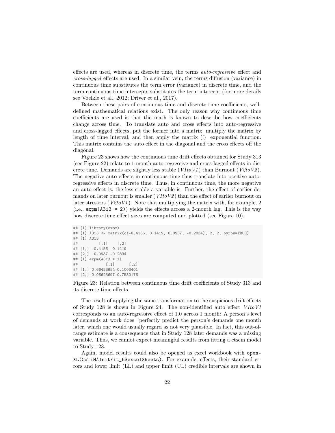effects are used, whereas in discrete time, the terms auto-regressive effect and cross-lagged effects are used. In a similar vein, the terms diffusion (variance) in continuous time substitutes the term error (variance) in discrete time, and the term continuous time intercepts substitutes the term intercept (for more details see Voelkle et al., 2012; Driver et al., 2017).

Between these pairs of continuous time and discrete time coefficients, welldefined mathematical relations exist. The only reason why continuous time coefficients are used is that the math is known to describe how coefficients change across time. To translate auto and cross effects into auto-regressive and cross-lagged effects, put the former into a matrix, multiply the matrix by length of time interval, and then apply the matrix (!) exponential function. This matrix contains the auto effect in the diagonal and the cross effects off the diagonal.

Figure [23](#page-21-0) shows how the continuous time drift effects obtained for Study 313 (see Figure [22\)](#page-20-2) relate to 1-month auto-regressive and cross-lagged effects in discrete time. Demands are slightly less stable  $(V1toV1)$  than Burnout  $(V2toV2)$ . The negative auto effects in continuous time thus translate into positive autoregressive effects in discrete time. Thus, in continuous time, the more negative an auto effect is, the less stable a variable is. Further, the effect of earlier demands on later burnout is smaller  $(V1toV2)$  than the effect of earlier burnout on later stressors ( $V2toV1$ ). Note that multiplying the matrix with, for example, 2 (i.e.,  $\exp(A313 \cdot 2)$ ) yields the effects across a 2-month lag. This is the way how discrete time effect sizes are computed and plotted (see Figure [10\)](#page-8-0).

```
## [1] library(expm)
## [1] A313 <- matrix(c(-0.4156, 0.1419, 0.0937, -0.2834), 2, 2, byrow=TRUE)
## [1] A313
## [,1] [,2]
## [1,] -0.4156 0.1419
## [2,] 0.0937 -0.2834
## [1] expm(A313 * 1)
## [ ,1] [ ,2]## [1,] 0.66453654 0.1003401
## [2,] 0.06625697 0.7580176
```
<span id="page-21-0"></span>Figure 23: Relation between continuous time drift coefficients of Study 313 and its discrete time effects

The result of applying the same transformation to the suspicious drift effects of Study 128 is shown in Figure [24.](#page-22-0) The non-identified auto effect  $V1toV1$ corresponds to an auto-regressive effect of 1.0 across 1 month: A person's level of demands at work does ´perfectly predict the person's demands one month later, which one would usually regard as not very plausible. In fact, this out-ofrange estimate is a consequence that in Study 128 later demands was a missing variable. Thus, we cannot expect meaningful results from fitting a ctsem model to Study 128.

Again, model results could also be opened as excel workbook with open-XL(CoTiMAInitFit\_6\$excelSheets). For example, effects, their standard errors and lower limit (LL) and upper limit (UL) credible intervals are shown in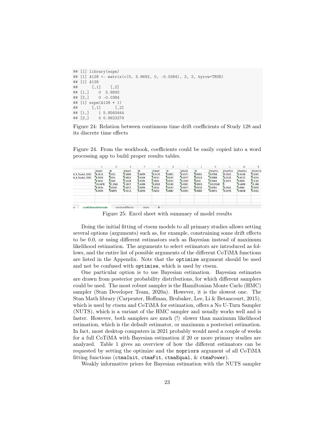```
## [1] library(expm)
## [1] A128 <- matrix(c(0, 5.9692, 0, -0.0384), 2, 2, byrow=TRUE)
## [1] A128
## [,1] [,2]
## [1,] 0 5.9692
\# [2,] 0 -0.0384
## [1] expm(A128 * 1)
^{\# \#} [,1] [,2]
## [1,] 1 5.8560444
## [2,] 0 0.9623279
```
<span id="page-22-0"></span>Figure 24: Relation between continuous time drift coefficients of Study 128 and its discrete time effects

Figure 24. From the workbook, coefficients could be easily copied into a word processing app to build proper results tables.

|                    |                     | b       |               |        | G         | н      |           |        |                                                                                                                                                                         |           | M         | $_{N}$  |
|--------------------|---------------------|---------|---------------|--------|-----------|--------|-----------|--------|-------------------------------------------------------------------------------------------------------------------------------------------------------------------------|-----------|-----------|---------|
|                    | V1toV1              | SE      | V2toV1        | SE     | V1toV2    | SE     | V2toV2    | SE     | V1toV1LL                                                                                                                                                                | V1toV1UL  | V2toV1LL  | V2toV1U |
| A. B. Study1, 2003 | $-0.0514$           | 0.011   | 0.0089        | 0.0099 | $-0.0192$ | 0.0091 | $-0.0271$ | 0.0091 | $-0.0758$                                                                                                                                                               | $-0.0332$ | $-0.0108$ | 0.0283  |
| A, B, Study2, 2003 | 0.0328              | 0.011   | 0.0052        | 0.0104 | 0.0112    | 0.0107 | 0.0377    | 0.0113 | 0.0165<br>0.0589<br>0.0152<br>$-0.3372$<br>$-0.5064$<br>0.0658<br>-9.4899<br>$-110.3568$<br>Ō.<br>-0.0761<br>$-0.0362$<br>0.0065<br>$-0.0038$<br>$-0.0672$<br>$-0.0376$ | 0.0254    |           |         |
|                    | $-0.4162$           | 0.043   | 0.1428        | 0.0395 | 0.0921    | 0.0347 | $-0.2829$ | 0.032  |                                                                                                                                                                         |           |           | 0.2184  |
|                    | $-19.3478$          | 32.2561 | 1.5927        | 5.6399 | $-0.0063$ | 0.0185 | $-0.0001$ | 0.0023 |                                                                                                                                                                         |           |           | 12.588  |
|                    | $-0.0535$           | 0.0102  | 0.0257        | 0.0099 | 0.0125    | 0.0101 | -0.0477   | 0.0102 |                                                                                                                                                                         |           |           | 0.0449  |
|                    | $-0.0509$           | 0.0075  | 0.0113        | 0.0076 | 0.0255    | 0.0081 | $-0.0652$ | 0.0085 |                                                                                                                                                                         |           |           | 0.0262  |
|                    |                     |         |               |        |           |        |           |        |                                                                                                                                                                         |           |           |         |
| $\overline{a}$     | confidenceIntervals |         | randomFffects | stats  | 4         |        |           |        |                                                                                                                                                                         |           |           |         |

Figure 25: Excel sheet with summary of model results

Doing the initial fitting of ctsem models to all primary studies allows setting several options (arguments) such as, for example, constraining some drift effects to be 0.0, or using different estimators such as Bayesian instead of maximum likelihood estimation. The arguments to select estimators are introduced as follows, and the entire list of possible arguments of the different CoTiMA functions are listed in the Appendix. Note that the optimize argument should be used and not be confused with optimise, which is used by ctsem.

One particular option is to use Bayesian estimation. Bayesian estimates are drawn from posterior probability distributions, for which different samplers could be used. The most robust sampler is the Hamiltonian Monte Carlo (HMC) sampler (Stan Developer Team, 2020a). However, it is the slowest one. The Stan Math library (Carpenter, Hoffman, Brubaker, Lee, Li & Betancourt, 2015), which is used by ctsem and CoTiMA for estimation, offers a No U-Turn Sampler (NUTS), which is a variant of the HMC sampler and usually works well and is faster. However, both samplers are much (!) slower than maximum likelihood estimation, which is the default estimator, or maximum a posteriori estimation. In fact, most desktop computers in 2021 probably would need a couple of weeks for a full CoTiMA with Bayesian estimation if 20 or more primary studies are analyzed. Table [1](#page-23-0) gives an overview of how the different estimators can be requested by setting the optimize and the nopriors argument of all CoTiMA fitting functions (ctmaInit, ctmaFit, ctmaEqual, & ctmaPower).

Weakly informative priors for Bayesian estimation with the NUTS sampler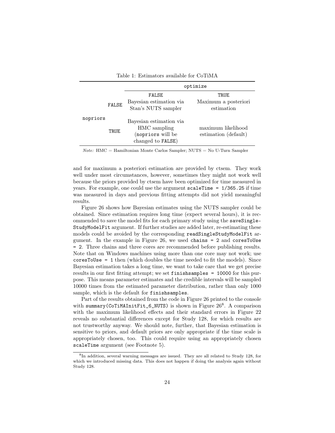|          |              | optimize                                                                          |                                            |  |  |  |  |  |  |
|----------|--------------|-----------------------------------------------------------------------------------|--------------------------------------------|--|--|--|--|--|--|
|          | <b>FALSE</b> | <b>FALSE</b><br>Bayesian estimation via<br>Stan's NUTS sampler                    | TRUE<br>Maximum a posteriori<br>estimation |  |  |  |  |  |  |
| nopriors | TRUE         | Bayesian estimation via<br>HMC sampling<br>(nopriors will be<br>changed to FALSE) | maximum likelihood<br>estimation (default) |  |  |  |  |  |  |

<span id="page-23-0"></span>Table 1: Estimators available for CoTiMA

Note: HMC = Hamiltonian Monte Carlos Sampler; NUTS = No U-Turn Sampler

and for maximum a posteriori estimation are provided by ctsem. They work well under most circumstances, however, sometimes they might not work well because the priors provided by ctsem have been optimized for time measured in years. For example, one could use the argument scaleTime = 1/365.25 if time was measured in days and previous fitting attempts did not yield meaningful results.

Figure [26](#page-24-2) shows how Bayesian estimates using the NUTS sampler could be obtained. Since estimation requires long time (expect several hours), it is recommended to save the model fits for each primary study using the saveSingle-StudyModelFit argument. If further studies are added later, re-estimating these models could be avoided by the corresponding readSingleStudyModelFit ar-gument. In the example in Figure [26,](#page-24-2) we used chains  $= 2$  and coresToUse = 2. Three chains and three cores are recommended before publishing results. Note that on Windows machines using more than one core may not work; use coresToUse = 1 then (which doubles the time needed to fit the models). Since Bayesian estimation takes a long time, we want to take care that we get precise results in our first fitting attempt; we set finishsamples = 10000 for this purpose. This means parameter estimates and the credible intervals will be sampled 10000 times from the estimated parameter distribution, rather than only 1000 sample, which is the default for finishsamples.

Part of the results obtained from the code in Figure [26](#page-24-2) printed to the console with summary(CoTiMAInitFit\_6\_NUTS) is shown in Figure 26<sup>[8](#page-23-1)</sup>. A comparison with the maximum likelihood effects and their standard errors in Figure [22](#page-20-2) reveals no substantial differences except for Study 128, for which results are not trustworthy anyway. We should note, further, that Bayesian estimation is sensitive to priors, and default priors are only appropriate if the time scale is appropriately chosen, too. This could require using an appropriately chosen scaleTime argument (see Footnote [5\)](#page-5-3).

<span id="page-23-1"></span><sup>&</sup>lt;sup>8</sup>In addition, several warning messages are issued. They are all related to Study 128, for which we introduced missing data. This does not happen if doing the analysis again without Study 128.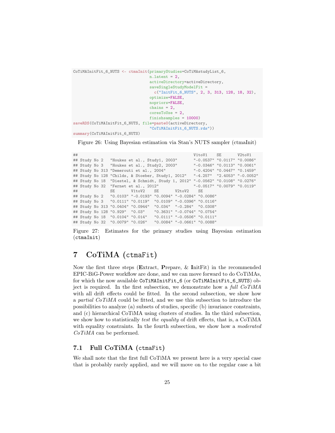```
CoTiMAInitFit_6_NUTS <- ctmaInit(primaryStudies=CoTiMAstudyList_6,
                                 n. latent = 2,
                                 activeDirectory=activeDirectory,
                                 saveSingleStudyModelFit =
                                   c("InitFit_6_NUTS", 2, 3, 313, 128, 18, 32),
                                 optimize=FALSE,
                                 nopriors=FALSE,
                                 chains = 2,
                                 coresToUse = 2,
                                 finishsamples = 10000)
saveRDS(CoTiMAInitFit_6_NUTS, file=paste0(activeDirectory,
                                 "CoTiMAInitFit_6_NUTS.rds"))
summary(CoTiMAInitFit_6_NUTS)
```
<span id="page-24-2"></span>Figure 26: Using Bayesian estimation via Stan's NUTS sampler (ctmaInit)

```
## V1toV1 SE V2toV1
              " Houkes et al., Study1, 2003" "-0.0537" "0.0117" "0.0086"<br>"Houkes et al., Study2, 2003" "-0.0346" "0.0113" "0.0061"
## Study No 3 "Houkes et al., Study2, 2003" "-0.0346" "0.0113" "0.0061"
## Study No 313 "Demerouti et al., 2004"
## Study No 128 "Childs, & Stoeber, Study1, 2012" "-4.257" "2.4053" "-0.0052"
## Study No 18 "Diestel, & Schmidt, Study 1, 2012" "-0.0562" "0.0108" "0.0276"
## Study No 32 "Fernet et al., 2012" "-0.0517" "0.0079" "0.0119"
## SE V1toV2 SE V2toV2 SE
## Study No 2 "0.0103" "-0.0193" "0.0094" "-0.0284" "0.0086"
## Study No 3 "0.0111" "0.0119" "0.0109" "-0.0396" "0.0116"
## Study No 313 "0.0404" "0.0944" "0.034" "-0.284" "0.0308"
## Study No 128 "0.929" "0.03" "0.3631" "-0.0744" "0.0754"
## Study No 18 "0.0104" "0.014"
## Study No 32 "0.0079" "0.026" "0.0084" "-0.0661" "0.0088"
```
Figure 27: Estimates for the primary studies using Bayesian estimation (ctmaInit)

# <span id="page-24-0"></span>7 CoTiMA (ctmaFit)

Now the first three steps (Extract, Prepare, & InitFit) in the recommended EPIC-BiG-Power workflow are done, and we can move forward to do CoTiMAs, for which the now available CoTiMAInitFit\_6 (or CoTiMAInitFit\_6\_NUTS) object is required. In the first subsection, we demonstrate how a full  $CoTiMA$ with all drift effects could be fitted. In the second subsection, we show how a partial CoTiMA could be fitted, and we use this subsection to introduce the possibilities to analyze (a) subsets of studies, specific (b) invariance constraints, and (c) hierarchical CoTiMA using clusters of studies. In the third subsection, we show how to statistically *test the equality* of drift effects, that is, a CoTiMA with equality constraints. In the fourth subsection, we show how a moderated CoTiMA can be performed.

### <span id="page-24-1"></span>7.1 Full CoTiMA (ctmaFit)

We shall note that the first full CoTiMA we present here is a very special case that is probably rarely applied, and we will move on to the regular case a bit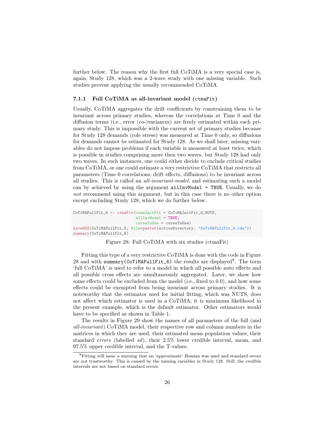further below. The reason why the first full CoTiMA is a very special case is, again, Study 128, which was a 2-wave study with one missing variable. Such studies prevent applying the usually recommended CoTiMA.

#### <span id="page-25-0"></span>7.1.1 Full CoTiMA as all-invariant model (ctmaFit)

Usually, CoTiMA aggregates the drift coefficients by constraining them to be invariant across primary studies, whereas the correlations at Time 0 and the diffusion terms (i.e., error (co-)variances) are freely estimated within each primary study. This is impossible with the current set of primary studies because for Study 128 demands (role stress) was measured at Time 0 only, so diffusions for demands cannot be estimated for Study 128. As we shall later, missing variables do not impose problems if each variable is measured at least twice, which is possible in studies comprising more then two waves, but Study 128 had only two waves. In such instances, one could either decide to exclude critical studies from CoTiMA, or one could estimate a very restrictive CoTiMA that restricts all parameters (Time 0 correlations, drift effects, diffusions) to be invariant across all studies. This is called an all-invariant-model, and estimating such a model can by achieved by using the argument allInvModel = TRUE. Usually, we do not recommend using this argument, but in this case there is no other option except excluding Study 128, which we do further below.

```
CoTiMAFullFit_6 <- ctmaFit(ctmaInitFit = CoTiMAInitFit_6_NUTS,
                           allInvModel = TRUE,
                           coresToUse = coresToUse)
saveRDS(CoTiMAFullFit_6, file=paste0(activeDirectory, "CoTiMAFullFit_6.rds"))
summary(CoTiMAFullFit_6)
```
#### <span id="page-25-1"></span>Figure 28: Full CoTiMA with six studies (ctmaFit)

Fitting this type of a very restrictive CoTiMA is done with the code in Figure [28](#page-25-1) and with summary (CoTiMAFullFit<sub>6</sub>) the results are displayed<sup>[9](#page-25-2)</sup>. The term 'full CoTiMA' is used to refer to a model in which all possible auto effects and all possible cross effects are simultaneously aggregated. Later, we show how some effects could be excluded from the model (i.e., fixed to 0.0), and how some effects could be exempted from being invariant across primary studies. It is noteworthy that the estimator used for initial fitting, which was NUTS, does not affect which estimator is used in a CoTiMA; it is maximum likelihood in the present example, which is the default estimator. Other estimators would have to be specified as shown in Table [1.](#page-23-0)

The results in Figure [29](#page-26-0) show the names of all parameters of the full (and all-invariant) CoTiMA model, their respective row and column numbers in the matrices in which they are used, their estimated mean population values, their standard errors (labelled sd), their 2.5% lower credible interval, mean, and 97.5% upper credible interval, and the T-values.

<span id="page-25-2"></span><sup>9</sup>Fitting will issue a warning that an 'approximate' Hessian was used and standard errors are not trustworthy. This is caused by the missing variables in Study 128. Still, the credible intervals are not based on standard errors.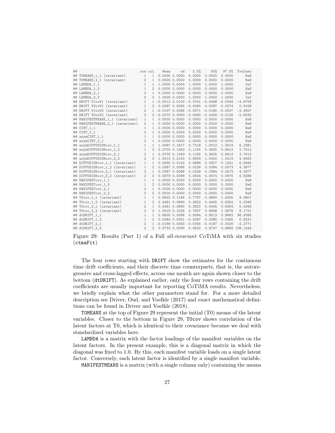| ## |                                  | row col        |                | Mean | sd                | 2.5%                        | 50%                                        | 97.5%  | Tvalues         |
|----|----------------------------------|----------------|----------------|------|-------------------|-----------------------------|--------------------------------------------|--------|-----------------|
|    | ## TOMEANS_1_1 (invariant)       | $\mathbf{1}$   | 1              |      | 0.000000.0000     | 0.0000                      | 0.0000                                     | 0.0000 | NaN             |
|    | ## TOMEANS_2_1 (invariant)       | 2              | $\mathbf{1}$   |      | 0.000000.0000     | 0.0000                      | 0.0000                                     | 0.0000 | NaN             |
|    | ## LAMBDA_1_1                    | $\mathbf{1}$   | $\mathbf{1}$   |      | 1,0000 0.0000     | 1,0000                      | 1.0000                                     | 1.0000 | Inf             |
|    | ## LAMBDA_1_2                    | $\mathbf{1}$   | $\overline{2}$ |      | 0.000000.0000     | 0.0000                      | 0.0000                                     | 0.0000 | NaN             |
|    | ## LAMBDA_2_1                    | $\overline{2}$ | 1              |      | 0.000000.0000     | 0.0000                      | 0.0000                                     | 0.0000 | NaN             |
|    | ## LAMBDA_2_2                    | $\overline{2}$ | $\overline{2}$ |      | 1.0000 0.0000     | 1.0000                      | 1.0000                                     | 1.0000 | Inf             |
|    | ## DRIFT V1toV1 (invariant)      | $\mathbf{1}$   |                |      |                   |                             | 1 -0.0512 0.0103 -0.0741 -0.0498 -0.0344   |        | $-4.9709$       |
|    | ## DRIFT V2toV1 (invariant)      | $\mathbf{1}$   | $\overline{2}$ |      |                   | $0.0087$ 0.0095 -0.0090     | 0.0087                                     | 0.0274 | 0.9158          |
|    | ## DRIFT V1toV2 (invariant)      | 2              |                |      |                   |                             | 1 -0.0197 0.0086 -0.0371 -0.0195 -0.0027   |        | $-2.2907$       |
|    | ## DRIFT V2toV2 (invariant)      | 2              |                |      |                   |                             | $2 -0.0270 0.0093 -0.0490 -0.0256 -0.0129$ |        | $-2.9032$       |
|    | ## MANIFESTMEANS_1_1 (invariant) | 1              | $\mathbf{1}$   |      | 0.000000.0000     | 0.0000                      | 0.0000                                     | 0.0000 | NaN             |
|    | ## MANIFESTMEANS_2_1 (invariant) | $\overline{2}$ | 1              |      | 0.000000.0000     | 0.0000                      | 0.0000                                     | 0.0000 | NaN             |
|    | ## CINT_1_1                      | $\mathbf{1}$   | 1              |      | 0.000000.0000     | 0.0000                      | 0.0000                                     | 0.0000 | NaN             |
| ## | $CINT_2_1$                       | $\overline{2}$ | 1              |      | 0.000000.0000     | 0.0000                      | 0.0000                                     | 0.0000 | NaN             |
| ## | $asymCINT_1_1$                   | $\mathbf{1}$   | 1              |      | 0.000000.0000     | 0.0000                      | 0.0000                                     | 0.0000 | NaN             |
| ## | asymCINT_2_1                     | $\overline{2}$ | 1              |      | 0.000000.0000     | 0.0000                      | 0.0000                                     | 0.0000 | NaN             |
| ## | asymDIFFUSIONcov_1_1             | $\mathbf{1}$   | 1              |      | 1.0087 0.1617     | 0.7318                      | 1.0012                                     | 1.3419 | 6.2381          |
| ## | asymDIFFUSIONcov_1_2             | $\mathbf{1}$   | $\overline{2}$ |      | 0.3700 0.1340     | 0.1155                      | 0.3625                                     | 0.6613 | 2.7612          |
| ## | asymDIFFUSIONcov_2_1             | $\overline{2}$ | 1              |      | 0.3700 0.1340     | 0.1155                      | 0.3625                                     | 0.6613 | 2.7612          |
| ## | asymDIFFUSIONcov_2_2             | $\overline{2}$ | $\overline{2}$ |      | 1.0514 0.2143     | 0.6609                      | 1.0400                                     | 1.5214 | 4.9062          |
|    | ## DIFFUSIONcov_1_1 (invariant)  | $\mathbf{1}$   | 1              |      | $0.0935$ $0.0142$ | 0.0686                      | 0.0927                                     | 0.1241 | 6.5845          |
|    | ## DIFFUSIONcov_1_2 (invariant)  | $\mathbf{1}$   | $\overline{2}$ |      | 0.0387 0.0088     | 0.0228                      | 0.0384                                     | 0.0573 | 4.3977          |
|    | ## DIFFUSIONcov_2_1 (invariant)  | $\overline{2}$ | $\mathbf{1}$   |      | 0.0387 0.0088     | 0.0228                      | 0.0384                                     | 0.0573 | 4.3977          |
|    | ## DIFFUSIONcov_2_2 (invariant)  | $\overline{2}$ | $\overline{2}$ |      | 0.06790.0098      | 0.0504                      | 0.0674                                     | 0.0876 | 6.9286          |
|    | ## MANIFESTcov_1_1               | $\mathbf{1}$   | $\mathbf{1}$   |      | 0.000000.0000     | 0.0000                      | 0.0000                                     | 0.0000 | NaN             |
|    | ## MANIFESTcov_1_2               | $\mathbf{1}$   | $\overline{2}$ |      | 0.000000.00000    | 0.0000                      | 0.0000                                     | 0.0000 | NaN             |
|    | ## MANIFESTcov 2 1               | $\overline{2}$ | $\mathbf{1}$   |      | 0.000000.00000    | 0.0000                      | 0.0000                                     | 0.0000 | NaN             |
|    | ## MANIFESTcov 2 2               | $\overline{2}$ | $\overline{2}$ |      | 0.000000.0000     | 0.0000                      | 0.0000                                     | 0.0000 | NaN             |
| ## | $T0cov_1_1$ (invariant)          | $\mathbf{1}$   | $\mathbf{1}$   |      | $0.9922$ $0.1184$ | 0.7787                      | 0.9890                                     | 1.2405 | 8.3801          |
| ## | TOcov_1_2 (invariant)            | $\mathbf{1}$   | $\overline{2}$ |      | $0.4481$ $0.0890$ | 0.2822                      | 0.4445                                     | 0.6354 | 5.0348          |
| ## | TOcov_2_1 (invariant)            | $\overline{2}$ | 1              |      | $0.4481$ $0.0890$ | 0.2822                      | 0.4445                                     | 0.6354 | 5.0348          |
| ## | TOcov_2_2 (invariant)            | $\overline{2}$ | $\overline{2}$ |      | 1.0019 0.1226     | 0.7807                      | 0.9948                                     | 1.2676 | 8.1721          |
| ## | dtDRIFT_1_1                      | $\mathbf{1}$   | 1              |      | 0.950000.0098     | 0.9284                      | 0.9513                                     | 0.9662 | 96.9388         |
| ## | dtDRIFT_1_2                      | $\mathbf{1}$   | $\mathfrak{D}$ |      |                   | $0.0084$ $0.0091$ $-0.0087$ | 0.0085                                     | 0.0265 | 0.9231          |
| ## | dtDRIFT_2_1                      | $\overline{2}$ |                |      |                   |                             | 1 -0.0189 0.0083 -0.0356 -0.0187 -0.0026   |        | $-2.2771$       |
|    | ## dtDRIFT 2 2                   | $\overline{2}$ | $\mathfrak{D}$ |      | 0.9733 0.0090     | 0.9522                      | 0.9747                                     |        | 0.9869 108.1444 |

<span id="page-26-0"></span>Figure 29: Results (Part 1) of a Full all-invariant CoTiMA with six studies (ctmaFit)

The four rows starting with DRIFT show the estimates for the continuous time drift coefficients, and their discrete time counterparts, that is, the autoregressive and cross-lagged effects, across one month are again shown closer to the bottom (dtDRIFT). As explained earlier, only the four rows containing the drift coefficients are usually important for reporting CoTiMA results. Nevertheless, we briefly explain what the other parameters stand for. For a more detailed description see Driver, Oud, and Voelkle (2017) and exact mathematical definitions can be found in Driver and Voelkle (2018).

T0MEANS at the top of Figure [29](#page-26-0) represent the initial (T0) means of the latent variables. Closer to the bottom in Figure [29,](#page-26-0) T0cov shows correlation of the latent factors at T0, which is identical to their covariance because we deal with standardized variables here.

LAMBDA is a matrix with the factor loadings of the manifest variables on the latent factors. In the present example, this is a diagonal matrix in which the diagonal was fixed to 1.0. By this, each manifest variable loads on a single latent factor. Conversely, each latent factor is identified by a single manifest variable.

MANIFESTMEANS is a matrix (with a single column only) containing the means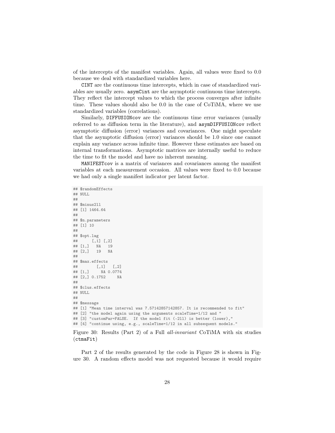of the intercepts of the manifest variables. Again, all values were fixed to 0.0 because we deal with standardized variables here.

CINT are the continuous time intercepts, which in case of standardized variables are usually zero. asymCint are the asymptotic continuous time intercepts. They reflect the intercept values to which the process converges after infinite time. These values should also be 0.0 in the case of CoTiMA, where we use standardized variables (correlations).

Similarly, DIFFUSIONcov are the continuous time error variances (usually referred to as diffusion term in the literature), and asymDIFFUSIONcov reflect asymptotic diffusion (error) variances and covariances. One might speculate that the asymptotic diffusion (error) variances should be 1.0 since one cannot explain any variance across infinite time. However these estimates are based on internal transformations. Asymptotic matrices are internally useful to reduce the time to fit the model and have no inherent meaning.

MANIFESTcov is a matrix of variances and covariances among the manifest variables at each measurement occasion. All values were fixed to 0.0 because we had only a single manifest indicator per latent factor.

```
## $randomEffects
## NULL.
##
## $minus2ll
## [1] 1464.64
##
## $n.parameters
## [1] 10
##
## $opt.lag
## [,1] [,2]
## [1,] NA 19
## [2,] 19 NA
##
## $max.effects
## [,1] [,2]
## [1,] NA 0.0774
## [2,] 0.1752 NA
##
## $clus.effects
## NULL
##
## $message
## [1] "Mean time interval was 7.57142857142857. It is recommended to fit"
## [2] "the model again using the arguments scaleTime=1/12 and "
## [3] "customPar=FALSE. If the model fit (-211) is better (lower),"
## [4] "continue using, e.g., scaleTime=1/12 in all subsequent models."
```
<span id="page-27-0"></span>Figure 30: Results (Part 2) of a Full all-invariant CoTiMA with six studies (ctmaFit)

Part 2 of the results generated by the code in Figure [28](#page-25-1) is shown in Figure [30.](#page-27-0) A random effects model was not requested because it would require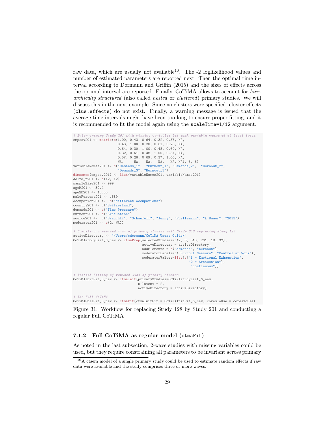raw data, which are usually not available<sup>[10](#page-28-1)</sup>. The -2 loglikelihood values and number of estimated parameters are reported next. Then the optimal time interval according to Dormann and Griffin (2015) and the sizes of effects across the optimal interval are reported. Finally, CoTiMA allows to account for hierarchically structured (also called nested or clustered) primary studies. We will discuss this in the next example. Since no clusters were specified, cluster effects (clus.effects) do not exist. Finally, a warning message is issued that the average time intervals might have been too long to ensure proper fitting, and it is recommended to fit the model again using the scaleTime=1/12 argument.

```
# Enter primary Study 201 with missing variables but each variable measured at least twice
empcov201 <- matrix(c(1.00, 0.43, 0.64, 0.32, 0.57, NA,
                       0.43, 1.00, 0.30, 0.61, 0.26, NA,
                       0.64, 0.30, 1.00, 0.48, 0.69, NA,
                       0.32, 0.61, 0.48, 1.00, 0.37, NA,
                       0.57, 0.26, 0.69, 0.37, 1.00, NA,
NA, NA, NA, NA, NA, NA), 6, 6)
variableNames201 <- c("Demands_1", "Burnout_1", "Demands_2", "Burnout_2",
"Demands_3", "Burnout_3")
dimnames(empcov201) <- list(variableNames201, variableNames201)
delta_t201 <- c(12, 12)sampleSize201 <- 999
ageM201 <- 39.4
ageSD201 <- 10.55
malePercent201 <- .689
occupation201 <- c("different occupations")
country201 <- c("Switzerland")
demands201 <- c("Time Pressure")
burnout201 <- c("Exhaustion")
source201 <- c("Brauchli", "Schaufeli", "Jenny", "Fuellemann", "& Bauer", "2013")
modern201 \leftarrow c(2, NA)# Compiling a revised list of primary studies with Study 313 replacing Study 128
activeDirectory <- "/Users/cdormann/CoTiMA Users Guide/"
CoTiMAstudyList_6_new <- ctmaPrep(selectedStudies=c(2, 3, 313, 201, 18, 32),
                                     activeDirectory = activeDirectory,
                                     addElements = c("demands", "burnout"),
                                     moderatorLabels=c("Burnout Measure", "Control at Work"),
                                     moderatorValues=list(c("1 =Emotional Exhaustion",
                                                              "2 = Exhaustion"),
                                                               "continuous"))
# Initial Fitting of revised list of primary studies
CoTiMAInitFit_6_new <- ctmaInit(primaryStudies=CoTiMAstudyList_6_new,
                                  n.latent = 2.
                                  activeDirectory = activeDirectory)
# The Full CoTiMA
```
CoTiMAFullFit\_6\_new <- ctmaFit(ctmaInitFit = CoTiMAInitFit\_6\_new, coresToUse = coresToUse)

<span id="page-28-2"></span>Figure 31: Workflow for replacing Study 128 by Study 201 and conducting a regular Full CoTiMA

#### <span id="page-28-0"></span>7.1.2 Full CoTiMA as regular model (ctmaFit)

As noted in the last subsection, 2-wave studies with missing variables could be used, but they require constraining all parameters to be invariant across primary

<span id="page-28-1"></span><sup>&</sup>lt;sup>10</sup>A ctsem model of a single primary study could be used to estimate random effects if raw data were available and the study comprises three or more waves.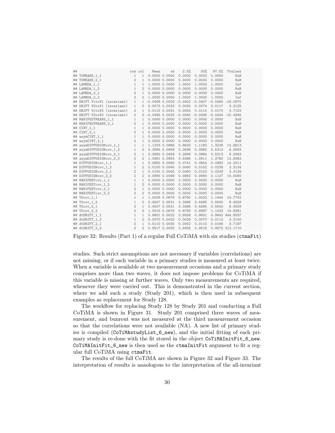| ## |                             | row col        |                | Mean          | sd                | 2.5%   | 50%    | 97.5%  | Tvalues                                           |
|----|-----------------------------|----------------|----------------|---------------|-------------------|--------|--------|--------|---------------------------------------------------|
|    | ## TOMEANS_1_1              | $\mathbf{1}$   | $\mathbf{1}$   |               | 0.000000.0000     | 0.0000 | 0.0000 | 0.0000 | NaN                                               |
| ## | TOMEANS_2_1                 | $\overline{2}$ | $\mathbf{1}$   |               | 0.000000.0000     | 0.0000 | 0.0000 | 0.0000 | NaN                                               |
|    | ## LAMBDA_1_1               | $\mathbf{1}$   | $\mathbf{1}$   |               | 1.0000 0.0000     | 1.0000 | 1.0000 | 1.0000 | Inf                                               |
|    | ## LAMBDA_1_2               | $\mathbf{1}$   | $\overline{2}$ |               | 0.000000.0000     | 0.0000 | 0.0000 | 0.0000 | NaN                                               |
|    | ## LAMBDA_2_1               | $\overline{2}$ | $\mathbf{1}$   |               | 0.000000.0000     | 0.0000 | 0.0000 | 0.0000 | NaN                                               |
|    | ## LAMBDA_2_2               | $\overline{2}$ | $\overline{2}$ |               | 1.0000 0.0000     | 1.0000 | 1.0000 | 1.0000 | Inf                                               |
|    | ## DRIFT V1toV1 (invariant) | $\mathbf{1}$   |                |               |                   |        |        |        | 1 -0.0408 0.0023 -0.0452 -0.0407 -0.0364 -18.0970 |
|    | ## DRIFT V2toV1 (invariant) | $\mathbf{1}$   | 2              |               | 0.0073 0.0023     | 0.0030 | 0.0074 | 0.0117 | 3.2125                                            |
|    | ## DRIFT V1toV2 (invariant) | 2              | $\mathbf{1}$   |               | $0.0115$ $0.0031$ | 0.0054 | 0.0115 | 0.0173 | 3.7102                                            |
|    | ## DRIFT V2toV2 (invariant) | $\overline{2}$ |                |               |                   |        |        |        | 2 -0.0495 0.0032 -0.0560 -0.0495 -0.0434 -15.4945 |
|    | ## MANIFESTMEANS_1_1        | $\mathbf{1}$   | $\mathbf{1}$   |               | 0.000000.0000     | 0.0000 | 0.0000 | 0.0000 | NaN                                               |
|    | ## MANIFESTMEANS_2_1        | $\overline{2}$ | $\mathbf{1}$   |               | 0.000000.0000     | 0.0000 | 0.0000 | 0.0000 | NaN                                               |
|    | ## CINT_1_1                 | $\mathbf{1}$   | $\mathbf{1}$   |               | 0.000000.0000     | 0.0000 | 0.0000 | 0.0000 | NaN                                               |
|    | ## CINT_2_1                 | $\overline{2}$ | $\mathbf{1}$   |               | 0.000000.0000     | 0.0000 | 0.0000 | 0.0000 | NaN                                               |
| ## | asymCINT_1_1                | $\mathbf{1}$   | $\mathbf{1}$   |               | 0.000000.0000     | 0.0000 | 0.0000 | 0.0000 | NaN                                               |
| ## | asymCINT_2_1                | $\overline{2}$ | $\mathbf{1}$   |               | 0.000000.0000     | 0.0000 | 0.0000 | 0.0000 | NaN                                               |
| ## | asymDIFFUSIONcov_1_1        | $\mathbf{1}$   | $\mathbf{1}$   |               | 1.1233 0.0886     | 0.9632 | 1.1182 | 1.3239 | 12.6813                                           |
| ## | asymDIFFUSIONcov_1_2        | 1              | 2              |               | 0.3995 0.0659     | 0.2699 | 0.3984 | 0.5313 | 6.0593                                            |
| ## | asymDIFFUSIONcov_2_1        | $\overline{2}$ | 1              |               | 0.3995 0.0659     | 0.2699 | 0.3984 | 0.5313 | 6.0593                                            |
|    | ## asymDIFFUSIONcov_2_2     | $\overline{2}$ | $\overline{2}$ |               | 1.0961 0.0854     | 0.9386 | 1.0911 | 1.2780 | 12.8383                                           |
|    | ## DIFFUSIONcov_1_1         | $\mathbf{1}$   | $\mathbf{1}$   |               | 0.0855 0.0060     | 0.0741 | 0.0854 | 0.0983 | 14.2011                                           |
|    | ## DIFFUSIONcov_1_2         | 1              | $\overline{2}$ |               | 0.0150 0.0045     | 0.0060 | 0.0152 | 0.0239 | 3.3134                                            |
|    | ## DIFFUSIONcov 2 1         | $\overline{2}$ | $\mathbf{1}$   |               | 0.0150 0.0045     | 0.0060 | 0.0152 | 0.0239 | 3.3134                                            |
|    | ## DIFFUSIONcov_2_2         | $\overline{2}$ | $\overline{2}$ |               | 0.0990 0.0068     | 0.0863 | 0.0990 | 0.1127 | 14.5060                                           |
|    | ## MANIFESTcov_1_1          | $\mathbf{1}$   | $\mathbf{1}$   |               | 0.000000.0000     | 0.0000 | 0.0000 | 0.0000 | NaN                                               |
|    | ## MANIFESTcov_1_2          | $\mathbf{1}$   | $\mathfrak{D}$ |               | 0.000000.0000     | 0.0000 | 0.0000 | 0.0000 | NaN                                               |
|    | ## MANIFESTcov_2_1          | $\overline{2}$ | $\mathbf{1}$   |               | 0.000000.0000     | 0.0000 | 0.0000 | 0.0000 | NaN                                               |
|    | ## MANIFESTcov_2_2          | $\overline{2}$ | $\overline{2}$ |               | 0.000000.0000     | 0.0000 | 0.0000 | 0.0000 | NaN                                               |
| ## | $T0cov_1_1$                 | $\mathbf{1}$   | $\mathbf{1}$   |               | 1.0029 0.0679     | 0.8790 | 1.0022 | 1.1444 | 14.7742                                           |
| ## | $T0cov_1_2$                 | $\mathbf{1}$   | $\overline{2}$ |               | 0.4507 0.0531     | 0.3486 | 0.4485 | 0.5540 | 8.4929                                            |
| ## | TOcov <sub>21</sub>         | $\overline{2}$ | $\mathbf{1}$   |               | $0.4507$ 0.0531   | 0.3486 | 0.4485 | 0.5540 | 8.4929                                            |
| ## | $T0cov_2_2$                 | $\overline{2}$ | $\overline{2}$ |               | 1.0015 0.0675     | 0.8793 | 0.9987 | 1.1433 | 14.8381                                           |
| ## | dtDRIFT_1_1                 | $\mathbf{1}$   | $\mathbf{1}$   |               | $0.9601$ $0.0022$ | 0.9558 | 0.9601 |        | 0.9642 444.6937                                   |
| ## | dtDRIFT_1_2                 | $\mathbf{1}$   | 2              |               | 0.0070 0.0022     | 0.0029 | 0.0070 | 0.0112 | 3.2150                                            |
| ## | dtDRIFT_2_1                 | $\overline{2}$ | $\mathbf{1}$   |               | $0.0110$ $0.0030$ | 0.0052 | 0.0110 | 0.0166 | 3.7187                                            |
|    | ## dtDRIFT 2 2              | $\overline{2}$ | $\overline{2}$ | 0.9517 0.0030 |                   | 0.9456 | 0.9518 |        | 0.9575 313.1710                                   |

<span id="page-29-0"></span>Figure 32: Results (Part 1) of a regular Full CoTiMA with six studies (ctmaFit)

studies. Such strict assumptions are not necessary if variables (correlations) are not missing, or if each variable in a primary studies is measured at least twice. When a variable is available at two measurement occasions and a primary study comprises more than two waves, it does not impose problems for CoTiMA if this variable is missing at further waves. Only two measurements are required, whenever they were carried out. This is demonstrated in the current section, where we add such a study (Study 201), which is then used in subsequent examples as replacement for Study 128.

The workflow for replacing Study 128 by Study 201 and conducting a Full CoTiMA is shown in Figure [31.](#page-28-2) Study 201 comprised three waves of measurement, and bunrout was not measured at the third measurement occasion so that the correlations were not available (NA). A new list of primary studies is compiled (CoTiMAstudyList\_6\_new), and the initial fitting of each primary study is re-done with the fit stored in the object CoTiMAInitFit\_6\_new. CoTiMAInitFit\_6\_new is then used as the ctmaInitFit argument to fit a regular full CoTiMA using ctmaFit.

The results of the full CoTiMA are shown in Figure [32](#page-29-0) and Figure [33.](#page-30-1) The interpretation of results is anaologous to the interpretation of the all-invariant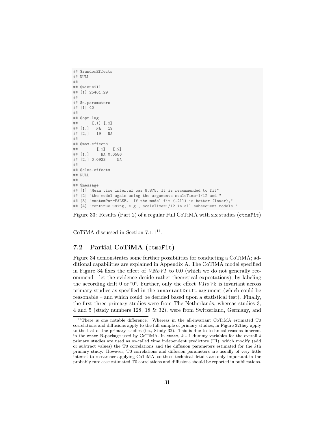```
## $randomEffects
## NULL
##
## $minus2ll
## [1] 25461.29
##
## $n.parameters
## [1] 40
##
## $opt.lag
## [,1] [,2]
## [1,] NA 19
## [2,] 19 NA
##
## $max.effects
## [,1] [,2]
## [1,] NA 0.0586
## [2,] 0.0923 NA
##
## $clus.effects
## NULL
##
## $message
## [1] "Mean time interval was 8.875. It is recommended to fit"
## [2] "the model again using the arguments scaleTime=1/12 and "
## [3] "customPar=FALSE. If the model fit (-211) is better (lower),"
## [4] "continue using, e.g., scaleTime=1/12 in all subsequent models."
```
<span id="page-30-1"></span>Figure 33: Results (Part 2) of a regular Full CoTiMA with six studies (ctmaFit)

CoTiMA discussed in Section  $7.1.1<sup>11</sup>$  $7.1.1<sup>11</sup>$  $7.1.1<sup>11</sup>$ .

### <span id="page-30-0"></span>7.2 Partial CoTiMA (ctmaFit)

Figure [34](#page-31-0) demonstrates some further possibilities for conducting a CoTiMA; additional capabilities are explained in Appendix A. The CoTiMA model specified in Figure [34](#page-31-0) fixes the effect of  $V2toV1$  to 0.0 (which we do not generally recommend - let the evidence decide rather theoretical expectations), by labeling the according drift 0 or "0". Further, only the effect  $V1toV2$  is invariant across primary studies as specified in the invariantDrift argument (which could be reasonable – and which could be decided based upon a statistical test). Finally, the first three primary studies were from The Netherlands, whereas studies 3, 4 and 5 (study numbers 128, 18 & 32), were from Switzerland, Germany, and

<span id="page-30-2"></span> $^{11}\mathrm{There}$  is one notable difference. Whereas in the all-invariant CoTiMA estimated T0 correlations and diffusions apply to the full sample of primary studies, in Figure [32t](#page-29-0)hey apply to the last of the primary studies (i.e., Study 32). This is due to technical reasons inherent in the ctsem R-package used by CoTiMA. In ctsem,  $k - 1$  dummy variables for the overall  $k$ primary studies are used as so-called time independent predictors (TI), which modify (add or subtract values) the T0 correlations and the diffusion parameters estimated for the kth primary study. However, T0 correlations and diffusion parameters are usually of very little interest to researcher applying CoTiMA, so these technical details are only important in the probably rare case estimated T0 correlations and diffusions should be reported in publications.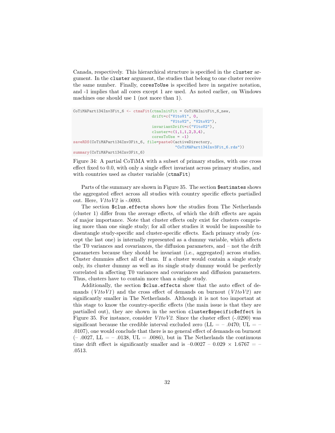Canada, respectively. This hierarchical structure is specified in the cluster argument. In the cluster argument, the studies that belong to one cluster receive the same number. Finally, coresToUse is specified here in negative notation, and -1 implies that all cores except 1 are used. As noted earlier, on Windows machines one should use 1 (not more than 1).

```
CoTiMAPart134Inv3Fit_6 <- ctmaFit(ctmaInitFit = CoTiMAInitFit_6_new,
                                  drift=c("V1toV1", 0,
                                           "V1toV2", "V2toV2"),
                                  invariantDrift=c("V1toV2"),
                                  cluster=c(1,1,1,2,3,4),
                                  coresTolse = -1)saveRDS(CoTiMAPart134Inv3Fit_6, file=paste0(activeDirectory,
                                             "CoTiMAPart134Inv3Fit_6.rds"))
summary(CoTiMAPart134Inv3Fit_6)
```
<span id="page-31-0"></span>Figure 34: A partial CoTiMA with a subset of primary studies, with one cross effect fixed to 0.0, with only a single effect invariant across primary studies, and with countries used as cluster variable (ctmaFit)

Parts of the summary are shown in Figure [35.](#page-32-1) The section \$estimates shows the aggregated effect across all studies with country specific effects partialled out. Here,  $V1toV2$  is  $-.0093$ .

The section \$clus.effects shows how the studies from The Netherlands (cluster 1) differ from the average effects, of which the drift effects are again of major importance. Note that cluster effects only exist for clusters comprising more than one single study; for all other studies it would be impossible to disentangle study-specific and cluster-specific effects. Each primary study (except the last one) is internally represented as a dummy variable, which affects the T0 variances and covariances, the diffusion parameters, and – not the drift parameters because they should be invariant (i.e., aggregated) across studies. Cluster dummies affect all of them. If a cluster would contain a single study only, its cluster dummy as well as its single study dummy would be perfectly correlated in affecting T0 variances and covariances and diffusion parameters. Thus, clusters have to contain more than a single study.

Additionally, the section \$clus.effects show that the auto effect of demands  $(V1toV1)$  and the cross effect of demands on burnout  $(V1toV2)$  are significantly smaller in The Netherlands. Although it is not too important at this stage to know the country-specific effects (the main issue is that they are partialled out), they are shown in the section cluster\$specific\$effect in Figure [35.](#page-32-1) For instance, consider *V1toV2*. Since the cluster effect (-.0290) was significant because the credible interval excluded zero (LL  $=$  - .0470; UL  $=$  -.0107), one would conclude that there is no general effect of demands on burnout  $(-.0027, LL = -.0138, UL = .0086)$ , but in The Netherlands the continuous time drift effect is significantly smaller and is  $-0.0027 - 0.029 \times 1.6767 = -$ .0513.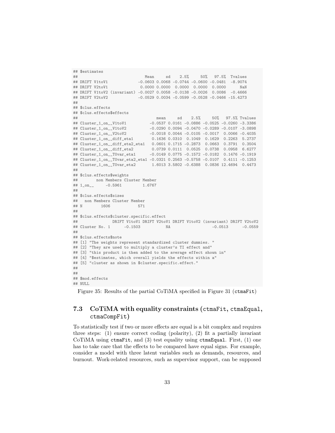```
## $estimates
## Mean sd 2.5% 50% 97.5% Tvalues
## DRIFT V1toV1 -0.0603 0.0068 -0.0744 -0.0600 -0.0481 -8.9074
## DRIFT V2toV1 0.0000 0.0000 0.0000 0.0000 0.0000 NaN
## DRIFT V1toV2 (invariant) -0.0027 0.0058 -0.0138 -0.0026 0.0086 -0.4666
                       -0.0529 0.0034 -0.0599 -0.0528 -0.0466 -15.4273
##
## $clus.effects
## $clus.effects$effects
## mean sd 2.5% 50% 97.5% Tvalues
## Cluster_1_on__V1toV1 -0.0537 0.0161 -0.0886 -0.0525 -0.0260 -3.3386
## Cluster_1_on__V1toV2 -0.0290 0.0094 -0.0470 -0.0289 -0.0107 -3.0898
## Cluster_1_on__V2toV2 -0.0018 0.0044 -0.0105 -0.0017 0.0066 -0.4035
                             0.1636 0.0310 0.1049 0.1629 0.2263 5.2737
## Cluster_1_on__diff_eta2_eta1 0.0601 0.1715 -0.2873 0.0663 0.3791 0.3504
## Cluster_1_on__diff_eta2 0.0739 0.0111 0.0525 0.0738 0.0958 6.6277
## Cluster_1_on__T0var_eta1 -0.0149 0.0775 -0.1572 -0.0182 0.1476 -0.1919
## Cluster_1_on__T0var_eta2_eta1 -0.0321 0.2563 -0.5758 -0.0107 0.4111 -0.1253
## Cluster_1_on__T0var_eta2 1.6013 3.5802 -0.6388 0.0836 12.4694 0.4473
##
## $clus.effects$weights
## non Members Cluster Member
## 1_on__ -0.5961 1.6767
##
## $clus.effects$sizes
## non Members Cluster Member
## N 1606 571
##
## $clus.effects$cluster.specific.effect
## DRIFT V1toV1 DRIFT V2toV1 DRIFT V1toV2 (invariant) DRIFT V2toV2
## Cluster No. 1 -0.1503 NA -0.0513 -0.0559
##
## $clus.effects$note
## [1] "The weights represent standardized cluster dummies. "
## [2] "They are used to multiply a cluster's TI effect and"
## [3] "this product is then added to the average effect shown in"
## [4] "$estimates, which overall yields the effects within a"
## [5] "cluster as shown in $cluster.specific.effect."
##
##
## $mod.effects
## NULL
```
<span id="page-32-1"></span>Figure 35: Results of the partial CoTiMA specified in Figure 31 (ctmaFit)

## <span id="page-32-0"></span>7.3 CoTiMA with equality constraints (ctmaFit, ctmaEqual, ctmaCompFit)

To statistically test if two or more effects are equal is a bit complex and requires three steps: (1) ensure correct coding (polarity), (2) fit a partially invariant CoTiMA using ctmaFit, and (3) test equality using ctmaEqual. First, (1) one has to take care that the effects to be compared have equal signs. For example, consider a model with three latent variables such as demands, resources, and burnout. Work-related resources, such as supervisor support, can be supposed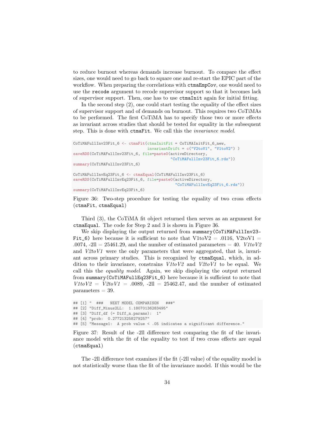to reduce burnout whereas demands increase burnout. To compare the effect sizes, one would need to go back to square one and re-start the EPIC part of the workflow. When preparing the correlations with  $ctm \text{EmpCov}$ , one would need to use the recode argument to recode supervisor support so that it becomes lack of supervisor support. Then, one has to use ctmaInit again for initial fitting.

In the second step  $(2)$ , one could start testing the equality of the effect sizes of supervisor support and of demands on burnout. This requires two CoTiMAs to be performed. The first CoTiMA has to specify those two or more effects as invariant across studies that should be tested for equality in the subsequent step. This is done with ctmaFit. We call this the invariance model.

```
CoTiMAFullInv23Fit_6 <- ctmaFit(ctmaInitFit = CoTiMAInitFit_6_new,
                                invariantDrift = c("V2toV1", "V1toV2"))
saveRDS(CoTiMAFullInv23Fit_6, file=paste0(activeDirectory,
                                          "CoTiMAFullInv23Fit_6.rds"))
summary(CoTiMAFullInv23Fit_6)
CoTiMAFullInvEq23Fit_6 <- ctmaEqual(CoTiMAFullInv23Fit_6)
saveRDS(CoTiMAFullInvEq23Fit_6, file=paste0(activeDirectory,
                                            "CoTiMAFullInvEq23Fit_6.rds"))
summary(CoTiMAFullInvEq23Fit_6)
```
<span id="page-33-0"></span>Figure 36: Two-step procedure for testing the equality of two cross effects (ctmaFit, ctmaEqual)

Third (3), the CoTiMA fit object returned then serves as an argument for ctmaEqual. The code for Step 2 and 3 is shown in Figure [36.](#page-33-0)

We skip displaying the output returned from summary (CoTiMAFullInv23-Fit\_6) here because it is sufficient to note that  $V1$ toV2 = .0116, V2toV1 =  $.0074$ ,  $-21 = 25461.29$ , and the number of estimated parameters  $= 40$ .  $V1 to V2$ and  $V2toVI$  were the only parameters that were aggregated, that is, invariant across primary studies. This is recognized by ctmaEqual, which, in addition to their invariance, constrains  $V1toV2$  and  $V2toV1$  to be equal. We call this the *equality model*. Again, we skip displaying the output returned from summary(CoTiMAFullEq23Fit\_6) here because it is sufficient to note that  $V1 to V2 = V2 to V1 = .0089$ ,  $-2ll = 25462.47$ , and the number of estimated  $parameters = 39.$ 

```
## [1] " ### NEXT MODEL COMPARISON ###"
## [2] "Diff_Minus2LL: 1.18070136283495"
## [3] "Diff_df (= Diff_n.params): 1"
## [4] "prob: 0.277213258279257"
## [5] "Message1: A prob value < .05 indicates a significant difference."
```
<span id="page-33-1"></span>Figure 37: Result of the -2ll difference test comparing the fit of the invariance model with the fit of the equality to test if two cross effects are equal (ctmaEqual)

The -2ll difference test examines if the fit (-2ll value) of the equality model is not statistically worse than the fit of the invariance model. If this would be the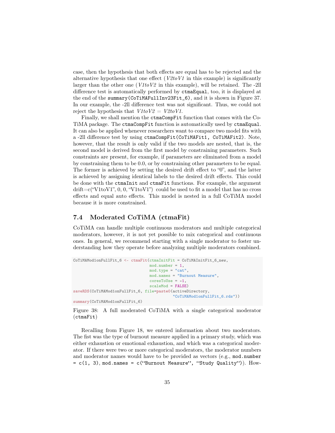case, then the hypothesis that both effects are equal has to be rejected and the alternative hypothesis that one effect  $(V2toV1)$  in this example) is significantly larger than the other one  $(V1t\sigma V2)$  in this example), will be retained. The -2ll difference test is automatically performed by ctmaEqual, too, it is displayed at the end of the summary(CoTiMAFullInv23Fit\_6), and it is shown in Figure [37.](#page-33-1) In our example, the -2ll difference test was not significant. Thus, we could not reject the hypothesis that  $V1t_0V2 = V2t_0V1$ .

Finally, we shall mention the ctmaCompFit function that comes with the Co-TiMA package. The ctmaCompFit function is automatically used by ctmaEqual. It can also be applied whenever researchers want to compare two model fits with a -2ll difference test by using ctmaCompFit(CoTiMAFit1, CoTiMAFit2). Note, however, that the result is only valid if the two models are nested, that is, the second model is derived from the first model by constraining parameters. Such constraints are present, for example, if parameters are eliminated from a model by constraining them to be 0.0, or by constraining other parameters to be equal. The former is achieved by setting the desired drift effect to "0", and the latter is achieved by assigning identical labels to the desired drift effects. This could be done with the ctmaInit and ctmaFit functions. For example, the argument  $\text{drift}=\text{c}(\text{``V1toV1''}, 0, 0, \text{``V1toV1''})$  could be used to fit a model that has no cross effects and equal auto effects. This model is nested in a full CoTiMA model because it is more constrained.

#### <span id="page-34-0"></span>7.4 Moderated CoTiMA (ctmaFit)

CoTiMA can handle multiple continuous moderators and multiple categorical moderators, however, it is not yet possible to mix categorical and continuous ones. In general, we recommend starting with a single moderator to foster understanding how they operate before analyzing multiple moderators combined.

```
CoTiMAMod1onFullFit 6 <- ctmaFit(ctmaInitFit = CoTiMAInitFit 6 new,
                                 mod.number = 1,
                                 mod.type = "cat",mod.names = "Burnout Measure",
                                 coresToUse = -1,scaleMod = FALSE)
saveRDS(CoTiMAMod1onFullFit_6, file=paste0(activeDirectory,
                                           "CoTiMAMod1onFullFit_6.rds"))
summary(CoTiMAMod1onFullFit_6)
```
<span id="page-34-1"></span>Figure 38: A full moderated CoTiMA with a single categorical moderator (ctmaFit)

Recalling from Figure [18,](#page-19-1) we entered information about two moderators. The fist was the type of burnout measure applied in a primary study, which was either exhaustion or emotional exhaustion, and which was a categorical moderator. If there were two or more categorical moderators, the moderator numbers and moderator names would have to be provided as vectors (e.g., mod.number  $= c(1, 3)$ , mod.names =  $c$  ("Burnout Measure", "Study Quality")). How-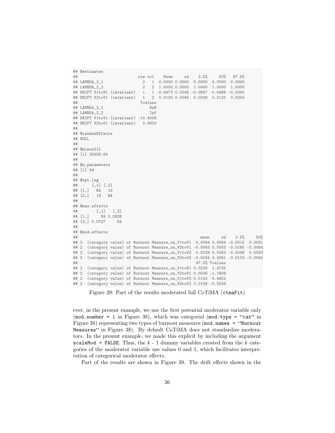```
## $estimates
## row col Mean sd 2.5% 50% 97.5%
## LAMBDA_2_1 2 1 0.0000 0.0000 0.0000 0.0000 0.0000
                          2 2 1.0000 0.0000 1.0000 1.0000 1.0000
## DRIFT V1toV1 (invariant) 1 1 -0.0473 0.0045 -0.0567 -0.0469 -0.0390
                         1 2 0.0120 0.0045 0.0029 0.0120 0.0204
## Tvalues
## LAMBDA_2_1 NaN
## LAMBDA_2_2 Inf
## DRIFT V1toV1 (invariant) -10.4008
## DRIFT V2toV1 (invariant) 2.6633
##
## $randomEffects
## NULL
##
## $minus2ll
## [1] 25458.64
##
## $n.parameters
## [1] 44
##
## $opt.lag
## [,1] [,2]
## [1,] NA 19
## [2,] 19 NA
##
\begin{array}{cc} \text{#}\# & \text{$max.effects} \\ \text{#}\# & \text{[.1]} \end{array}## [1,] [,2]<br>## [1,] NA 0.0928
         NA 0.0928
## [2,] 0.0727 NA
##
## $mod.effects
\## mean sd 2.5\% 50%
## 2 (category value) of Burnout Measure_on_V1toV1 0.0094 0.0064 -0.0015 0.0091
## 2 (category value) of Burnout Measure_on_V2toV1 -0.0063 0.0053 -0.0165 -0.0064
## 2 (category value) of Burnout Measure_on_V1toV2 0.0029 0.0063 -0.0098 0.0029
## 2 (category value) of Burnout Measure_on_V2toV2 -0.0034 0.0061 -0.0133 -0.0040
## 97.5% Tvalues
## 2 (category value) of Burnout Measure_on_V1toV1 0.0235 1.4735
## 2 (category value) of Burnout Measure_on_V2toV1 0.0038 -1.1808
## 2 (category value) of Burnout Measure_on_V1toV2 0.0142 0.4652
## 2 (category value) of Burnout Measure_on_V2toV2 0.0108 -0.5556
```
<span id="page-35-0"></span>Figure 39: Part of the results moderated full CoTiMA (ctmaFit)

ever, in the present example, we use the first potential moderator variable only  $(mod.number = 1$  in Figure [38\)](#page-34-1), which was categorial  $(mod.type = 'cat'$  in Figure [38\)](#page-34-1) representing two types of burnout measures (mod.names = "Burnout Measures" in Figure [38\)](#page-34-1). By default CoTiMA does not standardize moderators. In the present example, we made this explicit by including the argument scaleMod = FALSE. Thus, the  $k - 1$  dummy variables created from the  $k$  categories of the moderator variable use values 0 and 1, which facilitates interpretation of categorical moderator effects.

Part of the results are shown in Figure [39.](#page-35-0) The drift effects shown in the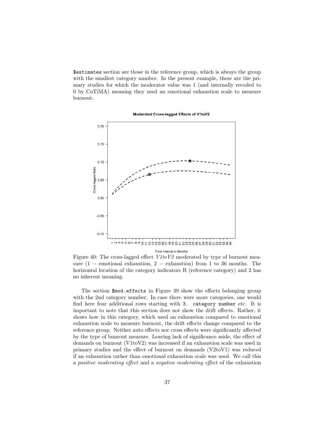\$estimates section are those in the reference group, which is always the group with the smallest category number. In the present example, these are the primary studies for which the moderator value was 1 (and internally recoded to 0 by CoTiMA) meaning they used an emotional exhaustion scale to measure burnout.

Moderated Cross-lagged Effects of V1toV2



Figure 40: The cross-lagged effect  $V1toV2$  moderated by type of burnout measure  $(1 =$  emotional exhaustion,  $2 =$  exhaustion) from 1 to 36 months. The horizontal location of the category indicators R (reference category) and 2 has no inherent meaning.

The section \$mod.effects in Figure [39](#page-35-0) show the effects belonging group with the 2nd category number. In case there were more categories, one would find here four additional rows starting with 3. category number etc. It is important to note that this section does not show the drift effects. Rather, it shows how in this category, which used an exhaustion compared to emotional exhaustion scale to measure burnout, the drift effects change compared to the reference group. Neither auto effects nor cross effects were significantly affected by the type of bunrout measure. Leaving lack of significance aside, the effect of demands on burnout (V1toV2) was increased if an exhaustion scale was used in primary studies and the effect of burnout on demands (V2toV1) was reduced if an exhaustion rather than emotional exhaustion scale was used. We call this a positive moderating effect and a negative moderating effect of the exhaustion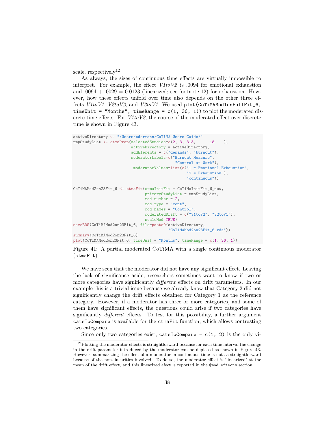scale, respectively<sup>[12](#page-37-0)</sup>.

As always, the sizes of continuous time effects are virtually impossible to interpret. For example, the effect  $V1toV2$  is .0094 for emotional exhaustion and  $.0094 + .0029 = 0.0123$  (linearized; see footnote [12\)](#page-37-0) for exhaustion. However, how these effects unfold over time also depends on the other three effects V1toV1, V2toV2, and V2toV1. We used plot (CoTiMAMod1onFullFit\_6, timeUnit = "Months", timeRange =  $c(1, 36, 1)$  to plot the moderated discrete time effects. For V1toV2, the course of the moderated effect over discrete time is shown in Figure [43.](#page-39-0)

```
activeDirectory <- "/Users/cdormann/CoTiMA Users Guide/"
tmpStudyList <- ctmaPrep(selectedStudies=c(2, 3, 313, 18 ),
                         activeDirectory = activeDirectory,
                         addElements = c("demands", "burnout"),
                         moderatorLabels=c("Burnout Measure",
                                            "Control at Work"),
                          moderatorValues=list(c("1 = Emotional Exhaustion",
                                                 "2 = Exhaustion"),
                                                 "continuous"))
CoTiMAMod2on23Fit_6 <- ctmaFit(ctmaInitFit = CoTiMAInitFit_6_new,
                              primaryStudyList = tmpStudyList,
                               mod.number = 2,
                              mod.type = "cont",
                               mod.names = "Control",
                               moderatedDrift = c("V1toV2", "V2toV1"),
                               scaleMod=TRUE)
saveRDS(CoTiMAMod2on23Fit_6, file=paste0(activeDirectory,
                                        "CoTiMAMod2on23Fit_6.rds"))
summary(CoTiMAMod2on23Fit_6)
plot(CoTiMAMod2on23Fit_6, timeUnit = "Months", timeRange = c(1, 36, 1))
```
<span id="page-37-1"></span>Figure 41: A partial moderated CoTiMA with a single continuous moderator (ctmaFit)

We have seen that the moderator did not have any significant effect. Leaving the lack of significance aside, researchers sometimes want to know if two or more categories have significantly different effects on drift parameters. In our example this is a trivial issue because we already know that Category 2 did not significantly change the drift effects obtained for Category 1 as the reference category. However, if a moderator has three or more categories, and some of them have significant effects, the questions could arise if two categories have significantly *different* effects. To test for this possibility, a further argument catsToCompare is available for the ctmaFit function, which allows contrasting two categories.

<span id="page-37-0"></span>Since only two categories exist, catsToCompare =  $c(1, 2)$  is the only vi-

 $12$ Plotting the moderator effects is straightforward because for each time interval the change in the drift parameter introduced by the moderator can be depicted as shown in Figure [43.](#page-39-0) However, summarizing the effect of a moderator in continuous time is not as straightforward because of the non-linearities involved. To do so, the moderator effect is 'linearized' at the mean of the drift effect, and this linearized efect is reported in the \$mod.effects section.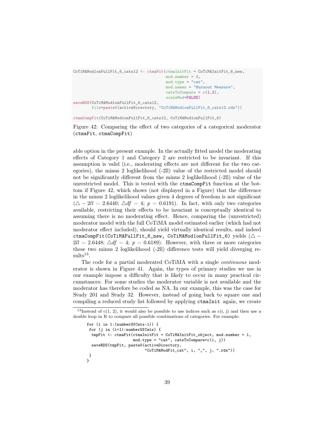```
CoTiMAMod1onFullFit_6_cats12 <- ctmaFit(ctmaInitFit = CoTiMAInitFit_6_new,
                                         mod.number = 1,
                                         mod.type = "cat",mod.names = "Burnout Measure",
                                         \text{catsToCompare} = c(1,2),
                                         scaleMod=FALSE)
saveRDS(CoTiMAMod1onFullFit_6_cats12,
        file=paste0(activeDirectory, "CoTiMAMod1onFullFit_6_cats12.rds"))
ctmaCompFit(CoTiMAMod1onFullFit_6_cats12, CoTiMAMod1onFullFit_6)
```
<span id="page-38-0"></span>Figure 42: Comparing the effect of two categories of a categorical moderator (ctmaFit, ctmaCompFit)

able option in the present example. In the actually fitted model the moderating effects of Category 1 and Category 2 are restricted to be invariant. If this assumption is valid (i.e., moderating effects are not different for the two categories), the minus 2 loglikelihood (-2ll) value of the restricted model should not be significantly different from the minus 2 loglikelihood (-2ll) value of the unrestricted model. This is tested with the ctmaCompFit function at the bottom if Figure [42,](#page-38-0) which shows (not displayed in a Figure) that the difference in the minus 2 loglikelihood values given 4 degrees of freedom is not significant  $(\triangle - 2ll = 2.6440; \triangle dt = 4; p = 0.6191)$ . In fact, with only two categories available, restricting their effects to be invariant is conceptually identical to assuming there is no moderating effect. Hence, comparing the (unrestricted) moderator model with the full CoTiMA model estimated earlier (which had not moderator effect included), should yield virtually identical results, and indeed ctmaCompFit(CoTiMAFullFit\_6\_new, CoTiMAMod1onFullFit\_6) yields  $(\triangle 2ll = 2.6448$ ;  $\triangle df = 4$ ;  $p = 0.6189$ . However, with three or more categories these two minus 2 loglikelihood (-2ll) difference tests will yield diverging re- $\text{sults}^{13}$  $\text{sults}^{13}$  $\text{sults}^{13}$ .

The code for a partial moderated CoTiMA with a single *continuous* moderator is shown in Figure [41.](#page-37-1) Again, the types of primary studies we use in our example impose a difficulty that is likely to occur in many practical circumstances: For some studies the moderator variable is not available and the moderator has therefore be coded as NA. In our example, this was the case for Study 201 and Study 32. However, instead of going back to square one and compiling a reduced study list followed by applying ctmaInit again, we create

```
for (i in 1:(numberOfCats-1)) {
for (j in (i+1):numberOfCats) {
 tmpFit <- ctmaFit (ctmaInitFit = CoTiMAInitFit object, mod.number = 1,
                    mod.type = "cat", catsToCompare=c(i, j))
 saveRDS(tmpFit, paste0(activeDirectory,
                         "CoTiMAModFit_cat", i, "_", j, ".rds"))
}
}
```
<span id="page-38-1"></span><sup>&</sup>lt;sup>13</sup>Instead of  $c(1, 2)$ , it would also be possible to use indices such as  $c(i, j)$  and then use a double loop in R to compare all possible combinations of categories. For example: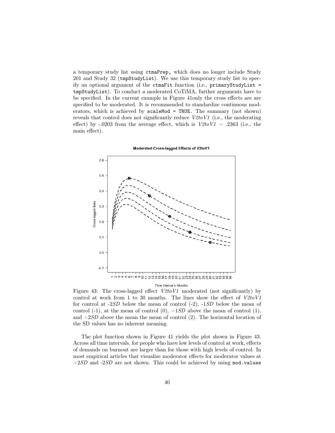a temporary study list using ctmaPrep, which does no longer include Study 201 and Study 32 (tmpStudyList). We use this temporary study list to specify an optional argument of the ctmaFit function (i.e., primaryStudyList = tmpStudyList). To conduct a moderated CoTiMA, further arguments have to be specified. In the current example in Figure [41o](#page-37-1)nly the cross effects are are specified to be moderated. It is recommended to standardize continuous moderators, which is achieved by scaleMod = TRUE. The summary (not shown) reveals that control does not significantly reduce V2toV1 (i.e., the moderating effect) by -.0203 from the average effect, which is  $V2toV1 = .2363$  (i.e., the main effect).



Moderated Cross-lagged Effects of V2toV1

<span id="page-39-0"></span>Figure 43: The cross-lagged effect  $V2toV1$  moderated (not significantly) by control at work from 1 to 30 months. The lines show the effect of  $V2toVI$ for control at -2SD below the mean of control (-2), -1SD below the mean of control  $(-1)$ , at the mean of control  $(0)$ ,  $+1SD$  above the mean of control  $(1)$ , and  $+2SD$  above the mean the mean of control (2). The horizontal location of the SD values has no inherent meaning.

The plot function shown in Figure [41](#page-37-1) yields the plot shown in Figure [43.](#page-39-0) Across all time intervals, for people who have low levels of control at work, effects of demands on burnout are larger than for those with high levels of control. In most empirical articles that visualize moderator effects for moderator values at  $+2SD$  and  $-2SD$  are not shown. This could be achieved by using mod.values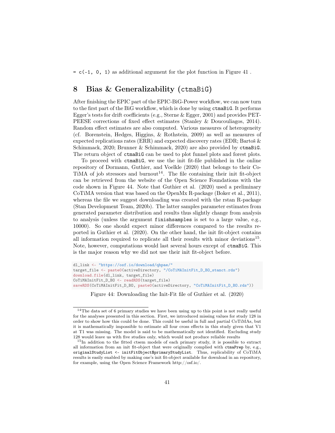$= c(-1, 0, 1)$  as additional argument for the plot function in Figure [41](#page-37-1).

## 8 Bias & Generalizability (ctmaBiG)

After finishing the EPIC part of the EPIC-BiG-Power workflow, we can now turn to the first part of the BiG workflow, which is done by using ctmaBiG. It performs Egger's tests for drift coefficients (e.g., Sterne & Egger, 2001) and provides PET-PEESE corrections of fixed effect estimates (Stanley & Doucouliagos, 2014). Random effect estimates are also computed. Various measures of heterogeneity (cf. Borenstein, Hedges, Higgins, & Rothstein, 2009) as well as measures of expected replications rates (ERR) and expected discovery rates (EDR; Bartoš  $\&$ Schimmack, 2020; Brunner & Schimmack, 2020) are also provided by ctmaBiG. The return object of ctmaBiG can be used to plot funnel plots and forest plots.

To proceed with ctmaBiG, we use the init fit-file published in the online repository of Dormann, Guthier, and Voelkle (2020) that belongs to their Co-TiMA of job stressors and burnout<sup>[14](#page-40-0)</sup>. The file containing their init fit-object can be retrieved from the website of the Open Science Foundations with the code shown in Figure [44.](#page-40-1) Note that Guthier et al. (2020) used a preliminary CoTiMA version that was based on the OpenMx R-package (Boker et al., 2011), whereas the file we suggest downloading was created with the rstan R-package (Stan Development Team, 2020b). The latter samples parameter estimates from generated parameter distribution and results thus slightly change from analysis to analysis (unless the argument finishsamples is set to a large value, e.g., 10000). So one should expect minor differences compared to the results reported in Guthier et al. (2020). On the other hand, the init fit-object contains all information required to replicate all their results with minor deviations<sup>[15](#page-40-2)</sup>. Note, however, computations would last several hours except of ctmaBiG. This is the major reason why we did not use their init fit-object before.

```
dl_link <- "https://osf.io/download/qhpae/"
target_file <- paste0(activeDirectory, "/CoTiMAInitFit_D_BO_stanct.rds")
download.file(dl_link, target_file)
CoTiMAInitFit_D_BO <- readRDS(target_file)
saveRDS(CoTiMAInitFit_D_BO, paste0(activeDirectory, "CoTiMAInitFit_D_BO.rds"))
```
<span id="page-40-1"></span>Figure 44: Downloading the Init-Fit file of Guthier et al. (2020)

<span id="page-40-0"></span><sup>14</sup>The data set of 6 primary studies we have been using up to this point is not really useful for the analyses presented in this section. First, we introduced missing values for study 128 in order to show how this could be done. This could be useful in full and partial CoTiMAs, but it is mathematically impossible to estimate all four cross effects in this study given that V1 at T1 was missing. The model is said to be mathematically not identified. Excluding study 128 would leave us with five studies only, which would not produce reliable results

<span id="page-40-2"></span><sup>&</sup>lt;sup>15</sup>In addition to the fitted ctsem models of each primary study, it is possible to extract all information from an init fit-object that were originally complied with ctmaPrep by, e.g., originalStudyList <- initFitObject\$primaryStudyList. Thus, replicability of CoTiMA results is easily enabled by making one's init fit-object available for download in an repository, for example, using the Open Science Framework http://osf.io/.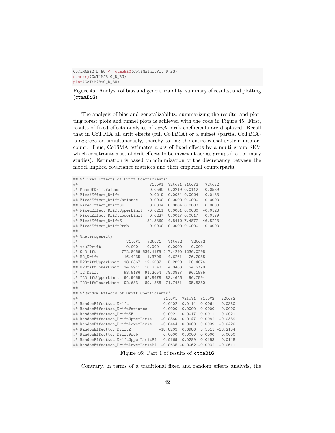```
CoTiMABiG_D_BO <- ctmaBiG(CoTiMAInitFit_D_BO)
summary(CoTiMABiG_D_BO)
plot(CoTiMABiG_D_BO)
```
<span id="page-41-0"></span>Figure 45: Analysis of bias and generalizability, summary of results, and plotting (ctmaBiG)

The analysis of bias and generalizability, summarizing the results, and plotting forest plots and funnel plots is achieved with the code in Figure [45.](#page-41-0) First, results of fixed effects analyses of single drift coefficients are displayed. Recall that in CoTiMA all drift effects (full CoTiMA) or a subset (partial CoTiMA) is aggregated simultaneously, thereby taking the entire causal system into account. Thus, CoTiMA estimates a set of fixed effects by a multi group SEM which constraints a set of drift effects to be invariant across groups (i.e., primary studies). Estimation is based on minimization of the discrepancy between the model implied covariance matrices and their empirical counterparts.

```
## $'Fixed Effects of Drift Coefficients'
## V1toV1 V2toV1 V1toV2 V2toV2
## MeanOfDriftValues -0.0590 0.0219 0.0112 -0.0539
## FixedEffect_Drift -0.0219 0.0054 0.0024 -0.0133
## FixedEffect_DriftVariance 0.0000 0.0000 0.0000 0.0000
## FixedEffect_DriftSE 0.0004 0.0004 0.0003 0.0003
## FixedEffect_DriftUpperLimit -0.0211 0.0061 0.0030 -0.0128
## FixedEffect_DriftLowerLimit -0.0227 0.0047 0.0017 -0.0139
## FixedEffect_DriftZ -54.3360 14.8412 7.4877 -46.5243<br>## FixedEffect_DriftProb 0.0000 0.0000 0.0000 0.0000
                           0.0000 0.0000 0.0000 0.0000
##
## $Heterogeneity
## V1toV1 V2toV1 V1toV2 V2toV2
## tau2Drift 0.0001 0.0001 0.0000 0.0001
                 772.8459 534 4175 217 4290 1236 0298
## H2_Drift 16.4435 11.3706 4.6261 26.2985
## H2DriftUpperLimit 18.0367 12.6087 5.2890 28.4874
## H2DriftLowerLimit 14.9911 10.2540 4.0463
## I2_Drift 93.9186 91.2054 78.3837 96.1975
## I2DriftUpperLimit 94.9455 92.8478 83.4626 96.7594
## I2DriftLowerLimit 92.6831 89.1858 71.7451 95.5382
##
## $'Random Effects of Drift Coefficients'
## V1toV1 V2toV1 V1toV2 V2toV2
## RandomEffecttot_Drift -0.0402 0.0114 0.0061 -0.0380
## RandomEffecttot_DriftVariance 0.0000 0.0000 0.0000 0.0000
## RandomEffecttot_DriftSE 0.0021 0.0017 0.0011 0.0021
## RandomEffecttot_DriftUpperLimit -0.0360 0.0147 0.0082 -0.0339
## RandomEffecttot_DriftLowerLimit -0.0444 0.0080 0.0039 -0.0420
## RandomEffecttot_DriftZ -18.8203 6.6986 5.5511 -18.2134
## RandomEffecttot_DriftProb 0.0000 0.0000 0.0000 0.0000
## RandomEffecttot_DriftUpperLimitPI -0.0169 0.0289 0.0153 -0.0148
## RandomEffecttot_DriftLowerLimitPI -0.0635 -0.0062 -0.0032 -0.0611
```
<span id="page-41-1"></span>Figure 46: Part 1 of results of ctmaBiG

Contrary, in terms of a traditional fixed and random effects analysis, the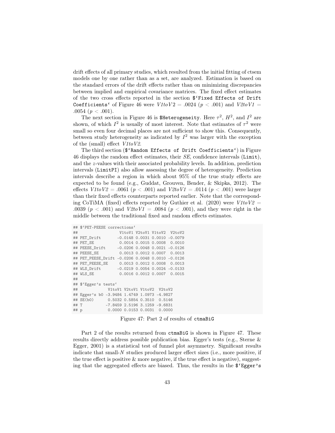drift effects of all primary studies, which resulted from the initial fitting of ctsem models one by one rather than as a set, are analyzed. Estimation is based on the standard errors of the drift effects rather than on minimizing discrepancies between implied and empirical covariance matrices. The fixed effect estimates of the two cross effects reported in the section \$'Fixed Effects of Drift Coefficients' of Figure [46](#page-41-1) were  $V1toV2 = .0024$  ( $p < .001$ ) and  $V2toV1 =$ .0054 ( $p < .001$ ).

The next section in Figure [46](#page-41-1) is \$Heterogeneity. Here  $\tau^2$ ,  $H^2$ , and  $I^2$  are shown, of which  $I^2$  is usually of most interest. Note that estimates of  $\tau^2$  were small so even four decimal places are not sufficient to show this. Consequently, between study heterogeneity as indicated by  $I^2$  was larger with the exception of the (small) effect V1toV2.

The third section (\$'Random Effects of Drift Coefficients') in Figure [46](#page-41-1) displays the random effect estimates, their SE, confidence intervals (Limit), and the z-values with their associated probability levels. In addition, prediction intervals (LimitPI) also allow assessing the degree of heterogeneity. Prediction intervals describe a region in which about 95% of the true study effects are expected to be found (e.g., Guddat, Grouven, Bender, & Skipka, 2012). The effects  $V1 to V2 = .0061$  ( $p < .001$ ) and  $V2 to V1 = .0114$  ( $p < .001$ ) were larger than their fixed effects counterparts reported earlier. Note that the corresponding CoTiMA (fixed) effects reported by Guthier et al. (2020) were  $V1toV2$ .0039 ( $p < .001$ ) and  $V2toV1 = .0084$  ( $p < .001$ ), and they were right in the middle between the traditional fixed and random effects estimates.

|      | ## \$'PET-PEESE corrections'                     |  |                             |
|------|--------------------------------------------------|--|-----------------------------|
| ##   |                                                  |  | V1toV1 V2toV1 V1toV2 V2toV2 |
|      | ## PET_Drift -0.0148 0.0031 0.0010 -0.0079       |  |                             |
|      | ## PET SE 0.0014 0.0015 0.0008 0.0010            |  |                             |
|      | ## PEESE_Drift -0.0206 0.0048 0.0021 -0.0126     |  |                             |
|      |                                                  |  |                             |
|      | ## PET_PEESE_Drift -0.0206 0.0048 0.0010 -0.0126 |  |                             |
|      |                                                  |  |                             |
|      | ## WLS_Drift -0.0219 0.0054 0.0024 -0.0133       |  |                             |
|      | ## WLS_SE 0.0016 0.0012 0.0007 0.0015            |  |                             |
| ##   |                                                  |  |                             |
|      | ## \$'Egger's tests'                             |  |                             |
| ##   | V1toV1 V2toV1 V1toV2 V2toV2                      |  |                             |
|      | ## Egger's b0 -3.9484 1.4749 1.0973 -4.9827      |  |                             |
|      | ## SE(b0) 0.5032 0.5854 0.3510 0.5146            |  |                             |
| ##T  | $-7.8459$ 2.5196 3.1259 $-9.6831$                |  |                             |
| ## p | 0.0000 0.0153 0.0031 0.0000                      |  |                             |

<span id="page-42-0"></span>Figure 47: Part 2 of results of ctmaBiG

Part 2 of the results returned from ctmaBiG is shown in Figure [47.](#page-42-0) These results directly address possible publication bias. Egger's tests (e.g., Sterne & Egger, 2001) is a statistical test of funnel plot asymmetry. Significant results indicate that small-N studies produced larger effect sizes (i.e., more positive, if the true effect is positive  $\&$  more negative, if the true effect is negative), suggesting that the aggregated effects are biased. Thus, the results in the \$'Egger's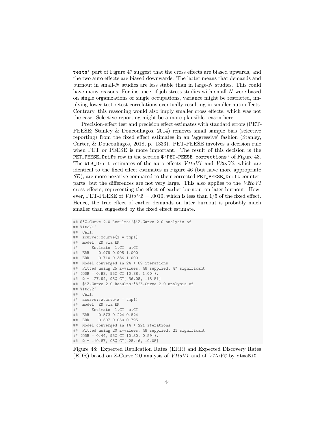tests' part of Figure [47](#page-42-0) suggest that the cross effects are biased upwards, and the two auto effects are biased downwards. The latter means that demands and burnout in small-N studies are less stable than in large-N studies. This could have many reasons. For instance, if job stress studies with small-N were based on single organizations or single occupations, variance might be restricted, implying lower test-retest correlations eventually resulting in smaller auto effects. Contrary, this reasoning would also imply smaller cross effects, which was not the case. Selective reporting might be a more plausible reason here.

Precision-effect test and precision effect estimates with standard errors (PET-PEESE; Stanley & Doucouliagos, 2014) removes small sample bias (selective reporting) from the fixed effect estimates in an 'aggressive' fashion (Stanley, Carter, & Doucouliagos, 2018, p. 1333). PET-PEESE involves a decision rule when PET or PEESE is more important. The result of this decision is the PET\_PEESE\_Drift row in the section \$'PET-PEESE corrections' of Figure 43. The WLS\_Drift estimates of the auto effects  $V1toV1$  and  $V2toV2$ , which are identical to the fixed effect estimates in Figure [46](#page-41-1) (but have more appropriate SE), are more negative compared to their corrected PET\_PEESE\_Drift counterparts, but the differences are not very large. This also applies to the  $V2toV1$ cross effects, representing the effect of earlier burnout on later burnout. However, PET-PEESE of  $V1toV2 = .0010$ , which is less than 1/5 of the fixed effect. Hence, the true effect of earlier demands on later burnout is probably much smaller than suggested by the fixed effect estimate.

```
## $'Z-Curve 2.0 Results:'$'Z-Curve 2.0 analysis of
## V1toV1'
## Call:
## zcurve::zcurve(z = tmp1)## model: EM via EM
## Estimate l.CI u.CI
         0.979 0.905 1.000
## EDR 0.710 0.386 1.000
## Model converged in 24 + 69 iterations
## Fitted using 25 z-values. 48 supplied, 47 significant
## (ODR = 0.98, 95% CI [0.88, 1.00]).
## Q = -27.94, 95% CI[-36.08, -18.51]
## $'Z-Curve 2.0 Results:'$'Z-Curve 2.0 analysis of
## V1toV2'
## Call:
## zcurve::zcurve(z = tmp1)
## model: EM via EM
## Estimate 1.CI u.CI<br>## ERR 0.573.0.224.0.824
          0.573 0.224 0.824
## EDR 0.507 0.050 0.795
## Model converged in 14 + 221 iterations
## Fitted using 20 z-values. 48 supplied, 21 significant
## (ODR = 0.44, 95% CI [0.30, 0.59]).
## Q = -19.87, 95% CI[-28.16, -9.05]
```
<span id="page-43-0"></span>Figure 48: Expected Replication Rates (ERR) and Expected Discovery Rates (EDR) based on Z-Curve 2.0 analysis of  $V1toV1$  and of  $V1toV2$  by ctmaBiG.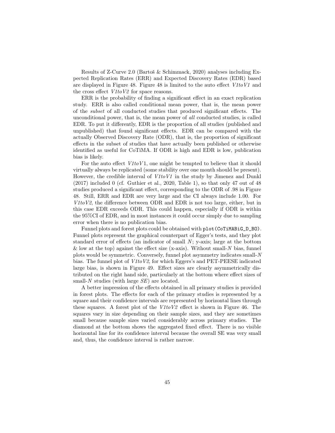Results of Z-Curve 2.0 (Bartoš & Schimmack, 2020) analyses including Expected Replication Rates (ERR) and Expected Discovery Rates (EDR) based are displayed in Figure [48.](#page-43-0) Figure [48](#page-43-0) is limited to the auto effect V1toV1 and the cross effect  $V1toV2$  for space reasons.

ERR is the probability of finding a significant effect in an exact replication study. ERR is also called conditional mean power, that is, the mean power of the subset of all conducted studies that produced significant effects. The unconditional power, that is, the mean power of all conducted studies, is called EDR. To put it differently, EDR is the proportion of all studies (published and unpublished) that found significant effects. EDR can be compared with the actually Observed Discovery Rate (ODR), that is, the proportion of significant effects in the subset of studies that have actually been published or otherwise identified as useful for CoTiMA. If ODR is high and EDR is low, publication bias is likely.

For the auto effect  $V1toV1$ , one might be tempted to believe that it should virtually always be replicated (some stability over one month should be present). However, the credible interval of  $V1toV1$  in the study by Jimenez and Dunkl (2017) included 0 (cf. Guthier et al., 2020, Table 1), so that only 47 out of 48 studies produced a significant effect, corresponding to the ODR of .98 in Figure [48.](#page-43-0) Still, ERR and EDR are very large and the CI always include 1.00. For  $V1toV2$ , the difference between ODR and EDR is not too large, either, but in this case EDR exceeds ODR. This could happen, especially if ODR is within the 95%CI of EDR, and in most instances it could occur simply due to sampling error when there is no publication bias.

Funnel plots and forest plots could be obtained with plot (CoTiMABiG\_D\_BO). Funnel plots represent the graphical counterpart of Egger's tests, and they plot standard error of effects (an indicator of small  $N$ ; y-axis; large at the bottom & low at the top) against the effect size (x-axis). Without small-N bias, funnel plots would be symmetric. Conversely, funnel plot asymmetry indicates small-N bias. The funnel plot of V1toV2, for which Eggers's and PET-PEESE indicated large bias, is shown in Figure [49.](#page-45-0) Effect sizes are clearly asymmetrically distributed on the right hand side, particularly at the bottom where effect sizes of small-N studies (with large  $SE$ ) are located.

A better impression of the effects obtained in all primary studies is provided in forest plots. The effects for each of the primary studies is represented by a square and their confidence intervals are represented by horizontal lines through these squares. A forest plot of the V1toV2 effect is shown in Figure 46. The squares vary in size depending on their sample sizes, and they are sometimes small because sample sizes varied considerably across primary studies. The diamond at the bottom shows the aggregated fixed effect. There is no visible horizontal line for its confidence interval because the overall SE was very small and, thus, the confidence interval is rather narrow.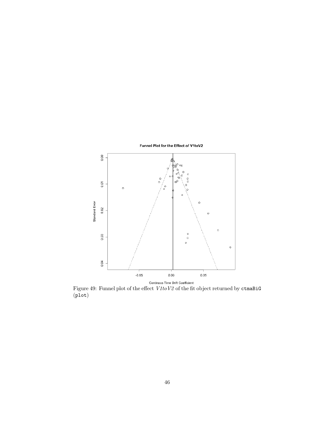

<span id="page-45-0"></span>Figure 49: Funnel plot of the effect V1toV2 of the fit object returned by ctmaBiG  $(p_{\text{lot}})$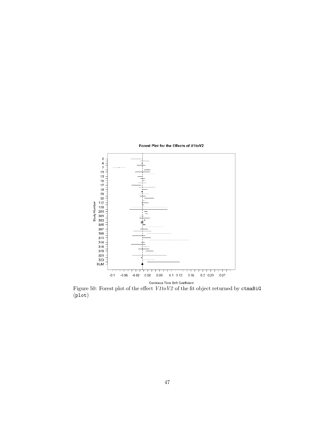

Figure 50: Forest plot of the effect  $V1toV2$  of the fit object returned by ctmaBiG (plot)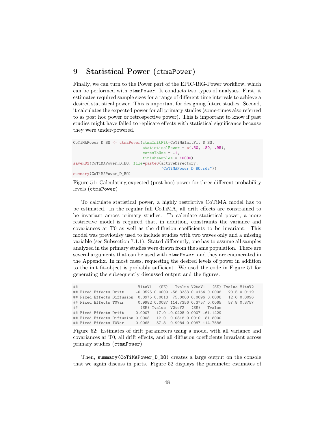## 9 Statistical Power (ctmaPower)

Finally, we can turn to the Power part of the EPIC-BiG-Power workflow, which can be performed with ctmaPower. It conducts two types of analyses. First, it estimates required sample sizes for a range of different time intervals to achieve a desired statistical power. This is important for designing future studies. Second, it calculates the expected power for all primary studies (some-times also referred to as post hoc power or retrospective power). This is important to know if past studies might have failed to replicate effects with statistical significance because they were under-powered.

```
CoTiMAPower_D_BO <- ctmaPower(ctmaInitFit=CoTiMAInitFit_D_BO,
                              statisticalPower = c(.50, .80, .95),
                              coresTolve = -1,finishsamples = 10000)
saveRDS(CoTiMAPower_D_BO, file=paste0(activeDirectory,
                                      "CoTiMAPower_D_BO.rds"))
summary(CoTiMAPower_D_BO)
```
<span id="page-47-0"></span>Figure 51: Calculating expected (post hoc) power for three different probability levels (ctmaPower)

To calculate statistical power, a highly restrictive CoTiMA model has to be estimated. In the regular full CoTiMA, all drift effects are constrained to be invariant across primary studies. To calculate statistical power, a more restrictive model is required that, in addition, constraints the variance and covariances at T0 as well as the diffusion coefficients to be invariant. This model was previoulsy used to include studies with two waves only and a missing variable (see Subsection [7.1.1\)](#page-25-0). Stated differently, one has to assume all samples analyzed in the primary studies were drawn from the same population. There are several arguments that can be used with ctmaPower, and they are enumerated in the Appendix. In most cases, requesting the desired levels of power in addition to the init fit-object is probably sufficient. We used the code in Figure [51](#page-47-0) for generating the subsequently discussed output and the figures.

## V1toV1 (SE) Tvalue V2toV1 (SE) Tvalue V1toV2 ## Fixed Effects Drift -0.0525 0.0009 -58.3333 0.0164 0.0008 20.5 0.0119 ## Fixed Effects Diffusion 0.0975 0.0013 75.0000 0.0096 0.0008 ## Fixed Effects T0Var 0.9982 0.0087 114.7356 0.3757 0.0065 57.8 0.3757 ## (SE) Tvalue V2toV2 (SE) Tvalue ## Fixed Effects Drift 0.0007 17.0 -0.0428 0.0007 -61.1429 ## Fixed Effects Diffusion 0.0008 12.0 0.0818 0.0010 81.8000 ## Fixed Effects T0Var 0.0065 57.8 0.9984 0.0087 114.7586

<span id="page-47-1"></span>Figure 52: Estimates of drift parameters using a model with all variance and covariances at T0, all drift effects, and all diffusion coefficients invariant across primary studies (ctmaPower)

Then, summary(CoTiMAPower\_D\_BO) creates a large output on the console that we again discuss in parts. Figure [52](#page-47-1) displays the parameter estimates of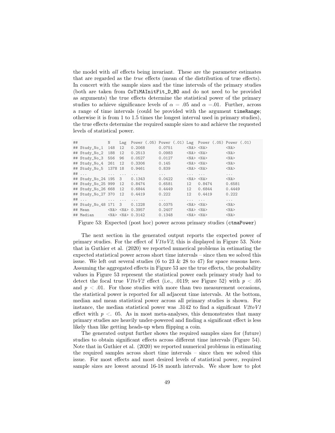the model with all effects being invariant. These are the parameter estimates that are regarded as the true effects (mean of the distribution of true effects). In concert with the sample sizes and the time intervals of the primary studies (both are taken from CoTiMAInitFit\_D\_BO and do not need to be provided as arguments) the true effects determine the statistical power of the primary studies to achieve significance levels of  $\alpha = .05$  and  $\alpha = .01$ . Further, across a range of time intervals (could be provided with the argument timeRange; otherwise it is from 1 to 1.5 times the longest interval used in primary studies), the true effects determine the required sample sizes to and achieve the requested levels of statistical power.

| ## |                                      | N   | Lag                  |                        | Power $(.05)$ Power $(.01)$ Lag Power $(.05)$ Power $(.01)$ |                          |                 |            |
|----|--------------------------------------|-----|----------------------|------------------------|-------------------------------------------------------------|--------------------------|-----------------|------------|
|    | ## Study_No_1                        | 148 | 12                   | 0.2068                 | 0.0751                                                      |                          | $<$ NA> $<$ NA> | $<$ NA $>$ |
|    | ## Study_No_2 188                    |     | 12                   | 0.2513                 | 0.0983                                                      |                          | $<$ NA> $<$ NA> | $<$ NA $>$ |
|    | ## Study_No_3 556 96                 |     |                      | $0.0527$ 0.0127        |                                                             |                          | $<$ NA> $<$ NA> | $<$ NA $>$ |
|    | $\texttt{#}$ Study_No_4 261          |     | 12                   | $0.3306$ 0.145         |                                                             |                          | $<$ NA> $<$ NA> | $<$ NA $>$ |
|    | ## Study_No_5 1378 18                |     |                      | 0.9461                 | 0.839                                                       |                          | $<$ NA> $<$ NA> | $<$ NA $>$ |
|    | ## $\cdots$                          |     |                      | $\cdots$               | $\cdots$                                                    | <b>Contract Contract</b> |                 | $\cdots$   |
|    | ## Study_No_24 195 3                 |     |                      | 0.1343                 | 0.0422                                                      |                          | $<$ NA> $<$ NA> | $<$ NA $>$ |
|    | ## Study_No_25 999 12                |     |                      | 0.8474                 | 0.6581                                                      | 12                       | 0.8474          | 0.6581     |
|    | ## Study_No_26 668 12                |     |                      | 0.6844                 | 0.4449                                                      | 12                       | 0.6844          | 0.4449     |
|    | ## Study_No_27 370 12                |     |                      | 0.4419                 | 0.222                                                       | 12                       | 0.4419          | 0.222      |
|    | $\#$ $\#$ $\ldots$ $\ldots$ $\ldots$ |     | $\sim$ $\sim$ $\sim$ | $\cdots$               | $\cdots$                                                    | $\cdots$                 | $\cdots$        | $\cdots$   |
|    | ## Study_No_48 171 3                 |     |                      | 0.1228                 | 0.0375                                                      |                          | $<$ NA> $<$ NA> | $<$ NA $>$ |
|    | ## Mean                              |     |                      | $<$ NA> $<$ NA> 0.3957 | 0.2407                                                      |                          | $<$ NA> $<$ NA> | $<$ NA $>$ |
|    | ## Median                            |     |                      | $<$ NA> $<$ NA> 0.3142 | 0.1348                                                      |                          | $$ $$           | $<$ NA $>$ |

<span id="page-48-0"></span>Figure 53: Expected (post hoc) power across primary studies (ctmaPower)

The next section in the generated output reports the expected power of primary studies. For the effect of  $V1toV2$ , this is displayed in Figure [53.](#page-48-0) Note that in Guthier et al. (2020) we reported numerical problems in estimating the expected statistical power across short time intervals – since then we solved this issue. We left out several studies (6 to 23  $\&$  28 to 47) for space reasons here. Assuming the aggregated effects in Figure [53](#page-48-0) are the true effects, the probability values in Figure [53](#page-48-0) represent the statistical power each primary study had to detect the focal true  $V1toV2$  effect (i.e., .0119; see Figure [52\)](#page-47-1) with  $p < .05$ and  $p < .01$ . For those studies with more than two measurement occasions, the statistical power is reported for all adjacent time intervals. At the bottom, median and mean statistical power across all primary studies is shown. For instance, the median statistical power was  $.3142$  to find a significant  $V2toV1$ effect with  $p < 0.05$ . As in most meta-analyses, this demonstrates that many primary studies are heavily under-powered and finding a significant effect is less likely than like getting heads-up when flipping a coin.

The generated output further shows the required samples sizes for (future) studies to obtain significant effects across different time intervals (Figure [54\)](#page-49-0). Note that in Guthier et al. (2020) we reported numerical problems in estimating the required samples across short time intervals – since then we solved this issue. For most effects and most desired levels of statistical power, required sample sizes are lowest around 16-18 month intervals. We show how to plot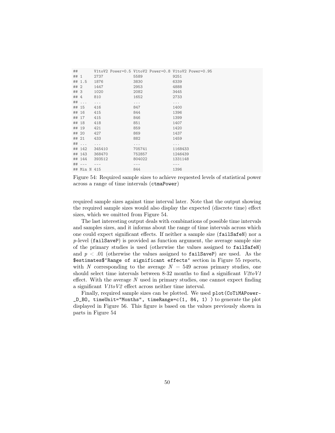| ##    |                 |          |          | V1toV2 Power=0.5 V1toV2 Power=0.8 V1toV2 Power=0.95 |
|-------|-----------------|----------|----------|-----------------------------------------------------|
| ## 1  |                 | 2737     | 5589     | 9251                                                |
|       | ## 1.5          | 1876     | 3830     | 6339                                                |
| ##2   |                 | 1447     | 2953     | 4888                                                |
| ## 3  |                 | 1020     | 2082     | 3445                                                |
| ## 4  |                 | 810      | 1652     | 2733                                                |
|       | $\#$ # $\ldots$ | $\cdots$ | $\cdots$ | .                                                   |
|       | ## 15           | 416      | 847      | 1400                                                |
| ## 16 |                 | 415      | 844      | 1396                                                |
|       | ## 17           | 415      | 846      | 1399                                                |
|       | ## 18           | 418      | 851      | 1407                                                |
| ## 19 |                 | 421      | 859      | 1420                                                |
| ## 20 |                 | 427      | 869      | 1437                                                |
|       | ## 21           | 433      | 882      | 1459                                                |
|       | $\#$ # $\ldots$ | $\cdots$ | $\cdots$ | .                                                   |
|       | ## 142          | 345410   | 705741   | 1168433                                             |
|       | ## 143          | 368470   | 752857   | 1246439                                             |
|       | ## 144          | 393512   | 804022   | 1331148                                             |
|       | $\#$ # ---      |          |          |                                                     |
|       | ## Min N 415    |          | 844      | 1396                                                |

<span id="page-49-0"></span>Figure 54: Required sample sizes to achieve requested levels of statistical power across a range of time intervals (ctmaPower)

required sample sizes against time interval later. Note that the output showing the required sample sizes would also display the expected (discrete time) effect sizes, which we omitted from Figure [54.](#page-49-0)

The last interesting output deals with combinations of possible time intervals and samples sizes, and it informs about the range of time intervals across which one could expect significant effects. If neither a sample size (failSafeN) nor a  $p$ -level (failSaveP) is provided as function argument, the average sample size of the primary studies is used (otherwise the values assigned to failSafeN) and  $p < .01$  (otherwise the values assigned to failSaveP) are used. As the \$estimates\$'Range of significant effects' section in Figure [55](#page-50-0) reports, with N corresponding to the average  $N = 549$  across primary studies, one should select time intervals between 8-32 months to find a significant  $V2toVI$ effect. With the average  $N$  used in primary studies, one cannot expect finding a significant V1toV2 effect across neither time interval.

Finally, required sample sizes can be plotted. We used plot (CoTiMAPower- $D_B$ O, timeUnit="Months", timeRange=c(1, 84, 1) ) to generate the plot displayed in Figure [56.](#page-50-1) This figure is based on the values previously shown in parts in Figure [54](#page-49-0)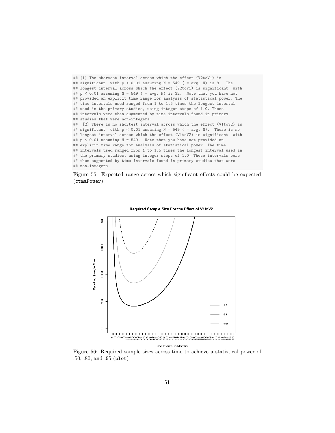```
## [1] The shortest interval across which the effect (V2toV1) is
## significant with p < 0.01 assuming N = 549 ( = avg. N) is 8. The
## longest interval across which the effect (V2toV1) is significant with
## p < 0.01 assuming N = 549 ( = avg. N) is 32. Note that you have not
## provided an explicit time range for analysis of statistical power. The
## time intervals used ranged from 1 to 1.5 times the longest interval
## used in the primary studies, using integer steps of 1.0. These
## intervals were then augmented by time intervals found in primary
## studies that were non-integers.
## [2] There is no shortest interval across which the effect (V1toV2) is
## significant with p < 0.01 assuming N = 549 ( = avg. N). There is no
## longest interval across which the effect (V1toV2) is significant with
## p < 0.01 assuming N = 549. Note that you have not provided an
## explicit time range for analysis of statistical power. The time
## intervals used ranged from 1 to 1.5 times the longest interval used in
## the primary studies, using integer steps of 1.0. These intervals were
## then augmented by time intervals found in primary studies that were
## non-integers.
```
<span id="page-50-0"></span>Figure 55: Expected range across which significant effects could be expected (ctmaPower)



Required Sample Size For the Effect of V1toV2

<span id="page-50-1"></span>Figure 56: Required sample sizes across time to achieve a statistical power of .50, .80, and .95 (plot)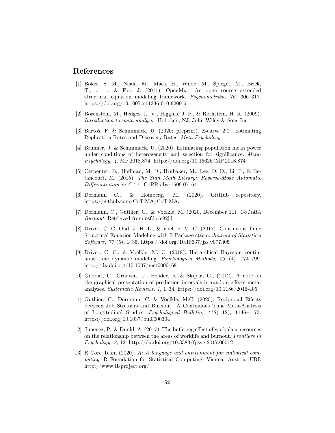## References

- [1] Boker, S. M., Neale, M., Maes, H., Wilde, M., Spiegel, M., Brick, T., . . ., & Fox, J. (2011). OpenMx: An open source extended structural equation modeling framework. Psychometrika, 76, 306–317. https://doi.org/10.1007/s11336-010-9200-6
- [2] Borenstein, M., Hedges, L. V., Higgins, J. P., & Rothstein, H. R. (2009). Introduction to meta-analysis. Hoboken, NJ: John Wiley & Sons Inc.
- [3] Bartoš, F. & Schimmack, U. (2020; preprint). Z-curve 2.0: Estimating Replication Rates and Discovery Rates. Meta-Psychology.
- [4] Brunner, J. & Schimmack, U. (2020). Estimating population mean power under conditions of heterogeneity and selection for significance. Meta-Psychology, 4, MP.2018.874, https://doi.org/10.15626/MP.2018.874
- [5] Carpenter, B., Hoffman, M. D., Brubaker, M., Lee, D. D., Li, P., & Betancourt, M. (2015). The Stan Math Library: Reverse-Mode Automatic Differentiation in  $C_{++}$ . CoRR abs/1509.07164.
- [6] Dormann C., & Homberg, M. (2020). GitHub repository, https://github.com/CoTiMA/CoTiMA.
- [7] Dormann, C., Guthier, C., & Voelkle, M. (2020, December 11). CoTiMA Burnout. Retrieved from osf.io/e92jd
- [8] Driver, C. C, Oud, J. H. L., & Voelkle, M. C. (2017). Continuous Time Structural Equation Modeling with R Package ctsem. Journal of Statistical Software, 77 (5), 1–35. https://doi.org/10.18637/jss.v077.i05
- [9] Driver, C. C., & Voelkle, M. C. (2018). Hierarchical Bayesian continuous time dynamic modeling. Psychological Methods, 23 (4), 774–799. http://dx.doi.org/10.1037/met0000168
- [10] Guddat, C., Grouven, U., Bender, R. & Skipka, G., (2012). A note on the graphical presentation of prediction intervals in random-effects metaanalyses. Systematic Reviews, 1, 1–34. https://doi.org/10.1186/2046-405
- [11] Guthier, C., Dormann, C. & Voelkle, M.C. (2020). Reciprocal Effects between Job Stressors and Burnout: A Continuous Time Meta-Analysis of Longitudinal Studies. Psychological Bulletin, 146 ( 12), 1146–1173. https://doi.org/10.1037/bul0000304
- [12] Jimenez, P., & Dunkl, A. (2017). The buffering effect of workplace resources on the relationship between the areas of worklife and burnout. Frontiers in Psychology, 8, 12. http://dx.doi.org/10.3389/fpsyg.2017.00012
- [13] R Core Team (2020). R: A language and environment for statistical computing. R Foundation for Statistical Computing, Vienna, Austria. URL http://www.R-project.org/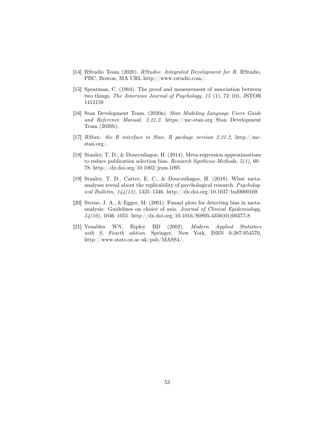- [14] RStudio Team (2020). RStudio: Integrated Development for R. RStudio, PBC, Boston, MA URL http://www.rstudio.com/.
- [15] Spearman, C. (1904). The proof and measurement of association between two things. The American Journal of Psychology, 15 (1), 72–101. JSTOR 1412159
- [16] Stan Development Team. (2020a). Stan Modeling Language Users Guide and Reference Manual, 2.21.2. https://mc-stan.org Stan Development Team (2020b).
- [17] RStan: the R interface to Stan. R package version 2.21.2, http://mcstan.org/.
- [18] Stanley, T. D., & Doucouliagos, H. (2014). Meta-regression approximations to reduce publication selection bias. Research Synthesis Methods, 5(1), 60– 78. http://dx.doi.org/10.1002/jrsm.1095
- [19] Stanley, T. D., Carter, E. C., & Doucouliagos, H. (2018). What metaanalyses reveal about the replicability of psychological research. Psychological Bulletin, 144(12), 1325–1346. http://dx.doi.org/10.1037/bul0000169
- [20] Sterne, J. A., & Egger, M. (2001). Funnel plots for detecting bias in metaanalysis: Guidelines on choice of axis. Journal of Clinical Epidemiology,  $54(10)$ , 1046–1055. http://dx.doi.org/10.1016/S0895-4356(01)00377-8
- [21] Venables WN, Ripley BD (2002). Modern Applied Statistics with S, Fourth edition. Springer, New York. ISBN 0-387-954570, http://www.stats.ox.ac.uk/pub/MASS4/.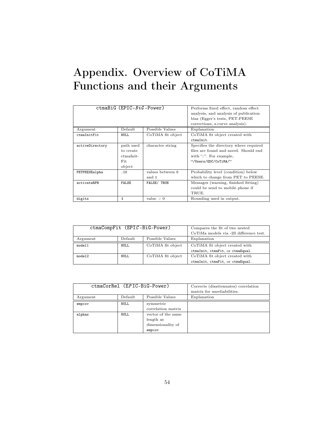## Appendix. Overview of CoTiMA Functions and their Arguments

|                 | $ctmaBiG$ (EPIC- $BiG$ -Power) |                   | Performs fixed effect, random effect<br>analysis, and analysis of publication<br>bias (Egger's tests, PET-PEESE)<br>corrections, z.curve analysis). |
|-----------------|--------------------------------|-------------------|-----------------------------------------------------------------------------------------------------------------------------------------------------|
| Argument        | Default                        | Possible Values   | Explanation                                                                                                                                         |
| ctmaInitFit     | NULL.                          | CoTiMA fit object | CoTiMA fit object created with                                                                                                                      |
|                 |                                |                   | ctmaInit.                                                                                                                                           |
| activeDirectory | path used                      | character string  | Specifies the directory where required                                                                                                              |
|                 | to create                      |                   | files are found and saved. Should end                                                                                                               |
|                 | ctmaInit-                      |                   | with "/". For example,                                                                                                                              |
|                 | Fit                            |                   | "/Users/GDC/CoTiMA/"                                                                                                                                |
|                 | object                         |                   |                                                                                                                                                     |
| PETPEESEalpha   | .10                            | values between 0  | Probability level (condition) below                                                                                                                 |
|                 |                                | and 1             | which to change from PET to PEESE.                                                                                                                  |
| activateRPB     | <b>FALSE</b>                   | FALSE/ TRUE       | Messages (warning, finished fitting)                                                                                                                |
|                 |                                |                   | could be send to mobile phone if                                                                                                                    |
|                 |                                |                   | TRUE.                                                                                                                                               |
| digits          | 4                              | value $>0$        | Rounding used in output.                                                                                                                            |

| $ctmaCompFit$ (EPIC-BiG-Power) |         | Compares the fit of two nested          |                                  |
|--------------------------------|---------|-----------------------------------------|----------------------------------|
|                                |         | CoTiMa models via -2ll difference test. |                                  |
| Argument                       | Default | Possible Values                         | Explanation                      |
| model1                         | NULL    | CoTiMA fit object                       | CoTiMA fit object created with   |
|                                |         |                                         | ctmaInit, ctmaFit, or ctmaEqual. |
| model2                         | NULL.   | CoTiMA fit object                       | CoTiMA fit object created with   |
|                                |         |                                         | ctmaInit, ctmaFit, or ctmaEqual. |

| ctmaCorRel (EPIC-BiG-Power) |         | Corrects (disattenuates) correlation<br>matrix for unreliabilities. |             |
|-----------------------------|---------|---------------------------------------------------------------------|-------------|
| Argument                    | Default | Possible Values                                                     | Explanation |
| empcov                      | NULL    | symmetric<br>correlation matrix                                     |             |
| alphas                      | NULL.   | vector of the same<br>length as<br>dimensionality of<br>empcov      |             |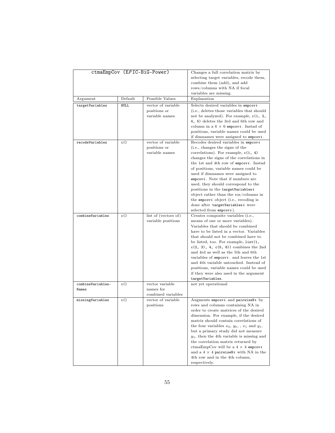| ctmaEmpCov (EPIC-BiG-Power) |             | Changes a full correlation matrix by<br>selecting target variables, recode them,<br>combine them (add), and add<br>rows/columns with NA if focal<br>variables are missing. |                                                                                                                                                                                                                                                                                                                                                                                                                                                                                                                                                                |
|-----------------------------|-------------|----------------------------------------------------------------------------------------------------------------------------------------------------------------------------|----------------------------------------------------------------------------------------------------------------------------------------------------------------------------------------------------------------------------------------------------------------------------------------------------------------------------------------------------------------------------------------------------------------------------------------------------------------------------------------------------------------------------------------------------------------|
| Argument                    | Default     | Possible Values                                                                                                                                                            | Explanation                                                                                                                                                                                                                                                                                                                                                                                                                                                                                                                                                    |
| targetVariables             | <b>NULL</b> | vector of variable<br>positions or<br>variable names                                                                                                                       | Selects desired variables in $empcov i$<br>(i.e., deletes those variables that should                                                                                                                                                                                                                                                                                                                                                                                                                                                                          |
|                             |             |                                                                                                                                                                            | not be analyzed). For example, $c(1, 2, 1)$<br>4, 5) deletes the 3rd and 6th row and<br>column in a $6 \times 6$ empcovi. Instad of<br>positions, variable names could be used<br>if dimnames were assigned to $empcov i$ .                                                                                                                                                                                                                                                                                                                                    |
| recodeVariables             | c()         | vector of variable<br>positions or<br>variable names                                                                                                                       | Recodes desired variables in empcovi<br>(i.e., changes the signs of the<br>correlations). For example, $c(1, 4)$<br>changes the signs of the correlations in<br>the 1st and 4th row of empcovi. Instad<br>of positions, variable names could be<br>used if dimnames were assigned to<br>$empcov i$ . Note that if numbers are<br>used, they should correspond to the<br>positions in the targetVariablesi<br>object rather than the ros/columns in<br>the empcovi object (i.e., recoding is<br>done after targetVariablesi were<br>selected from $empcov i$ ). |
| combineVariables            | c()         | list of (vectors of)<br>variable positions                                                                                                                                 | Creates composite variables (i.e.,<br>means of one or more variables).<br>Variables that should be combined<br>have to be listed in a vector. Variables<br>that should not be combined have to<br>be listed, too. For example, list(1,<br>$c(2, 3), 4, c(5, 6)$ combines the 2nd<br>and 4rd as well as the 5th and 6th<br>variables of $empcov i$ . and leaves the 1st<br>and 4th variable untouched. Instead of<br>positions, variable names could be used<br>if they were also used in the argument<br>targetVariables.                                      |
| combineVariables-<br>Names  | c()         | vector variable<br>names for<br>combined variables                                                                                                                         | not yet operational                                                                                                                                                                                                                                                                                                                                                                                                                                                                                                                                            |
| missingVariables            | c()         | vector of variable<br>positions                                                                                                                                            | Augments empcovi and pairwiseNi by<br>rows and columns containing NA in<br>order to create matrices of the desired<br>dimension. For example, if the desired<br>matrix should contain correlations of<br>the four variables $x_0, y_0, x_1$ and $y_1$ ,<br>but a primary study did not measure<br>$y_1$ , then the 4th variable is missing and<br>the correlation matrix returned by<br>ctmaEmpCov will be a $4 \times 4$ empcovi<br>and a $4 \times 4$ pairwiseNi with NA in the<br>4th row and in the 4th column,<br>respectively.                           |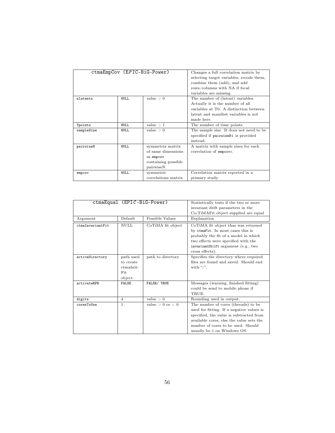| ctmaEmpCov (EPIC-BiG-Power) |       | Changes a full correlation matrix by     |                                         |
|-----------------------------|-------|------------------------------------------|-----------------------------------------|
|                             |       | selecting target variables, recode them, |                                         |
|                             |       |                                          |                                         |
|                             |       |                                          | combine them (add), and add             |
|                             |       |                                          | rows/columns with NA if focal           |
|                             |       |                                          | variables are missing.                  |
| nlatents                    | NULL. | value $> 0$                              | The number of (latent) variables.       |
|                             |       |                                          | Actually it is the number of all        |
|                             |       |                                          | variables at T0. A distinction between  |
|                             |       |                                          | latent and manifest variables is not    |
|                             |       |                                          | made here.                              |
| Tpoints                     | NULL. | value $>1$                               | The number of time points.              |
| sampleSize                  | NULL. | value > 0                                | The sample size. It does not need to be |
|                             |       |                                          | specified if pairwiseNi is provided     |
|                             |       |                                          | instead.                                |
| pairwiseN                   | NULL. | symmetrix matrix                         | A matrix with sample sizes for each     |
|                             |       | of same dimensions                       | correlation of $empcovi$ .              |
|                             |       | as empcov                                |                                         |
|                             |       | containing possible                      |                                         |
|                             |       | pairwiseN.                               |                                         |
| empcov                      | NULL. | symmetric                                | Correlation matrix reported in a        |
|                             |       | correlations matrix                      | primary study.                          |

|                  | $ctmaEqual$ (EPIC-BiG-Power) |                                   | Statistically tests if the two or more    |
|------------------|------------------------------|-----------------------------------|-------------------------------------------|
|                  |                              | invariant drift parameters in the |                                           |
|                  |                              |                                   | Co-TiMAFit object supplied are equal      |
| Argument         | Default                      | Possible Values                   | Explanation                               |
| ctmaInvariantFit | NULL.                        | CoTiMA fit object                 | CoTiMA fit object thas was returned       |
|                  |                              |                                   | by ctmaFit. In most cases this is         |
|                  |                              |                                   | probably the fit of a model in which      |
|                  |                              |                                   | two effects were specified with the       |
|                  |                              |                                   | invariantDrift argument (e.g., two        |
|                  |                              |                                   | cross effects).                           |
| activeDirectory  | path used                    | path to directory                 | Specifies the directory where required    |
|                  | to create                    |                                   | files are found and saved. Should end     |
|                  | ctmaInit-                    |                                   | with "/".                                 |
|                  | Fit.                         |                                   |                                           |
|                  | object                       |                                   |                                           |
| activateRPB      | <b>FALSE</b>                 | FALSE/ TRUE                       | Messages (warning, finished fitting)      |
|                  |                              |                                   | could be send to mobile phone if          |
|                  |                              |                                   | TRUE.                                     |
| digits           | 4                            | value $> 0$                       | Rounding used in output.                  |
| coresToUse       | 1                            | value $> 0$ or $< 0$              | The number of cores (threads) to be       |
|                  |                              |                                   | used for fitting. If a negative values is |
|                  |                              |                                   | specified, the value is subtracted from   |
|                  |                              |                                   | available cores, else the value sets the  |
|                  |                              |                                   | number of cores to be used. Should        |
|                  |                              |                                   | usually be 1 on Windows OS.               |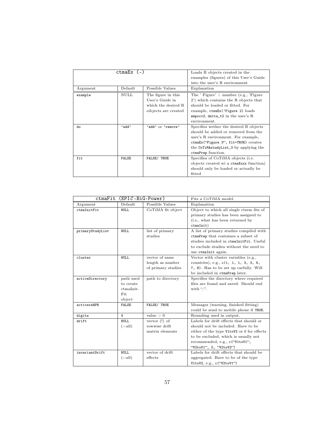|          | $ctm$ a $Ex$ $(-)$ |                                                                                      | Loads R objects created in the<br>examples (figures) of this User's Guide<br>into the user's R environment                                                                                                                 |
|----------|--------------------|--------------------------------------------------------------------------------------|----------------------------------------------------------------------------------------------------------------------------------------------------------------------------------------------------------------------------|
| Argument | Default            | Possible Values                                                                      | Explanation                                                                                                                                                                                                                |
| example  | <b>NULL</b>        | The figure in this<br>User's Guide in<br>which the desired R<br>oibjects are created | The ' Figure' $+$ number (e.g., 'Figure'<br>2') which contains the R objects that<br>should be loaded or fitted. For<br>example, ctmaEx('Figure 2) loads<br>empocv2, $delta_t2$ in the user's R<br>environment.            |
| do       | 'add'              | 'add' or 'remove'                                                                    | Specifies wether the desired R objects<br>should be added or removed from the<br>user's R environment. For example,<br>ctmaEx("Figure 3", fit=TRUE) creates<br>the CoTiMAstudyList_3 by applying the<br>ctmaPrep function. |
| fit      | <b>FALSE</b>       | FALSE/ TRUE                                                                          | Specifies of CoTiMA objects (i.e.<br>objects created wi a ctmaXxxx function)<br>should only be loaded or actually be<br>fitted                                                                                             |

| ctmaFit          | $(EPIC-BiG-Power)$                                     |                                                          | Fits a CoTiMA model.                                                                                                                                                                                                            |
|------------------|--------------------------------------------------------|----------------------------------------------------------|---------------------------------------------------------------------------------------------------------------------------------------------------------------------------------------------------------------------------------|
| Argument         | Default                                                | Possible Values                                          | Explanation                                                                                                                                                                                                                     |
| ctmaInitFit      | NULL.                                                  | CoTiMA fit object                                        | Object to which all single ctsem fits of<br>primary studies has been assigned to<br>(i.e., what has been returned by<br>ctmalnit)                                                                                               |
| primaryStudyList | <b>NULL</b>                                            | list of primary<br>studies                               | A list of primary studies compiled with<br>ctmaPrep that containes a subset of<br>studies included in ctmaInitFit. Useful<br>to exclude studies without the need to<br>use ctmaInit again.                                      |
| cluster          | <b>NULL</b>                                            | vector of same<br>length as number<br>of primary studies | Vector with cluster variables (e.g.,<br>countries), e.g., c(1, 1, 1, 3, 3, 6,<br>7, 8). Has to be set up carfully. Will<br>be included in ctmaPrep later.                                                                       |
| activeDirectory  | path used<br>to create<br>$ctmalnit-$<br>Fit<br>object | path to directory                                        | Specifies the directory where required<br>files are found and saved. Should end<br>with "/".                                                                                                                                    |
| activateRPB      | <b>FALSE</b>                                           | FALSE/ TRUE                                              | Messages (warning, finished fitting)<br>could be send to mobile phone if TRUE.                                                                                                                                                  |
| digits           | 4                                                      | value > 0                                                | Rounding used in output.                                                                                                                                                                                                        |
| drift            | <b>NULL</b><br>$(=all)$                                | vector $(!)$ of<br>rowwise drift<br>matrix elements      | Labels for drift effects that should or<br>should not be included. Have to be<br>either of the type V1toV2 or 0 for effects<br>to be excluded, which is usually not<br>recommended, e.g., c('V1toV1",<br>"V2toV1", 0, "V2toV2") |
| invariantDrift   | <b>NULL</b><br>$(=all)$                                | vector of drift<br>effects                               | Labels for drift effects that should be<br>aggregated. Have to be of the type<br>V1toV2, e.g., c('V2toV1")                                                                                                                      |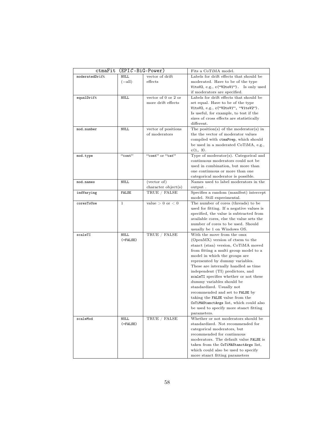| ctmaFit        | $(EPIC-BiG-Power)$ |                      | Fits a CoTiMA model.                       |
|----------------|--------------------|----------------------|--------------------------------------------|
| moderatedDrift | <b>NULL</b>        | vector of drift      | Labels for drift effects that should be    |
|                | $(=$ all $)$       | effects              | moderated. Have to be of the type          |
|                |                    |                      | V1toV2, e.g., $c("V2toV1")$ . Is only used |
|                |                    |                      | if moderators are specified.               |
| equalDrift     | <b>NULL</b>        | vector of 0 or 2 or  | Labels for drift effects that should be    |
|                |                    | more drift effects   | set equal. Have to be of the type          |
|                |                    |                      | V1toV2, e.g., c("V2toV1", "V1toV2").       |
|                |                    |                      | Is useful, for example, to test if the     |
|                |                    |                      | sizes of cross effects are statistically   |
|                |                    |                      | different.                                 |
| mod.number     | NULL               | vector of positions  | The position(s) of the moderator(s) in     |
|                |                    | of moderators        | the the vector of moderator values         |
|                |                    |                      | compiled with ctmaPrep, which should       |
|                |                    |                      | be used in a moderated CoTiMA, e.g.,       |
|                |                    |                      | c(1, 3).                                   |
| mod.type       | "cont"             | "cont" or "cat"      | Type of moderator(s). Categorical and      |
|                |                    |                      | continuous moderators could not be         |
|                |                    |                      | used in combination, but more than         |
|                |                    |                      | one continuous or more than one            |
|                |                    |                      | categorical moderator is possible.         |
| mod.names      | NULL               | $(\text{vector of})$ | Names used to label moderators in the      |
|                |                    | character object(s)  | output.                                    |
| indVarying     | <b>FALSE</b>       | TRUE / FALSE         | Specifies a random (manifest) intercept    |
|                |                    |                      | model. Still experimental.                 |
| coresToUse     | $\mathbf{1}$       | value $> 0$ or $< 0$ | The number of cores (threads) to be        |
|                |                    |                      | used for fitting. If a negative values is  |
|                |                    |                      | specified, the value is subtracted from    |
|                |                    |                      | available cores, else the value sets the   |
|                |                    |                      | number of cores to be used. Should         |
|                |                    |                      | usually be 1 on Windows OS.                |
| scaleTI        | <b>NULL</b>        | TRUE / FALSE         | With the move from the omx                 |
|                | $( = FALSE)$       |                      | (OpenMX) version of ctsem to the           |
|                |                    |                      | stanct (stan) version, CoTiMA moved        |
|                |                    |                      | from fitting a multi group model to a      |
|                |                    |                      | model in which the groups are              |
|                |                    |                      | represented by dummy variables.            |
|                |                    |                      | These are internally handled as time       |
|                |                    |                      | independent (TI) predictors, and           |
|                |                    |                      | scaleTI specifies whether or not these     |
|                |                    |                      | dummy variables should be                  |
|                |                    |                      | standardized. Usually not                  |
|                |                    |                      | recommended and set to FALSE by            |
|                |                    |                      | taking the FALSE value from the            |
|                |                    |                      | CoTiMAStanctArgs list, which could also    |
|                |                    |                      | be used to specify more stanct fitting     |
|                |                    |                      | parameters.                                |
| scaleMod       | NULL               | TRUE / FALSE         | Whether or not moderators should be        |
|                | $( = FALSE)$       |                      | standardized. Not recommended for          |
|                |                    |                      | categorical moderators, but                |
|                |                    |                      | recommended for continuous                 |
|                |                    |                      | moderators. The default value FALSE is     |
|                |                    |                      | taken from the CoTiMAStanctArgs list,      |
|                |                    |                      | which could also be used to specify        |
|                |                    |                      | more stanct fitting parameters             |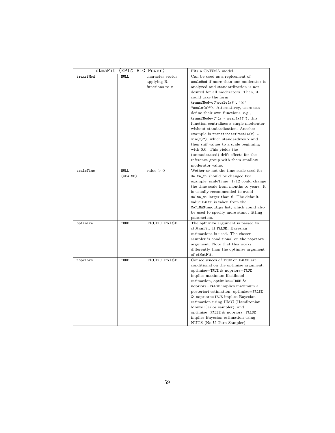|           | ctmaFit (EPIC-BiG-Power) |                  | Fits a CoTiMA model.                             |
|-----------|--------------------------|------------------|--------------------------------------------------|
| transfMod | NULL.                    | character vector | Can be used as a replcement of                   |
|           |                          | applying R       | scaleMod if more than one moderator is           |
|           |                          | functions to x   | analyzed and standardization is not              |
|           |                          |                  | desired for all moderators. Then, it             |
|           |                          |                  | could take the form                              |
|           |                          |                  | $transfMod=c$ ("scale(x)", "x"                   |
|           |                          |                  | "scale $(x)$ "). Alternativey, users can         |
|           |                          |                  | define their own functions, e.g.,                |
|           |                          |                  | transfMode= $($ "( $x$ - mean( $x$ )"); this     |
|           |                          |                  | function centralizes a single moderator          |
|           |                          |                  | without standardization. Another                 |
|           |                          |                  | example is $transfMode = ("scale(x) -$           |
|           |                          |                  | $min(x)$ <sup>"</sup> , which standardizes x and |
|           |                          |                  | then shif values to a scale beginning            |
|           |                          |                  | with 0.0. This yields the                        |
|           |                          |                  | (unmoderated) drift effects for the              |
|           |                          |                  | reference group with them smallest               |
|           |                          |                  | moderator value.                                 |
| scaleTime | <b>NULL</b>              | value > 0        | Wether or not the time scale used for            |
|           | $( =$ FA $1SE)$          |                  | delta_ti should be changed.For                   |
|           |                          |                  | example, $scaleTime=1/12$ could change           |
|           |                          |                  | the time scale from months to years. It          |
|           |                          |                  | is usually recommended to avoid                  |
|           |                          |                  | delta_ti larger than 6. The default              |
|           |                          |                  | value FALSE is taken from the                    |
|           |                          |                  | CoTiMAStanctArgs list, which could also          |
|           |                          |                  | be used to specify more stanct fitting           |
|           |                          |                  | parameters.                                      |
| optimize  | TRUE                     | TRUE / FALSE     | The optimize argument is passed to               |
|           |                          |                  | ctStanFit. If FALSE, Bayesian                    |
|           |                          |                  | estimations is used. The chosen                  |
|           |                          |                  | sampler is conditional on the nopriors           |
|           |                          |                  | argument. Note that this works                   |
|           |                          |                  | differently than the optimise argument           |
|           |                          |                  | of ctSatFit.                                     |
| nopriors  | TRUE                     | TRUE / FALSE     | Consequences of TRUE or FALSE are                |
|           |                          |                  | conditional on the optimize argument.            |
|           |                          |                  | optimize=TRUE $\&$ nopriors=TRUE                 |
|           |                          |                  | implies maximum likelihood                       |
|           |                          |                  | estimation, optimize=TRUE $\&$                   |
|           |                          |                  | nopriors=FALSE implies maximum a                 |
|           |                          |                  | posteriori estimation, optimize=FALSE            |
|           |                          |                  | $&$ nopriors=TRUE implies Bayesian               |
|           |                          |                  | estimation using HMC (Hamiltonian                |
|           |                          |                  | Monte Carlos sampler), and                       |
|           |                          |                  | optimize=FALSE $\&$ nopriors=FALSE               |
|           |                          |                  | implies Bayesian estimation using                |
|           |                          |                  | NUTS (No U-Turn Sampler).                        |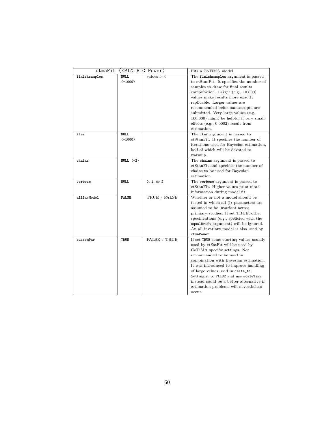| ctmaFit       | $(EPIC-BiG-Power)$       |                     | Fits a CoTiMA model.                                                                                                                                                                                                                                                                                                                                                                                             |
|---------------|--------------------------|---------------------|------------------------------------------------------------------------------------------------------------------------------------------------------------------------------------------------------------------------------------------------------------------------------------------------------------------------------------------------------------------------------------------------------------------|
| finishsamples | <b>NULL</b><br>$(=1000)$ | values > 0          | The finish samples argument is passed<br>to ctStanFit. It specifies the number of<br>samples to draw for final results<br>computation. Larger (e.g., 10.000)<br>values make results more exactly<br>replicable. Larger values are<br>recommended befor manuscripts are<br>submitted. Very large values (e.g.,<br>100.000) might be helpful if very small<br>effects (e.g., $0.0002$ ) result from<br>estimation. |
| iter          | <b>NULL</b><br>$(=1000)$ |                     | The iter argument is passed to<br>ctStanFit. It specifies the number of<br>iterations used for Bayesian estimation,<br>half of which will be devoted to<br>warmup.                                                                                                                                                                                                                                               |
| chains        | NULL $(=2)$              |                     | The chains argument is passed to<br>ctStanFit and specifies the number of<br>chains to be used for Bayesian<br>estimation.                                                                                                                                                                                                                                                                                       |
| verbose       | <b>NULL</b>              | 0, 1, or 2          | The verbose argument is passed to<br>ctStanFit. Higher values print more<br>information during model fit.                                                                                                                                                                                                                                                                                                        |
| allInvModel   | FALSE                    | TRUE / FALSE        | Whether or not a model should be<br>tested in which all (!) parameters are<br>assumed to be invariant across<br>primiary studies. If set TRUE, other<br>specifications (e.g., speficied with the<br>equalDrift argument) will be ignored.<br>An all invariant model is also used by<br>ctmaPower.                                                                                                                |
| customPar     | TRUE                     | <b>FALSE / TRUE</b> | If set TRUE some starting values usually<br>used by ctSatFit will be used by<br>CoTiMA specific settings. Not<br>recommended to be used in<br>combination with Bayesian estimation.<br>It was introduced to improve handling<br>of large values used in delta_ti.<br>Setting it to FALSE and use scaleTime<br>instead could be a better alternative if<br>estimation problems will nevertheless<br>occur.        |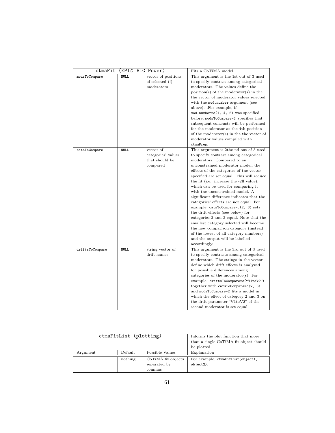| ctmaFit         | $(EPIC-BiG-Power)$ |                     | Fits a CoTiMA model.                      |
|-----------------|--------------------|---------------------|-------------------------------------------|
| modsToCompare   | <b>NULL</b>        | vector of positions | This argument is the 1st out of 3 used    |
|                 |                    | of selected (!)     | to specify contrast among categorical     |
|                 |                    | moderators          | moderators. The values define the         |
|                 |                    |                     | $position(s)$ of the moderator(s) in the  |
|                 |                    |                     | the vector of moderator values selected   |
|                 |                    |                     | with the mod.number argument (see         |
|                 |                    |                     | above). For example, if                   |
|                 |                    |                     | $mod.number=c(1, 4, 6)$ was specified     |
|                 |                    |                     | before, modsToCompare=2 specifies that    |
|                 |                    |                     | subsequent contrasts will be performed    |
|                 |                    |                     | for the moderator at the 4th position     |
|                 |                    |                     | of the moderator(s) in the the vector of  |
|                 |                    |                     | moderator values compiled with            |
|                 |                    |                     | ctmaPrep.                                 |
| catsToCompare   | <b>NULL</b>        | vector of           | This argument is 2the nd out of 3 used    |
|                 |                    | categories' values  | to specify contrast among categorical     |
|                 |                    | that should be      | moderators. Compared to an                |
|                 |                    | compared            | unconstrained moderator model, the        |
|                 |                    |                     | effects of the categories of the vector   |
|                 |                    |                     | specified are set equal. This will reduce |
|                 |                    |                     | the fit (i.e., increase the -2ll value),  |
|                 |                    |                     | which can be used for comparing it        |
|                 |                    |                     | with the unconstrained model. A           |
|                 |                    |                     | significant difference indicates that the |
|                 |                    |                     | categories' effects are not equal. For    |
|                 |                    |                     | example, catsToCompare=c(2, 3) sets       |
|                 |                    |                     | the drift effects (see below) for         |
|                 |                    |                     | categories 2 and 3 equal. Note that the   |
|                 |                    |                     | smallest category selected will become    |
|                 |                    |                     | the new comparison category (instead)     |
|                 |                    |                     | of the lowest of all category numbers)    |
|                 |                    |                     | and the output will be labelled           |
|                 |                    |                     | accordingly.                              |
| driftsToCompare | <b>NULL</b>        | string vector of    | This argument is the 3rd out of 3 used    |
|                 |                    | drift names         | to specify contrasts among categorical    |
|                 |                    |                     | moderators. The strings in the vector     |
|                 |                    |                     | define which drift effects is analyzed    |
|                 |                    |                     | for possible differences among            |
|                 |                    |                     | categories of the moderator(s). For       |
|                 |                    |                     | example, driftsToCompare=c("V1toV2")      |
|                 |                    |                     | together with catsToCompare=c(2, 3)       |
|                 |                    |                     | and modsToCompare=2 fits a model in       |
|                 |                    |                     | which the effect of category 2 and 3 on   |
|                 |                    |                     | the drift parameter "V1toV2" of the       |
|                 |                    |                     |                                           |
|                 |                    |                     | second moderator is set equal.            |

| ctmaFitList (plotting) |         |                                              | Informs the plot function that more<br>than a single CoTiMA fit object should |
|------------------------|---------|----------------------------------------------|-------------------------------------------------------------------------------|
|                        |         |                                              | be plotted.                                                                   |
| Argument               | Default | Possible Values                              | Explanation                                                                   |
| $\cdots$               | nothing | CoTiMA fit objects<br>separated by<br>commas | For example, ctmaFitList(object1,<br>object2).                                |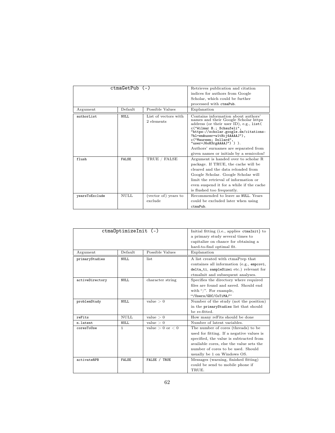|                | $ctmaGetPub$ $(-)$ |                                    | Retrieves publication and citation                                                                                                                                                                                                                                                                                                                                   |
|----------------|--------------------|------------------------------------|----------------------------------------------------------------------------------------------------------------------------------------------------------------------------------------------------------------------------------------------------------------------------------------------------------------------------------------------------------------------|
|                |                    |                                    | indices for authors from Google                                                                                                                                                                                                                                                                                                                                      |
|                |                    |                                    | Scholar, which could be further                                                                                                                                                                                                                                                                                                                                      |
|                |                    |                                    | processed with ctmaPub.                                                                                                                                                                                                                                                                                                                                              |
| Argument       | Default            | Possible Values                    | Explanation                                                                                                                                                                                                                                                                                                                                                          |
| authorList     | NULL.              | List of vectors with<br>2 elements | Contains information about authors'<br>names and their Google Scholar https<br>address (or their user ID), e.g., list (<br>c("Wilmar B.; Schaufeli",<br>"https://scholar.google.de/citations-<br>?hl=en&user=w1tHcj4AAAAJ"),<br>c("Maureen; Dollard",<br>"user=J6oH3rgAAAAJ") )).<br>Authors' surnames are separated from<br>given names or initials by a semicolon! |
| flush          | <b>FALSE</b>       | TRUE / FALSE                       | Argument is handed over to scholar R<br>package. If TRUE, the cache will be<br>cleared and the data reloaded from<br>Google Scholar. Google Scholar will<br>limit the retrieval of information or<br>even suspend it for a while if the cache<br>is flushed too frequently.                                                                                          |
| yearsToExclude | NULL.              | (vector of) years to<br>exclude    | Recommended to leave as NULL. Years<br>could be excluded later when using<br>ctmaPub.                                                                                                                                                                                                                                                                                |

| Argument<br>primaryStudies | ctma0ptimizeInit (-)<br>Default<br>Possible Values<br><b>NULL</b><br>list. |                      | Initial fitting (i.e., applies ctmaInit} to<br>a primary study several times to<br>capitalize on chance for obtaining a<br>hard-to-find optimal fit.<br>Explanation<br>A list created with ctmaPrep that<br>containes all information (e.g., empcovi,<br>delta_ti, sampleSizei etc.) relevant for |
|----------------------------|----------------------------------------------------------------------------|----------------------|---------------------------------------------------------------------------------------------------------------------------------------------------------------------------------------------------------------------------------------------------------------------------------------------------|
|                            |                                                                            |                      | ctmaInit and subsequent analyses.                                                                                                                                                                                                                                                                 |
| activeDirectory            | <b>NULL</b>                                                                | character string     | Specifies the directory where required<br>files are found and saved. Should end<br>with "/". For example,<br>"/Users/GDC/CoTiMA/"                                                                                                                                                                 |
| problemStudy               | NULL.                                                                      | value $> 0$          | Number of the study (not the position)<br>in the primaryStudies list that should<br>be re-fitted.                                                                                                                                                                                                 |
| reFits                     | <b>NULL</b>                                                                | value > 0            | How many reFits should be done                                                                                                                                                                                                                                                                    |
| n.latent                   | <b>NULL</b>                                                                | value > 0            | Number of latent variables.                                                                                                                                                                                                                                                                       |
| coresToUse                 | $\mathbf{1}$                                                               | value $> 0$ or $< 0$ | The number of cores (threads) to be<br>used for fitting. If a negative values is<br>specified, the value is subtracted from<br>available cores, else the value sets the<br>number of cores to be used. Should<br>usually be 1 on Windows OS.                                                      |
| activateRPB                | <b>FALSE</b>                                                               | FALSE / TRUE         | Messages (warning, finished fitting)<br>could be send to mobile phone if<br>TRUE.                                                                                                                                                                                                                 |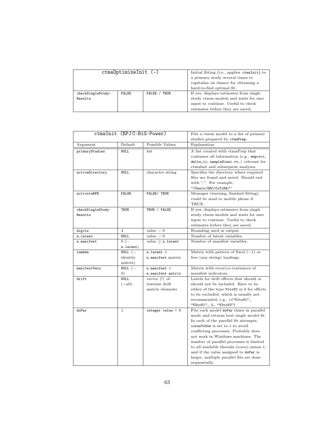| $ctma0ptimizeInit$ (-) |              |              | Initial fitting (i.e., applies ctmaInit} to                                                                     |
|------------------------|--------------|--------------|-----------------------------------------------------------------------------------------------------------------|
|                        |              |              | a primary study several times to<br>capitalize on chance for obtaining a<br>hard-to-find optimal fit.           |
| checkSingleStudy-      | <b>FALSE</b> | FALSE / TRUE | If yes, displays estimates from single                                                                          |
| Results                |              |              | study ctsem models and waits for user<br>input to continue. Useful to check<br>estimates before they are saved. |

|                   | ctmaInit (EPIC-BiG-Power) |                         | Fits a ctsem model to a list of primary    |
|-------------------|---------------------------|-------------------------|--------------------------------------------|
|                   |                           |                         | studies prepared by ctmaPrep.              |
| Argument          | Default                   | Possible Values         | Explanation                                |
| primaryStudies    | <b>NULL</b>               | list                    | A list created with ctmaPrep that          |
|                   |                           |                         | containes all information (e.g., empcovi,  |
|                   |                           |                         | delta_ti, sampleSizei etc.) relevant for   |
|                   |                           |                         | ctmaInit and subsequent analyses.          |
| activeDirectory   | <b>NULL</b>               | character string        | Specifies the directory where required     |
|                   |                           |                         | files are found and saved. Should end      |
|                   |                           |                         | with "/". For example,                     |
|                   |                           |                         | "/Users/GDC/CoTiMA/"                       |
| activateRPB       | <b>FALSE</b>              | FALSE/ TRUE             | Messages (warning, finished fitting)       |
|                   |                           |                         | could be send to mobile phone if           |
|                   |                           |                         | TRUE.                                      |
| checkSingleStudy- | TRUE                      | TRUE / FALSE            | If yes, displays estimates from single     |
| Results           |                           |                         | study ctsem models and waits for user      |
|                   |                           |                         | input to continue. Useful to check         |
|                   |                           |                         | estimates before they are saved.           |
| digits            | $\overline{4}$            | value > 0               | Rounding used in output.                   |
| n.latent          | <b>NULL</b>               | value > 0               | Number of latent variables.                |
| n.manifest        | $0 (=$                    | value $\geq n$ . Latent | Number of manifest variables.              |
|                   | n.latent)                 |                         |                                            |
| lambda            | NULL $($ =                | $n$ . latent $\times$   | Matrix with pattern of fixed $(=1)$ or     |
|                   | identity                  | n.manifest matrix       | free (any string) loadings.                |
|                   | matrix)                   |                         |                                            |
| manifestVars      | NULL $(=$                 | $n$ .manifest $\times$  | Matrix with $error(co-)variances$ of       |
|                   | $\left( 0\right)$         | n.manifest matrix       | manifest indicators.                       |
| drift             | <b>NULL</b>               | vector $(!)$ of         | Labels for drift effects that should or    |
|                   | $(=all)$                  | rowwise drift           | should not be included. Have to be         |
|                   |                           | matrix elements         | either of the type V1toV2 or 0 for effects |
|                   |                           |                         | to be excluded, which is usually not       |
|                   |                           |                         | recommended, e.g., c('V1toV1",             |
|                   |                           |                         | "V2toV1", 0, "V2toV2")                     |
| doPar             | $\mathbf{1}$              | integer value $> 0$     | Fits each model doPar times in parallel    |
|                   |                           |                         | mode and returns best single model fit.    |
|                   |                           |                         | In each of the parellel fit attempts,      |
|                   |                           |                         | coresToUse is set to 1 to avoid            |
|                   |                           |                         | conflicting processes. Probably does       |
|                   |                           |                         | not work in Windows machines. The          |
|                   |                           |                         | number of parallel processes is limited    |
|                   |                           |                         | to all available threads (cores) minus 1,  |
|                   |                           |                         | and if the value assigned to doPar is      |
|                   |                           |                         | larger, multiple parallel fits are done    |
|                   |                           |                         | sequentially.                              |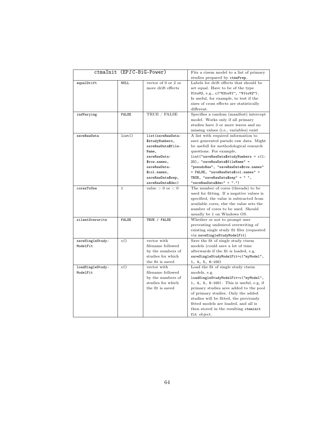| ctmaInit (EPIC-BiG-Power)<br>Fits a ctsem model to a list of primary<br>studies prepared by ctmaPrep.<br>vector of $0$ or $2$ or<br>Labels for drift effects that should be<br>equalDrift<br>NULL.<br>more drift effects<br>set equal. Have to be of the type<br>V1toV2, e.g., c('V2toV1", 'V1toV2").<br>Is useful, for example, to test if the<br>sizes of cross effects are statistically<br>different.<br>TRUE / FALSE<br>Specifies a random (manifest) intercept<br>indVarying<br><b>FALSE</b><br>model. Works only if all primary<br>studies have 3 or more waves and no<br>missing values (i.e., variables) exist<br>list()<br>list(saveRawData-<br>A list with required information to<br>saveRawData<br>save generated pseudo raw data. Might<br>\$studyNumbers,<br>be usefull for methodological research<br>saveRawData\$file-<br>questions. For example,<br>Name,<br>$list("saveRawData$studyNumbers = c(1:$<br>saveRawData-<br>20), "saveRawData\$fileName" =<br>\$row.names,<br>"pseudoRaw", "saveRawData\$row.names"<br>saveRawData-<br>= FALSE, "saveRawData\$col.names" =<br>\$col.names,<br>TRUE, "saveRawData\$sep" = " ",<br>saveRawData\$sep, |
|-------------------------------------------------------------------------------------------------------------------------------------------------------------------------------------------------------------------------------------------------------------------------------------------------------------------------------------------------------------------------------------------------------------------------------------------------------------------------------------------------------------------------------------------------------------------------------------------------------------------------------------------------------------------------------------------------------------------------------------------------------------------------------------------------------------------------------------------------------------------------------------------------------------------------------------------------------------------------------------------------------------------------------------------------------------------------------------------------------------------------------------------------------------------|
|                                                                                                                                                                                                                                                                                                                                                                                                                                                                                                                                                                                                                                                                                                                                                                                                                                                                                                                                                                                                                                                                                                                                                                   |
|                                                                                                                                                                                                                                                                                                                                                                                                                                                                                                                                                                                                                                                                                                                                                                                                                                                                                                                                                                                                                                                                                                                                                                   |
|                                                                                                                                                                                                                                                                                                                                                                                                                                                                                                                                                                                                                                                                                                                                                                                                                                                                                                                                                                                                                                                                                                                                                                   |
|                                                                                                                                                                                                                                                                                                                                                                                                                                                                                                                                                                                                                                                                                                                                                                                                                                                                                                                                                                                                                                                                                                                                                                   |
|                                                                                                                                                                                                                                                                                                                                                                                                                                                                                                                                                                                                                                                                                                                                                                                                                                                                                                                                                                                                                                                                                                                                                                   |
|                                                                                                                                                                                                                                                                                                                                                                                                                                                                                                                                                                                                                                                                                                                                                                                                                                                                                                                                                                                                                                                                                                                                                                   |
|                                                                                                                                                                                                                                                                                                                                                                                                                                                                                                                                                                                                                                                                                                                                                                                                                                                                                                                                                                                                                                                                                                                                                                   |
|                                                                                                                                                                                                                                                                                                                                                                                                                                                                                                                                                                                                                                                                                                                                                                                                                                                                                                                                                                                                                                                                                                                                                                   |
|                                                                                                                                                                                                                                                                                                                                                                                                                                                                                                                                                                                                                                                                                                                                                                                                                                                                                                                                                                                                                                                                                                                                                                   |
|                                                                                                                                                                                                                                                                                                                                                                                                                                                                                                                                                                                                                                                                                                                                                                                                                                                                                                                                                                                                                                                                                                                                                                   |
|                                                                                                                                                                                                                                                                                                                                                                                                                                                                                                                                                                                                                                                                                                                                                                                                                                                                                                                                                                                                                                                                                                                                                                   |
|                                                                                                                                                                                                                                                                                                                                                                                                                                                                                                                                                                                                                                                                                                                                                                                                                                                                                                                                                                                                                                                                                                                                                                   |
|                                                                                                                                                                                                                                                                                                                                                                                                                                                                                                                                                                                                                                                                                                                                                                                                                                                                                                                                                                                                                                                                                                                                                                   |
|                                                                                                                                                                                                                                                                                                                                                                                                                                                                                                                                                                                                                                                                                                                                                                                                                                                                                                                                                                                                                                                                                                                                                                   |
|                                                                                                                                                                                                                                                                                                                                                                                                                                                                                                                                                                                                                                                                                                                                                                                                                                                                                                                                                                                                                                                                                                                                                                   |
|                                                                                                                                                                                                                                                                                                                                                                                                                                                                                                                                                                                                                                                                                                                                                                                                                                                                                                                                                                                                                                                                                                                                                                   |
|                                                                                                                                                                                                                                                                                                                                                                                                                                                                                                                                                                                                                                                                                                                                                                                                                                                                                                                                                                                                                                                                                                                                                                   |
|                                                                                                                                                                                                                                                                                                                                                                                                                                                                                                                                                                                                                                                                                                                                                                                                                                                                                                                                                                                                                                                                                                                                                                   |
|                                                                                                                                                                                                                                                                                                                                                                                                                                                                                                                                                                                                                                                                                                                                                                                                                                                                                                                                                                                                                                                                                                                                                                   |
|                                                                                                                                                                                                                                                                                                                                                                                                                                                                                                                                                                                                                                                                                                                                                                                                                                                                                                                                                                                                                                                                                                                                                                   |
|                                                                                                                                                                                                                                                                                                                                                                                                                                                                                                                                                                                                                                                                                                                                                                                                                                                                                                                                                                                                                                                                                                                                                                   |
| "saveRawData\$dec" = ".")<br>saveRawData\$dec)                                                                                                                                                                                                                                                                                                                                                                                                                                                                                                                                                                                                                                                                                                                                                                                                                                                                                                                                                                                                                                                                                                                    |
| value $> 0$ or $< 0$<br>The number of cores (threads) to be<br>coresToUse<br>$\mathbf{1}$                                                                                                                                                                                                                                                                                                                                                                                                                                                                                                                                                                                                                                                                                                                                                                                                                                                                                                                                                                                                                                                                         |
| used for fitting. If a negative values is                                                                                                                                                                                                                                                                                                                                                                                                                                                                                                                                                                                                                                                                                                                                                                                                                                                                                                                                                                                                                                                                                                                         |
| specified, the value is subtracted from                                                                                                                                                                                                                                                                                                                                                                                                                                                                                                                                                                                                                                                                                                                                                                                                                                                                                                                                                                                                                                                                                                                           |
| available cores, else the value sets the                                                                                                                                                                                                                                                                                                                                                                                                                                                                                                                                                                                                                                                                                                                                                                                                                                                                                                                                                                                                                                                                                                                          |
| number of cores to be used. Should                                                                                                                                                                                                                                                                                                                                                                                                                                                                                                                                                                                                                                                                                                                                                                                                                                                                                                                                                                                                                                                                                                                                |
| usually be 1 on Windows OS.                                                                                                                                                                                                                                                                                                                                                                                                                                                                                                                                                                                                                                                                                                                                                                                                                                                                                                                                                                                                                                                                                                                                       |
| TRUE / FALSE<br>Whether or not to prompt user<br>silentOverwrite<br><b>FALSE</b>                                                                                                                                                                                                                                                                                                                                                                                                                                                                                                                                                                                                                                                                                                                                                                                                                                                                                                                                                                                                                                                                                  |
| preventing undesired overwriting of                                                                                                                                                                                                                                                                                                                                                                                                                                                                                                                                                                                                                                                                                                                                                                                                                                                                                                                                                                                                                                                                                                                               |
| existing single study fit files (requested                                                                                                                                                                                                                                                                                                                                                                                                                                                                                                                                                                                                                                                                                                                                                                                                                                                                                                                                                                                                                                                                                                                        |
| via saveSingleStudyModelFit)                                                                                                                                                                                                                                                                                                                                                                                                                                                                                                                                                                                                                                                                                                                                                                                                                                                                                                                                                                                                                                                                                                                                      |
| saveSingleStudy-<br>c()<br>vector with<br>Save the fit of single study ctsem                                                                                                                                                                                                                                                                                                                                                                                                                                                                                                                                                                                                                                                                                                                                                                                                                                                                                                                                                                                                                                                                                      |
| filename followed<br>ModelFit<br>models (could save a lot of time                                                                                                                                                                                                                                                                                                                                                                                                                                                                                                                                                                                                                                                                                                                                                                                                                                                                                                                                                                                                                                                                                                 |
| by the numbers of<br>afterwards if the fit is loaded, e.g.                                                                                                                                                                                                                                                                                                                                                                                                                                                                                                                                                                                                                                                                                                                                                                                                                                                                                                                                                                                                                                                                                                        |
| studies for which<br>saveSingleStudyModelFit=c("myModel",                                                                                                                                                                                                                                                                                                                                                                                                                                                                                                                                                                                                                                                                                                                                                                                                                                                                                                                                                                                                                                                                                                         |
| the fit is saved<br>1, 4, 5, 6:100                                                                                                                                                                                                                                                                                                                                                                                                                                                                                                                                                                                                                                                                                                                                                                                                                                                                                                                                                                                                                                                                                                                                |
| Load the fit of single study ctsem<br>loadSingleStudy-<br>vector with<br>c()                                                                                                                                                                                                                                                                                                                                                                                                                                                                                                                                                                                                                                                                                                                                                                                                                                                                                                                                                                                                                                                                                      |
| ModelFit<br>filename followed<br>models, e.g.                                                                                                                                                                                                                                                                                                                                                                                                                                                                                                                                                                                                                                                                                                                                                                                                                                                                                                                                                                                                                                                                                                                     |
| by the numbers of<br>loadSingleStudyModelFit=c("myModel",                                                                                                                                                                                                                                                                                                                                                                                                                                                                                                                                                                                                                                                                                                                                                                                                                                                                                                                                                                                                                                                                                                         |
| studies for which<br>1, 4, 5, 6:100). This is useful, e.g, if                                                                                                                                                                                                                                                                                                                                                                                                                                                                                                                                                                                                                                                                                                                                                                                                                                                                                                                                                                                                                                                                                                     |
| the fit is saved<br>primary studies aree added to the pool                                                                                                                                                                                                                                                                                                                                                                                                                                                                                                                                                                                                                                                                                                                                                                                                                                                                                                                                                                                                                                                                                                        |
| of primary studies. Only the added                                                                                                                                                                                                                                                                                                                                                                                                                                                                                                                                                                                                                                                                                                                                                                                                                                                                                                                                                                                                                                                                                                                                |
| studies will be fitted, the previously                                                                                                                                                                                                                                                                                                                                                                                                                                                                                                                                                                                                                                                                                                                                                                                                                                                                                                                                                                                                                                                                                                                            |
| fitted models are loaded, and all is                                                                                                                                                                                                                                                                                                                                                                                                                                                                                                                                                                                                                                                                                                                                                                                                                                                                                                                                                                                                                                                                                                                              |
| then stored in the resulting ctmainit                                                                                                                                                                                                                                                                                                                                                                                                                                                                                                                                                                                                                                                                                                                                                                                                                                                                                                                                                                                                                                                                                                                             |
| fit object.                                                                                                                                                                                                                                                                                                                                                                                                                                                                                                                                                                                                                                                                                                                                                                                                                                                                                                                                                                                                                                                                                                                                                       |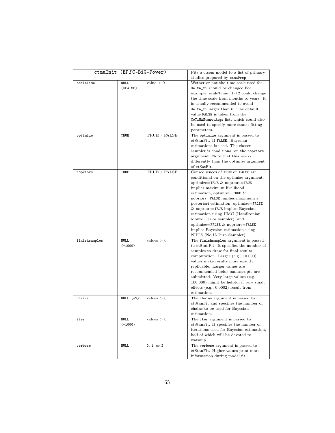|               | ctmaInit (EPIC-BiG-Power) |              | Fits a ctsem model to a list of primary  |
|---------------|---------------------------|--------------|------------------------------------------|
|               |                           |              | studies prepared by ctmaPrep.            |
| scaleTime     | <b>NULL</b>               | value > 0    | Wether or not the time scale used for    |
|               | $( = FALSE)$              |              | delta_ti should be changed.For           |
|               |                           |              | example, scale<br>Time=1/12 could change |
|               |                           |              | the time scale from months to years. It  |
|               |                           |              | is usually recommended to avoid          |
|               |                           |              | delta_ti larger than 6. The default      |
|               |                           |              | value FALSE is taken from the            |
|               |                           |              | CoTiMAStanctArgs list, which could also  |
|               |                           |              | be used to specify more stanct fitting   |
|               |                           |              | parameters.                              |
| optimize      | TRUE                      | TRUE / FALSE | The optimize argument is passed to       |
|               |                           |              | ctStanFit. If FALSE, Bayesian            |
|               |                           |              | estimations is used. The chosen          |
|               |                           |              | sampler is conditional on the nopriors   |
|               |                           |              | argument. Note that this works           |
|               |                           |              | differently than the optimise argument   |
|               |                           |              | of ctSatFit.                             |
| nopriors      | TRUE                      | TRUE / FALSE | Consequences of TRUE or FALSE are        |
|               |                           |              | conditional on the optimize argument.    |
|               |                           |              | optimize=TRUE $\&$ nopriors=TRUE         |
|               |                           |              | implies maximum likelihood               |
|               |                           |              | estimation, optimize=TRUE $&$            |
|               |                           |              | nopriors=FALSE implies maximum a         |
|               |                           |              | posteriori estimation, optimize=FALSE    |
|               |                           |              | $&$ nopriors=TRUE implies Bayesian       |
|               |                           |              | estimation using HMC (Hamiltonian        |
|               |                           |              | Monte Carlos sampler), and               |
|               |                           |              | optimize=FALSE & nopriors=FALSE          |
|               |                           |              | implies Bayesian estimation using        |
|               |                           |              | NUTS (No U-Turn Sampler).                |
| finishsamples | <b>NULL</b>               | values $> 0$ | The finish samples argument is passed    |
|               | $(=1000)$                 |              | to ctStanFit. It specifies the number of |
|               |                           |              | samples to draw for final results        |
|               |                           |              | computation. Larger (e.g., 10.000)       |
|               |                           |              | values make results more exactly         |
|               |                           |              | replicable. Larger values are            |
|               |                           |              | recommended befor manuscripts are        |
|               |                           |              | submitted. Very large values (e.g.,      |
|               |                           |              | 100.000) might be helpful if very small  |
|               |                           |              | effects (e.g., $0.0002$ ) result from    |
|               |                           |              | estimation.                              |
| chains        | NULL $(=2)$               | values $> 0$ | The chains argument is passed to         |
|               |                           |              | ctStanFit and specifies the number of    |
|               |                           |              | chains to be used for Bayesian           |
|               |                           |              | estimation.                              |
| iter          | NULL                      | values > 0   | The iter argument is passed to           |
|               | $(=1000)$                 |              | ctStanFit. It specifies the number of    |
|               |                           |              | iterations used for Bayesian estimation, |
|               |                           |              | half of which will be devoted to         |
|               |                           |              | warmup.                                  |
| verbose       | NULL                      | 0, 1, or 2   | The verbose argument is passed to        |
|               |                           |              | ctStanFit. Higher values print more      |
|               |                           |              | information during model fit.            |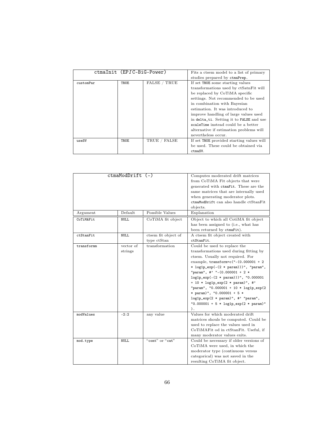|           | ctmaInit (EPIC-BiG-Power) |              | Fits a ctsem model to a list of primary   |
|-----------|---------------------------|--------------|-------------------------------------------|
|           |                           |              | studies prepared by ctmaPrep.             |
| customPar | <b>TRUE</b>               | FALSE / TRUE | If set TRUE some starting values          |
|           |                           |              | transformations used by ctSatnFit will    |
|           |                           |              | be replaced by CoTiMA specific            |
|           |                           |              | settings. Not recommended to be used      |
|           |                           |              | in combination with Bayesian              |
|           |                           |              | estimation. It was introduced to          |
|           |                           |              | improve handling of large values used     |
|           |                           |              | in delta_ti. Setting it to FALSE and use  |
|           |                           |              | scaleTime instead could be a better       |
|           |                           |              | alternative if estimation problems will   |
|           |                           |              | nevertheless occur.                       |
| useSV     | <b>TRUE</b>               | TRUE / FALSE | If set TRUE provided starting values will |
|           |                           |              | be used. These could be obtained via      |
|           |                           |              | ctmaSV.                                   |

| Argument<br>CoTiMAFit | ctmaModDrift (-)<br>Default<br>NULL. | Possible Values<br>CoTiMA fit object | Computes moderated drift matrices<br>from CoTiMA Fit objects that were<br>generated with ctmaFit. These are the<br>same matrices that are internally used<br>when generating moderator plots.<br>ctmaModDrift can also handle ctStanFit<br>objects.<br>Explanation<br>Object to which all CotiMA fit object                                                                                                                                                                                    |
|-----------------------|--------------------------------------|--------------------------------------|------------------------------------------------------------------------------------------------------------------------------------------------------------------------------------------------------------------------------------------------------------------------------------------------------------------------------------------------------------------------------------------------------------------------------------------------------------------------------------------------|
|                       |                                      |                                      | has been assigned to (i.e., what has<br>been returned by ctmaFit).                                                                                                                                                                                                                                                                                                                                                                                                                             |
| ctStanFit             | <b>NULL</b>                          | ctsem fit object of<br>type ctStan   | A ctsem fit object created with<br>ctStanFit.                                                                                                                                                                                                                                                                                                                                                                                                                                                  |
| transformm            | vector of<br>strings                 | transformation                       | Could be used to replace the<br>transformations used during fitting by<br>ctsem. Usually not required. For<br>example, $transform = c("-(0.000001 + 2$<br>* log1p_exp(-(2 * param)))", "param",<br>"param", #' "- $(0.000001 + 2$ *<br>$log1p\_exp(-(2 * param)))$ ", "0.000001<br>+ 10 * $log1p_{exp}(2 * param)$ ", #'<br>"param", "0.000001 + 10 * log1p_exp(2<br>* param)", "0.000001 + 5 *<br>$log1p_{exp}(2 * param)$ ", #' "param",<br>"0.000001 + 5 * $log1p_{exp}(2 * param)$ "<br>). |
| modValues             | $-2:2$                               | any value                            | Values for which moderated drift<br>matrices shouls be computed. Could be<br>used to replace the values used in<br>CoTiMAFit od in ctStanFit. Useful, if<br>many moderator values exits.                                                                                                                                                                                                                                                                                                       |
| mod.type              | <b>NULL</b>                          | "cont" or "cat"                      | Could be necessary if older versions of<br>CoTiMA were used, in which the<br>moderator type (continuous versus<br>categorical) was not saved in the<br>resulting CoTiMA fit object.                                                                                                                                                                                                                                                                                                            |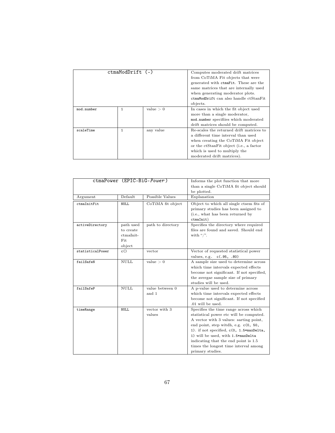| ctmaModDrift (-) |              |           | Computes moderated drift matrices<br>from CoTiMA Fit objects that were<br>generated with ctmaFit. These are the<br>same matrices that are internally used<br>when generating moderator plots.                                    |
|------------------|--------------|-----------|----------------------------------------------------------------------------------------------------------------------------------------------------------------------------------------------------------------------------------|
|                  |              |           | ctmaModDrift can also handle ctStanFit<br>objects.                                                                                                                                                                               |
| mod.number       | $\mathbf{1}$ | value > 0 | In cases in which the fit object used<br>more than a single moderator,<br>mod.number specifiies which moderated<br>drift matrices should be computed.                                                                            |
| scaleTime        | $\mathbf{1}$ | any value | Re-scales the returned drift matrices to<br>a different time interval than used<br>when creating the CoTiMA Fit object<br>or the ctStanFit object (i.e., a factor<br>which is used to multiply the<br>moderated drift matrices). |

| ctmaPower (EPIC-BiG-Power) |                                                      |                          | Informs the plot function that more<br>than a single CoTiMA fit object should<br>be plotted.                                                                                                                                                                                                                                                              |
|----------------------------|------------------------------------------------------|--------------------------|-----------------------------------------------------------------------------------------------------------------------------------------------------------------------------------------------------------------------------------------------------------------------------------------------------------------------------------------------------------|
| Argument                   | Default                                              | Possible Values          | Explanation                                                                                                                                                                                                                                                                                                                                               |
| ctmaInitFit                | <b>NULL</b>                                          | CoTiMA fit object        | Object to which all single ctsem fits of<br>primary studies has been assigned to<br>(i.e., what has been returned by<br>ctmalnit)                                                                                                                                                                                                                         |
| activeDirectory            | path used<br>to create<br>ctmaInit-<br>Fit<br>object | path to directory        | Specifies the directory where required<br>files are found and saved. Should end<br>with "/".                                                                                                                                                                                                                                                              |
| statisticalPower           | c()                                                  | vector                   | Vector of requested statistical power<br>values, e.g. c(.95, .80)                                                                                                                                                                                                                                                                                         |
| failSafeN                  | <b>NULL</b>                                          | value > 0                | A sample size used to determine across<br>which time intervals expected effects<br>become not significant. If not specified,<br>the avergae sample size of primary<br>studies will be used.                                                                                                                                                               |
| failSafeP                  | NULL                                                 | value between 0<br>and 1 | A p-value used to determine across<br>which time intervals expected effects<br>become not significant. If not specified<br>.01 will be used.                                                                                                                                                                                                              |
| timeRange                  | NULL.                                                | vector with 3<br>values  | Specifies the time range across which<br>statistical power etc will be computed.<br>A vector with 3 values: sarting point,<br>end point, step witch, e.g. c(0, 50,<br>1). if not specified, c(0, 1.5*maxDelta,<br>1) will be used, with 1.5*maxDelta<br>indicating that the end point is 1.5<br>times the longest time interval among<br>primary studies. |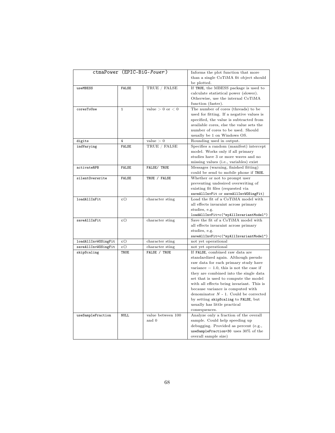|                     |              | ctmaPower (EPIC-BiG-Power) | Informs the plot function that more        |
|---------------------|--------------|----------------------------|--------------------------------------------|
|                     |              |                            | than a single CoTiMA fit object should     |
|                     |              |                            | be plotted.                                |
| useMBESS            | <b>FALSE</b> | TRUE / FALSE               | If TRUE, the MBESS package is used to      |
|                     |              |                            | calculate statistical power (slower).      |
|                     |              |                            | Otherwise, use the internal CoTiMA         |
|                     |              |                            | function (faster).                         |
| coresToUse          | $\mathbf{1}$ | value $> 0$ or $< 0$       | The number of cores (threads) to be        |
|                     |              |                            | used for fitting. If a negative values is  |
|                     |              |                            | specified, the value is subtracted from    |
|                     |              |                            | available cores, else the value sets the   |
|                     |              |                            |                                            |
|                     |              |                            | number of cores to be used. Should         |
|                     |              |                            | usually be 1 on Windows OS.                |
| digits              | 4            | value > 0                  | Rounding used in output.                   |
| indVarying          | <b>FALSE</b> | TRUE / FALSE               | Specifies a random (manifest) intercept    |
|                     |              |                            | model. Works only if all primary           |
|                     |              |                            | studies have 3 or more waves and no        |
|                     |              |                            | missing values (i.e., variables) exist     |
| activateRPB         | <b>FALSE</b> | FALSE/ TRUE                | Messages (warning, finished fitting)       |
|                     |              |                            | could be send to mobile phone if TRUE.     |
| silentOverwrite     | <b>FALSE</b> | TRUE / FALSE               | Whether or not to prompt user              |
|                     |              |                            | preventing undesired overwriting of        |
|                     |              |                            | existing fit files (requested via          |
|                     |              |                            | saveAllInvFit or saveAllInvWOSingFit)      |
| loadAllInFit        | c()          | character sting            | Load the fit of a CoTiMA model with        |
|                     |              |                            | all effects invaraint across primary       |
|                     |              |                            | studies, e.g.                              |
|                     |              |                            | loadAllInvFit=c("myAllInvariantModel")     |
| saveAllInFit        | c()          | character sting            | Save the fit of a CoTiMA model with        |
|                     |              |                            | all effects invaraint across primary       |
|                     |              |                            | studies, e.g.                              |
|                     |              |                            | saveAllInvFit=c("myAllInvariantModel")     |
| loadAllInvWOSingFit | c()          | character sting            | not yet operational                        |
| saveAllInvWOSingFit | c()          | character sting            | not yet operational                        |
| skipScaling         | TRUE         | FALSE / TRUE               | If FALSE, combined raw data are            |
|                     |              |                            | standardized again. Although pseudo        |
|                     |              |                            | raw data for each primary study have       |
|                     |              |                            | variance $= 1.0$ , this is not the case if |
|                     |              |                            | they are combined into the single data     |
|                     |              |                            |                                            |
|                     |              |                            | set that is used to compute the model      |
|                     |              |                            | with all effects being invariant. This is  |
|                     |              |                            | because variance is computed with          |
|                     |              |                            | denominator $N - 1$ . Could be corrected   |
|                     |              |                            | by setting skipScaling to FALSE, but       |
|                     |              |                            | usually has little practical               |
|                     |              |                            | consequences.                              |
| useSampleFraction   | <b>NULL</b>  | value between 100          | Analyze only a fraction of the overall     |
|                     |              | and 0                      | sample. Could help speeding up             |
|                     |              |                            | debugging. Provided as percent (e.g.,      |
|                     |              |                            | useSampleFraction=30 uses 30% of the       |
|                     |              |                            | overall sample size)                       |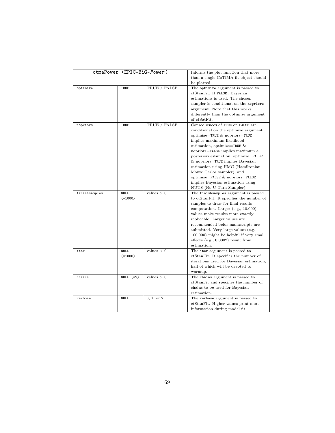| ctmaPower (EPIC-BiG-Power) |             |              | Informs the plot function that more      |
|----------------------------|-------------|--------------|------------------------------------------|
|                            |             |              | than a single CoTiMA fit object should   |
|                            |             |              | be plotted.                              |
| optimize                   | TRUE        | TRUE / FALSE | The optimize argument is passed to       |
|                            |             |              | ctStanFit. If FALSE, Bayesian            |
|                            |             |              | estimations is used. The chosen          |
|                            |             |              | sampler is conditional on the nopriors   |
|                            |             |              | argument. Note that this works           |
|                            |             |              | differently than the optimise argument   |
|                            |             |              | of ctSatFit.                             |
|                            |             |              |                                          |
| nopriors                   | TRUE        | TRUE / FALSE | Consequences of TRUE or FALSE are        |
|                            |             |              | conditional on the optimize argument.    |
|                            |             |              | optimize=TRUE $\&$ nopriors=TRUE         |
|                            |             |              | implies maximum likelihood               |
|                            |             |              | estimation, optimize=TRUE $&$            |
|                            |             |              | nopriors=FALSE implies maximum a         |
|                            |             |              | posteriori estimation, optimize=FALSE    |
|                            |             |              | & nopriors=TRUE implies Bayesian         |
|                            |             |              | estimation using HMC (Hamiltonian        |
|                            |             |              | Monte Carlos sampler), and               |
|                            |             |              | optimize=FALSE & nopriors=FALSE          |
|                            |             |              | implies Bayesian estimation using        |
|                            |             |              | NUTS (No U-Turn Sampler).                |
| finishsamples              | <b>NULL</b> | values $> 0$ | The finishsamples argument is passed     |
|                            | $(=1000)$   |              | to ctStanFit. It specifies the number of |
|                            |             |              | samples to draw for final results        |
|                            |             |              | computation. Larger (e.g., 10.000)       |
|                            |             |              | values make results more exactly         |
|                            |             |              | replicable. Larger values are            |
|                            |             |              | recommended befor manuscripts are        |
|                            |             |              | submitted. Very large values (e.g.,      |
|                            |             |              | 100.000) might be helpful if very small  |
|                            |             |              | effects $(e.g., 0.0002)$ result from     |
|                            |             |              | estimation.                              |
|                            | <b>NULL</b> | values $> 0$ |                                          |
| iter                       |             |              | The iter argument is passed to           |
|                            | $(=1000)$   |              | ctStanFit. It specifies the number of    |
|                            |             |              | iterations used for Bayesian estimation, |
|                            |             |              | half of which will be devoted to         |
|                            |             |              | warmup.                                  |
| chains                     | NULL $(=2)$ | values $> 0$ | The chains argument is passed to         |
|                            |             |              | ctStanFit and specifies the number of    |
|                            |             |              | chains to be used for Bayesian           |
|                            |             |              | estimation.                              |
| verbose                    | <b>NULL</b> | 0, 1, or 2   | The verbose argument is passed to        |
|                            |             |              | ctStanFit. Higher values print more      |
|                            |             |              | information during model fit.            |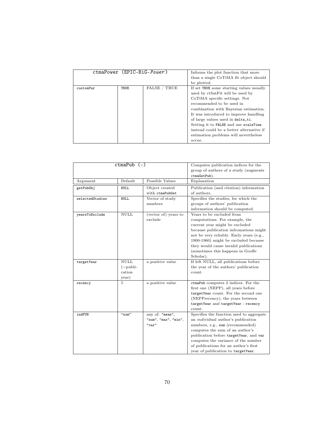| ctmaPower (EPIC-BiG-Power) |             |                            | Informs the plot function that more      |
|----------------------------|-------------|----------------------------|------------------------------------------|
|                            |             |                            | than a single CoTiMA fit object should   |
|                            |             |                            | be plotted.                              |
| customPar                  | <b>TRUE</b> | FALSE <sub>/</sub><br>TRUE | If set TRUE some starting values usually |
|                            |             |                            | used by ctSatFit will be used by         |
|                            |             |                            | CoTiMA specific settings. Not            |
|                            |             |                            | recommended to be used in                |
|                            |             |                            | combination with Bayesian estimation.    |
|                            |             |                            | It was introduced to improve handling    |
|                            |             |                            | of large values used in delta_ti.        |
|                            |             |                            | Setting it to FALSE and use scaleTime    |
|                            |             |                            | instead could be a better alternative if |
|                            |             |                            | estimation problems will nevertheless    |
|                            |             |                            | occur.                                   |

| $ctmaPub$ $(-)$ |                |                      | Computes publication indices for the      |
|-----------------|----------------|----------------------|-------------------------------------------|
|                 |                |                      | group of authors of a study (augments     |
|                 |                |                      | ctmaGetPub).                              |
| Argument        | Default        | Possible Values      | Explanation                               |
| getPub0bj       | <b>NULL</b>    | Object created       | Publication (and citation) information    |
|                 |                | with ctmaPubGet      | of authors.                               |
| selectedStudies | <b>NULL</b>    | Vector of study      | Specifies the studies, for which the      |
|                 |                | numbers              | groups of authors' publication            |
|                 |                |                      | information should be computed.           |
| vearsToExclude  | <b>NULL</b>    | (vector of) years to | Years to be excluded from                 |
|                 |                | exclude              | computations. For example, the            |
|                 |                |                      | current year might be excluded            |
|                 |                |                      | because publication infromations might    |
|                 |                |                      | not be very reliably. Early years (e.g.,  |
|                 |                |                      | 1900-1960) might be excluded because      |
|                 |                |                      | they would cause invalid publications     |
|                 |                |                      | (sometimes this happens in Goofle         |
|                 |                |                      | Scholar).                                 |
| targetYear      | <b>NULL</b>    | a positive value     | If left NULL, all publications before     |
|                 | $(=\n  public$ |                      | the year of the authors' publication      |
|                 | cation         |                      | count.                                    |
|                 | year)          |                      |                                           |
| recency         | 5              | a positive value     | ctmaPub computes 2 indices. For the       |
|                 |                |                      | first one (NEPP), all years before        |
|                 |                |                      | targetYear count. For the second one      |
|                 |                |                      | (NEPPrecency), the years between          |
|                 |                |                      | targetYear and targetYear - recency       |
|                 |                |                      | count.                                    |
| indFUN          | "sum"          | any of: "mean",      | Specifies the function used to aggregate  |
|                 |                | "sum", "max", "min", | an <i>individual</i> author's publication |
|                 |                | "var"                | numbers, e.g., sum (recommended)          |
|                 |                |                      | computes the sum of an author's           |
|                 |                |                      | publication before targetYear, and var    |
|                 |                |                      | computes the variance of the number       |
|                 |                |                      | of publications for an author's first     |
|                 |                |                      | year of publication to targetYear.        |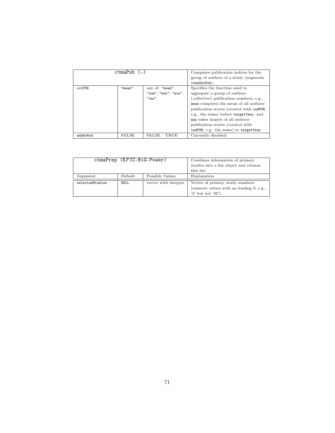| ctmaPub (-) |              |                      | Computes publication indices for the     |
|-------------|--------------|----------------------|------------------------------------------|
|             |              |                      | group of authors of a study (augments    |
|             |              |                      | ctmaGetPub).                             |
| colFUN      | "mean"       | any of: "mean",      | Specifies the function used to           |
|             |              | "sum", "max", "min", | aggregate a group of authors             |
|             |              | "var"                | (collective) publication numbers, e.g.,  |
|             |              |                      | mean computes the mean of all authors'   |
|             |              |                      | publication scores (created with indFUN, |
|             |              |                      | e.g., the sums) before targetYear, and   |
|             |              |                      | max takes largest of all authors'        |
|             |              |                      | publication scores (created with         |
|             |              |                      | indFUN, e.g., the sums) to targetYear.   |
| addAsMod    | <b>FALSE</b> | FALSE<br>TRUE        | Currently disabled.                      |

|                 | ctmaPrep (EPIC-BiG-Power) | Combines information of primary |                                                                                                     |
|-----------------|---------------------------|---------------------------------|-----------------------------------------------------------------------------------------------------|
|                 |                           |                                 | studies into a list object and returns                                                              |
|                 |                           | this list.                      |                                                                                                     |
| Argument        | $\operatorname{Default}$  | Possible Values                 | Explanation                                                                                         |
| selectedStudies | NULL                      | vector with integers            | Vector of primary study numbers<br>(numeric values with no leading 0; e.g.,<br>$'2'$ but not $'02'$ |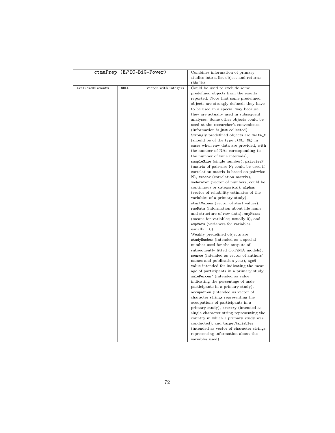|                  | ctmaPrep (EPIC-BiG-Power) |                      | Combines information of primary           |
|------------------|---------------------------|----------------------|-------------------------------------------|
|                  |                           |                      | studies into a list object and returns    |
|                  |                           |                      | this list.                                |
| excludedElements | NULL                      | vector with integers | Could be used to exclude some             |
|                  |                           |                      | predefined objects from the results       |
|                  |                           |                      | reported. Note that some predefined       |
|                  |                           |                      | objects are strongly defined; they have   |
|                  |                           |                      | to be used in a special way because       |
|                  |                           |                      | they are actually used in subsequent      |
|                  |                           |                      | analyses. Some other objects could be     |
|                  |                           |                      | used at the researcher's convenience      |
|                  |                           |                      |                                           |
|                  |                           |                      | (information is just collected).          |
|                  |                           |                      | Strongly predefined objects are delta_t   |
|                  |                           |                      | (should be of the type c(NA, NA) in       |
|                  |                           |                      | cases when raw data are provided, with    |
|                  |                           |                      | the number of NAs corresponding to        |
|                  |                           |                      | the number of time intervals),            |
|                  |                           |                      | sampleSize (single number), pairwiseN     |
|                  |                           |                      | (matrix of pairwise N; could be used if   |
|                  |                           |                      | correlation matrix is based on pairwise   |
|                  |                           |                      | N), empcov (correlation matrix),          |
|                  |                           |                      | moderator (vector of numbers; could be    |
|                  |                           |                      | continuous or categorical), alphas        |
|                  |                           |                      | (vector of reliability estimates of the   |
|                  |                           |                      | variables of a primary study),            |
|                  |                           |                      | startValues (vector of start values),     |
|                  |                           |                      | rawData (information about file name      |
|                  |                           |                      | and structure of raw data), empMeans      |
|                  |                           |                      | (means for variables; usually 0), and     |
|                  |                           |                      | empVars (variances for variables;         |
|                  |                           |                      | usually $1.0$ ).                          |
|                  |                           |                      | Weakly predefined objects are             |
|                  |                           |                      | studyNumber (intended as a special        |
|                  |                           |                      | number used for the outputs of            |
|                  |                           |                      | subsequently fitted CoTiMA models),       |
|                  |                           |                      | source (intended as vector of authors'    |
|                  |                           |                      | names and publication year), ageM         |
|                  |                           |                      | value intended for indicating the mean    |
|                  |                           |                      | age of participants in a primary study,   |
|                  |                           |                      | malePercen' (intended as value            |
|                  |                           |                      | indicating the percentage of male         |
|                  |                           |                      | participants in a primary study),         |
|                  |                           |                      | occupation (intended as vector of         |
|                  |                           |                      | character strings representing the        |
|                  |                           |                      | occupations of participants in a          |
|                  |                           |                      | primary study), country (intended as      |
|                  |                           |                      | single character string representing the  |
|                  |                           |                      | country in which a primary study was      |
|                  |                           |                      | conducted), and targetVariables           |
|                  |                           |                      | (intended as vector of character strings) |
|                  |                           |                      | representing information about the        |
|                  |                           |                      | variables used).                          |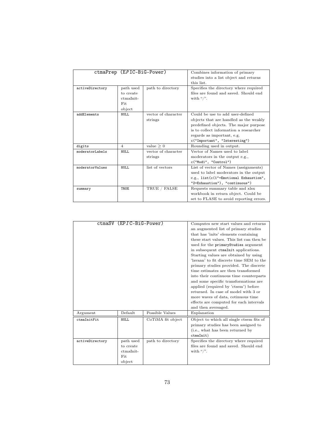|                 | ctmaPrep (EPIC-BiG-Power) |                     | Combines information of primary         |
|-----------------|---------------------------|---------------------|-----------------------------------------|
|                 |                           |                     | studies into a list object and returns  |
|                 |                           |                     | this list.                              |
| activeDirectory | path used                 | path to directory   | Specifies the directory where required  |
|                 | to create                 |                     | files are found and saved. Should end   |
|                 | ctmaInit-                 |                     | with $\frac{n}{2}$ .                    |
|                 | Fit                       |                     |                                         |
|                 | object                    |                     |                                         |
| addElements     | <b>NULL</b>               | vector of character | Could be use to add user-defined        |
|                 |                           | strings             | objects that are handled as the weakly  |
|                 |                           |                     | predefined objects. The major purpose   |
|                 |                           |                     | is to collect information a researcher  |
|                 |                           |                     | regards as important, e.g.              |
|                 |                           |                     | c("Important", "Interesting")           |
| digits          | $\overline{4}$            | value $\geq 0$      | Rounding used in output.                |
| moderatorLabels | <b>NULL</b>               | vector of character | Vector of Names used to label           |
|                 |                           | strings             | moderators in the output e.g.,          |
|                 |                           |                     | c("Mod1", "Control")                    |
| moderatorValues | NULL.                     | list of vectors     | List of vector of Names (assignments)   |
|                 |                           |                     | used to label moderators in the output  |
|                 |                           |                     | e.g., list(c(1"=Emotional Exhaustion",  |
|                 |                           |                     | "2=Exhaustion"), "continuous")          |
| summary         | TRUE                      | TRUE / FALSE        | Requests summary table and xlsx         |
|                 |                           |                     | workbook in return object. Could be     |
|                 |                           |                     | set to FLASE to avoid reporting errors. |

|                 | ctmaSV (EPIC-BiG-Power) |                   | Computes new start values and returns     |
|-----------------|-------------------------|-------------------|-------------------------------------------|
|                 |                         |                   | an augmented list of primary studies      |
|                 |                         |                   | that has 'inits' elements containing      |
|                 |                         |                   | these start values. This list can then be |
|                 |                         |                   | used for the primaryStudies argument      |
|                 |                         |                   | in subsequent ctmaInit applications.      |
|                 |                         |                   | Starting values are obtained by using     |
|                 |                         |                   | 'lavaan' to fit discrete time SEM to the  |
|                 |                         |                   | primary studies provided. The discrete    |
|                 |                         |                   | time estimates are then transformed       |
|                 |                         |                   | into their continuous time counterparts   |
|                 |                         |                   | and some specific transformations are     |
|                 |                         |                   | applied (required by 'ctsem') before      |
|                 |                         |                   | returned. In case of model with 3 or      |
|                 |                         |                   | more waves of data, cotinuous time        |
|                 |                         |                   | effects are computed for each intervals   |
|                 |                         |                   | and then aversaged.                       |
| Argument        | Default                 | Possible Values   | Explanation                               |
| ctmaInitFit     | NULL.                   | CoTiMA fit object | Object to which all single ctsem fits of  |
|                 |                         |                   | primary studies has been assigned to      |
|                 |                         |                   | (i.e., what has been returned by          |
|                 |                         |                   | ctmalnit)                                 |
| activeDirectory | path used               | path to directory | Specifies the directory where required    |
|                 | to create               |                   | files are found and saved. Should end     |
|                 | $ctmalnit-$             |                   | with $\frac{n}{2}$ .                      |
|                 | Fit                     |                   |                                           |
|                 | object                  |                   |                                           |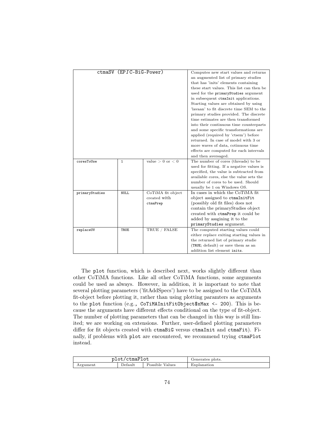|                | ctmaSV (EPIC-BiG-Power) |                                               | Computes new start values and returns<br>an augmented list of primary studies<br>that has 'inits' elements containing<br>these start values. This list can then be<br>used for the primaryStudies argument<br>in subsequent ctmaInit applications.<br>Starting values are obtained by using<br>'layaan' to fit discrete time SEM to the<br>primary studies provided. The discrete<br>time estimates are then transformed<br>into their continuous time counterparts<br>and some specific transformations are<br>applied (required by 'ctsem') before<br>returned. In case of model with 3 or<br>more waves of data, cotinuous time<br>effects are computed for each intervals<br>and then aversaged. |
|----------------|-------------------------|-----------------------------------------------|------------------------------------------------------------------------------------------------------------------------------------------------------------------------------------------------------------------------------------------------------------------------------------------------------------------------------------------------------------------------------------------------------------------------------------------------------------------------------------------------------------------------------------------------------------------------------------------------------------------------------------------------------------------------------------------------------|
| coresToUse     | $\mathbf{1}$            | value $> 0$ or $< 0$                          | The number of cores (threads) to be<br>used for fitting. If a negative values is<br>specified, the value is subtracted from<br>available cores, else the value sets the<br>number of cores to be used. Should<br>usually be 1 on Windows OS.                                                                                                                                                                                                                                                                                                                                                                                                                                                         |
| primaryStudies | <b>NULL</b>             | CoTiMA fit object<br>created with<br>ctmaPrep | In cases in which the CoTiMA fit<br>object assigned to ctmaInitFit<br>(possibly old fit files) does not<br>contain the primaryStudies object<br>created with ctmaPrep it could be<br>added by assgining it to the<br>primaryStudies argument.                                                                                                                                                                                                                                                                                                                                                                                                                                                        |
| replaceUV      | TRUE                    | TRUE / FALSE                                  | The computed starting values could<br>either replace exiting starting values in<br>the returned list of primary studie<br>(TRUE; default) or save them as an<br>addition list element inits.                                                                                                                                                                                                                                                                                                                                                                                                                                                                                                         |

The plot function, which is described next, works slightly different than other CoTiMA functions. Like all other CoTiMA functions, some arguments could be used as always. However, in addition, it is important to note that several plotting parameters ('fitAddSpecs') have to be assigned to the CoTiMA fit-object before plotting it, rather than using plotting paramters as arguments to the plot function (e.g., CoTiMAInitFitObject\$xMax <- 200). This is because the arguments have different effects conditional on the type of fit-object. The number of plotting parameters that can be changed in this way is still limited; we are working on extensions. Further, user-defined plotting parameters differ for fit objects created with ctmaBiG versus ctmaInit and ctmaFit). Finally, if problems with plot are encountered, we recommend trying ctmaPlot instead.

| plot/ctmaPlot |         |                    | Generates plots. |
|---------------|---------|--------------------|------------------|
| Argument      | Detault | Possible<br>Values | Explanation      |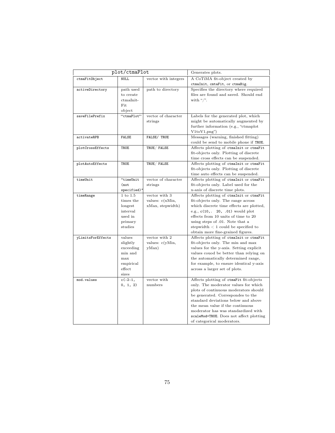| plot/ctmaPlot     |                       |                          | Generates plots.                                                                  |
|-------------------|-----------------------|--------------------------|-----------------------------------------------------------------------------------|
| ctmaFitObject     | <b>NULL</b>           | vector with integers     | A CoTiMA fit-object created by                                                    |
|                   |                       |                          | ctmaInit, cmtaFit, or ctmaBig.                                                    |
| activeDirectory   | path used             | path to directory        | Specifies the directory where required                                            |
|                   | to create             |                          | files are found and saved. Should end                                             |
|                   | ctmaInit-             |                          | with " $\frac{1}{2}$ ".                                                           |
|                   | Fit                   |                          |                                                                                   |
|                   | object                |                          |                                                                                   |
| saveFilePrefix    | "ctmaPlot"            | vector of character      | Labels for the generated plot, which                                              |
|                   |                       | strings                  | might be automatically augmented by                                               |
|                   |                       |                          | further information (e.g., "ctmaplot")                                            |
|                   |                       |                          | $V1toV1, \text{png''}$                                                            |
| activateRPB       | <b>FALSE</b>          | FALSE/ TRUE              | Messages (warning, finished fitting)                                              |
|                   |                       |                          | could be send to mobile phone if TRUE.                                            |
| plotCrossEffects  | TRUE                  | TRUE/FALSE               | Affects plotting of ctmaInit or ctmaFit                                           |
|                   |                       |                          | fit-objects only. Plotting of discrete                                            |
|                   |                       |                          | time cross effects can be suspended.                                              |
| plotAutoEffects   | TRUE                  | TRUE/FALSE               | Affects plotting of ctmaInit or ctmaFit                                           |
|                   |                       |                          | fit-objects only. Plotting of discrete                                            |
|                   |                       |                          | time auto effects can be suspended.                                               |
| timeUnit          | "timeUnit             | vector of character      | Affects plotting of ctmaInit or ctmaFit                                           |
|                   | $($ not               | strings                  | fit-objects only. Label used for the                                              |
|                   | $spectified)$ "       |                          | x-axis of discrete time plots.                                                    |
| timeRange         | $1$ to $1.5\,$        | vector with 3            | Affects plotting of ctmaInit or ctmaFit                                           |
|                   | times the             | values: $c(xMin,$        | fit-objects only. The range across                                                |
|                   | longest               | xMax, stepwidth)         | which discrete time effects are plotted,                                          |
|                   | interval              |                          | e.g., c(10, 20, 01) would plot                                                    |
|                   | used in               |                          | effects from 10 units of time to 20                                               |
|                   | primary               |                          | using steps of .01. Note that a                                                   |
|                   | studies               |                          | stepwidth $< 1$ could be specified to                                             |
|                   |                       |                          | obtain more fine-grained figures.                                                 |
| yLimitsForEffects | values                | vector with 2            | Affects plotting of ctmaInit or ctmaFit                                           |
|                   | slightly<br>exceeding | values: c(yMin,<br>yMax) | fit-objects only. The min and max                                                 |
|                   | min and               |                          | values for the y-axis. Setting explicit<br>values couod be better than relying on |
|                   | max                   |                          | the automatically determined range,                                               |
|                   | empirical             |                          | for example, to ensure identical y-axis                                           |
|                   | effect                |                          | across a larger set of plots.                                                     |
|                   | sizes                 |                          |                                                                                   |
| mod.values        | $c(-2-1,$             | vector with              | Affects plotting of ctmaFit fit-objects                                           |
|                   | 0, 1, 2)              | numbers                  | only. The moderator values for which                                              |
|                   |                       |                          | plots of continuous moderators should                                             |
|                   |                       |                          | be generated. Correspondes to the                                                 |
|                   |                       |                          | standard deviations below and above                                               |
|                   |                       |                          | the mean value if the continuous                                                  |
|                   |                       |                          | moderator has was standardized with                                               |
|                   |                       |                          | scaleMod=TRUE. Does not affect plotting                                           |
|                   |                       |                          | of categorical moderators.                                                        |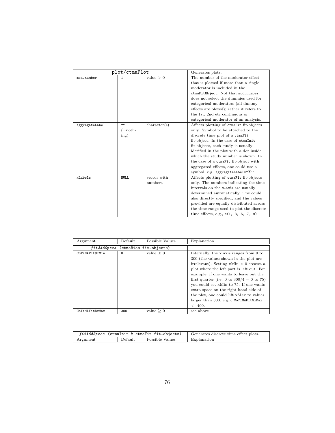| plot/ctmaPlot  |             | Generates plots. |                                           |
|----------------|-------------|------------------|-------------------------------------------|
| mod.number     | 1           | value > 0        | The number of the moderator effect        |
|                |             |                  | that is plotted if more than a single     |
|                |             |                  | moderator is included in the              |
|                |             |                  | ctmaFitObject. Not that mod.number        |
|                |             |                  | does not select the dummies used for      |
|                |             |                  | categorical moderators (all dummy         |
|                |             |                  | effects are ploted); rather it refers to  |
|                |             |                  | the 1st, 2nd etc continuous or            |
|                |             |                  | categorical moderator of an analysis.     |
| aggregateLabel | 653         | character(s)     | Affects plotting of ctmaFit fit-objects   |
|                | $(=\nnoth-$ |                  | only. Symbol to be attached to the        |
|                | ing)        |                  | discrete time plot of a ctmaFit           |
|                |             |                  | fit-object. In the case of ctmaInit       |
|                |             |                  | fit-objects, each study is usually        |
|                |             |                  | idetified in the plot with a dot inside   |
|                |             |                  | which the study number is shown. In       |
|                |             |                  | the case of a ctmaFit fit-object with     |
|                |             |                  | aggregated effects, one could use a       |
|                |             |                  | symbol, e.g. aggregateLabel=" $\Sigma$ ". |
| xLabels        | <b>NULL</b> | vector with      | Affects plotting of ctmaFit fit-objects   |
|                |             | numbers          | only. The numbers indicating the time     |
|                |             |                  | intervals on the x-axis are usually       |
|                |             |                  | determined automatically. The could       |
|                |             |                  | also directly specified, and the values   |
|                |             |                  | provided are equally distributed across   |
|                |             |                  | the time range used to plot the discrete  |
|                |             |                  | time effects, e.g., $c(1, 3, 5, 7, 9)$    |

| Argument        | Default                | Possible Values | Explanation                                                                                                                                                                                                                                                                                                                                                                                                                                                   |
|-----------------|------------------------|-----------------|---------------------------------------------------------------------------------------------------------------------------------------------------------------------------------------------------------------------------------------------------------------------------------------------------------------------------------------------------------------------------------------------------------------------------------------------------------------|
| fitAddSpecs     | (ctmaBias fit-objects) |                 |                                                                                                                                                                                                                                                                                                                                                                                                                                                               |
| CoTiMAFit\$xMin | $\Omega$               | value $\geq 0$  | Internally, the x axis ranges from 0 to<br>300 (the values shown in the plot are<br>irrelevant). Setting $xMin > 0$ creates a<br>plot where the left part is left out. For<br>example, if one wants to leave out the<br>first quarter (i.e. 0 to $300/4 = 0$ to 75)<br>you could set xMin to 75. If one wants<br>extra space on the right hand side of<br>the plot, one could lift xMax to values<br>larger than 300, e.g., c CoTiMAFit\$xMax<br>$\lt$ - 400. |
| CoTiMAFit\$xMax | 300                    | value $\geq 0$  | see above                                                                                                                                                                                                                                                                                                                                                                                                                                                     |

| fitAddSpecs (ctmaInit & ctmaFit fit-objects) |         | Generates discrete time effect plots. |             |
|----------------------------------------------|---------|---------------------------------------|-------------|
| Argument                                     | Default | Possible Values                       | Explanation |